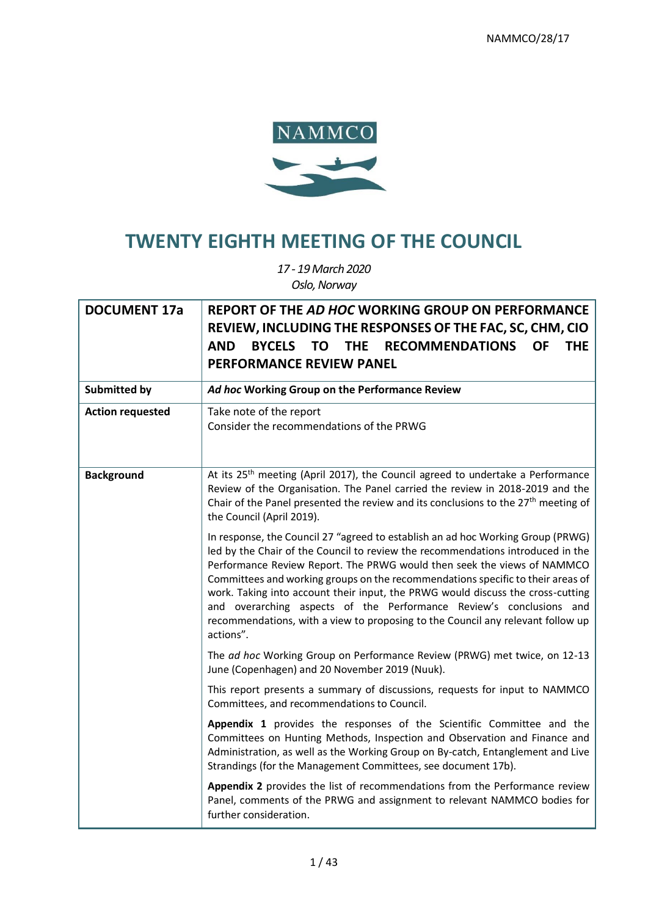

# **TWENTY EIGHTH MEETING OF THE COUNCIL**

*17 - 19 March 2020 Oslo, Norway*

| <b>DOCUMENT 17a</b>     | REPORT OF THE AD HOC WORKING GROUP ON PERFORMANCE<br>REVIEW, INCLUDING THE RESPONSES OF THE FAC, SC, CHM, CIO<br><b>BYCELS</b><br><b>TO</b><br><b>RECOMMENDATIONS</b><br><b>AND</b><br><b>THE</b><br><b>OF</b><br><b>THE</b><br><b>PERFORMANCE REVIEW PANEL</b>                                                                                                                                                                                                                                                                                                                            |
|-------------------------|--------------------------------------------------------------------------------------------------------------------------------------------------------------------------------------------------------------------------------------------------------------------------------------------------------------------------------------------------------------------------------------------------------------------------------------------------------------------------------------------------------------------------------------------------------------------------------------------|
| <b>Submitted by</b>     | Ad hoc Working Group on the Performance Review                                                                                                                                                                                                                                                                                                                                                                                                                                                                                                                                             |
| <b>Action requested</b> | Take note of the report<br>Consider the recommendations of the PRWG                                                                                                                                                                                                                                                                                                                                                                                                                                                                                                                        |
| <b>Background</b>       | At its 25 <sup>th</sup> meeting (April 2017), the Council agreed to undertake a Performance<br>Review of the Organisation. The Panel carried the review in 2018-2019 and the<br>Chair of the Panel presented the review and its conclusions to the 27 <sup>th</sup> meeting of<br>the Council (April 2019).                                                                                                                                                                                                                                                                                |
|                         | In response, the Council 27 "agreed to establish an ad hoc Working Group (PRWG)<br>led by the Chair of the Council to review the recommendations introduced in the<br>Performance Review Report. The PRWG would then seek the views of NAMMCO<br>Committees and working groups on the recommendations specific to their areas of<br>work. Taking into account their input, the PRWG would discuss the cross-cutting<br>and overarching aspects of the Performance Review's conclusions and<br>recommendations, with a view to proposing to the Council any relevant follow up<br>actions". |
|                         | The ad hoc Working Group on Performance Review (PRWG) met twice, on 12-13<br>June (Copenhagen) and 20 November 2019 (Nuuk).                                                                                                                                                                                                                                                                                                                                                                                                                                                                |
|                         | This report presents a summary of discussions, requests for input to NAMMCO<br>Committees, and recommendations to Council.                                                                                                                                                                                                                                                                                                                                                                                                                                                                 |
|                         | Appendix 1 provides the responses of the Scientific Committee and the<br>Committees on Hunting Methods, Inspection and Observation and Finance and<br>Administration, as well as the Working Group on By-catch, Entanglement and Live<br>Strandings (for the Management Committees, see document 17b).                                                                                                                                                                                                                                                                                     |
|                         | Appendix 2 provides the list of recommendations from the Performance review<br>Panel, comments of the PRWG and assignment to relevant NAMMCO bodies for<br>further consideration.                                                                                                                                                                                                                                                                                                                                                                                                          |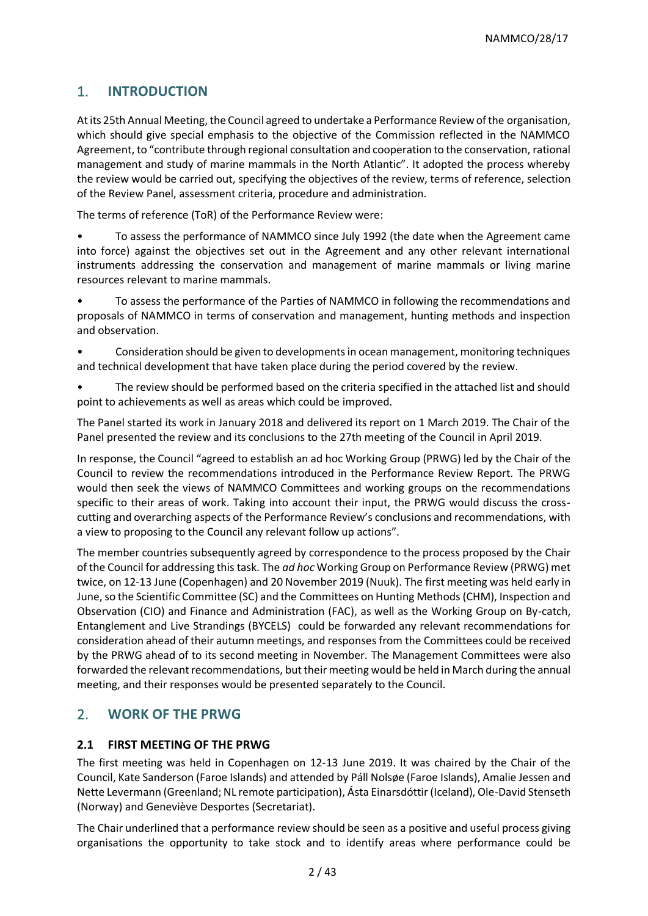# 1. **INTRODUCTION**

Atits 25th Annual Meeting, the Council agreed to undertake a Performance Review of the organisation, which should give special emphasis to the objective of the Commission reflected in the NAMMCO Agreement, to "contribute through regional consultation and cooperation to the conservation, rational management and study of marine mammals in the North Atlantic". It adopted the process whereby the review would be carried out, specifying the objectives of the review, terms of reference, selection of the Review Panel, assessment criteria, procedure and administration.

The terms of reference (ToR) of the Performance Review were:

- To assess the performance of NAMMCO since July 1992 (the date when the Agreement came into force) against the objectives set out in the Agreement and any other relevant international instruments addressing the conservation and management of marine mammals or living marine resources relevant to marine mammals.
- To assess the performance of the Parties of NAMMCO in following the recommendations and proposals of NAMMCO in terms of conservation and management, hunting methods and inspection and observation.
- Consideration should be given to developments in ocean management, monitoring techniques and technical development that have taken place during the period covered by the review.
- The review should be performed based on the criteria specified in the attached list and should point to achievements as well as areas which could be improved.

The Panel started its work in January 2018 and delivered its report on 1 March 2019. The Chair of the Panel presented the review and its conclusions to the 27th meeting of the Council in April 2019.

In response, the Council "agreed to establish an ad hoc Working Group (PRWG) led by the Chair of the Council to review the recommendations introduced in the Performance Review Report. The PRWG would then seek the views of NAMMCO Committees and working groups on the recommendations specific to their areas of work. Taking into account their input, the PRWG would discuss the crosscutting and overarching aspects of the Performance Review's conclusions and recommendations, with a view to proposing to the Council any relevant follow up actions".

The member countries subsequently agreed by correspondence to the process proposed by the Chair of the Council for addressing this task. The *ad hoc* Working Group on Performance Review (PRWG) met twice, on 12-13 June (Copenhagen) and 20 November 2019 (Nuuk). The first meeting was held early in June, so the Scientific Committee (SC) and the Committees on Hunting Methods (CHM), Inspection and Observation (CIO) and Finance and Administration (FAC), as well as the Working Group on By-catch, Entanglement and Live Strandings (BYCELS) could be forwarded any relevant recommendations for consideration ahead of their autumn meetings, and responses from the Committees could be received by the PRWG ahead of to its second meeting in November. The Management Committees were also forwarded the relevant recommendations, but their meeting would be held in March during the annual meeting, and their responses would be presented separately to the Council.

# 2. **WORK OF THE PRWG**

### **2.1 FIRST MEETING OF THE PRWG**

The first meeting was held in Copenhagen on 12-13 June 2019. It was chaired by the Chair of the Council, Kate Sanderson (Faroe Islands) and attended by Páll Nolsøe (Faroe Islands), Amalie Jessen and Nette Levermann (Greenland; NL remote participation), Ásta Einarsdóttir (Iceland), Ole-David Stenseth (Norway) and Geneviève Desportes (Secretariat).

The Chair underlined that a performance review should be seen as a positive and useful process giving organisations the opportunity to take stock and to identify areas where performance could be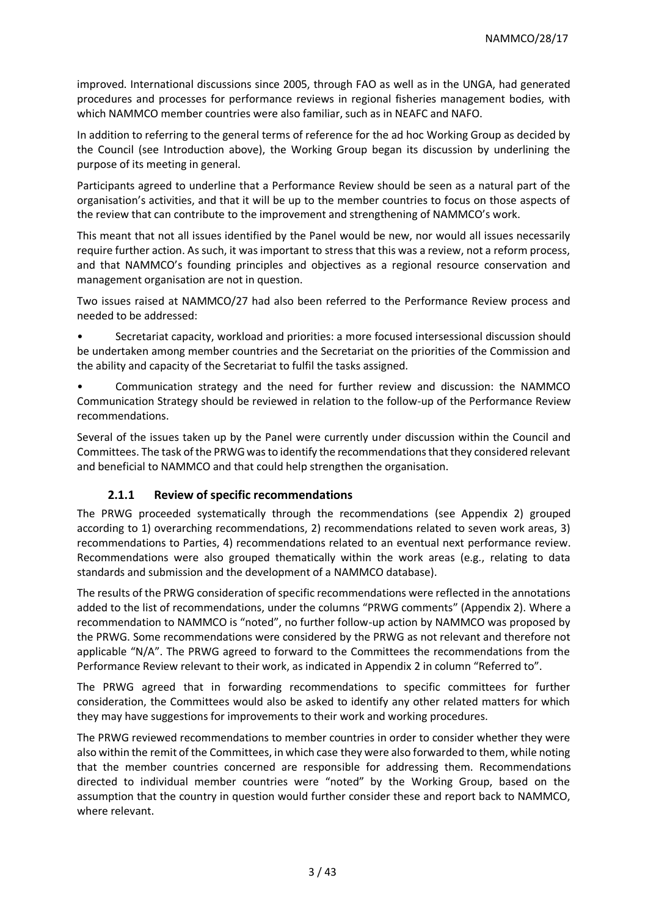improved. International discussions since 2005, through FAO as well as in the UNGA, had generated procedures and processes for performance reviews in regional fisheries management bodies, with which NAMMCO member countries were also familiar, such as in NEAFC and NAFO.

In addition to referring to the general terms of reference for the ad hoc Working Group as decided by the Council (see Introduction above), the Working Group began its discussion by underlining the purpose of its meeting in general.

Participants agreed to underline that a Performance Review should be seen as a natural part of the organisation's activities, and that it will be up to the member countries to focus on those aspects of the review that can contribute to the improvement and strengthening of NAMMCO's work.

This meant that not all issues identified by the Panel would be new, nor would all issues necessarily require further action. As such, it was important to stress that this was a review, not a reform process, and that NAMMCO's founding principles and objectives as a regional resource conservation and management organisation are not in question.

Two issues raised at NAMMCO/27 had also been referred to the Performance Review process and needed to be addressed:

• Secretariat capacity, workload and priorities: a more focused intersessional discussion should be undertaken among member countries and the Secretariat on the priorities of the Commission and the ability and capacity of the Secretariat to fulfil the tasks assigned.

• Communication strategy and the need for further review and discussion: the NAMMCO Communication Strategy should be reviewed in relation to the follow-up of the Performance Review recommendations.

Several of the issues taken up by the Panel were currently under discussion within the Council and Committees. The task of the PRWG was to identify the recommendations that they considered relevant and beneficial to NAMMCO and that could help strengthen the organisation.

### **2.1.1 Review of specific recommendations**

The PRWG proceeded systematically through the recommendations (see Appendix 2) grouped according to 1) overarching recommendations, 2) recommendations related to seven work areas, 3) recommendations to Parties, 4) recommendations related to an eventual next performance review. Recommendations were also grouped thematically within the work areas (e.g., relating to data standards and submission and the development of a NAMMCO database).

The results of the PRWG consideration of specific recommendations were reflected in the annotations added to the list of recommendations, under the columns "PRWG comments" (Appendix 2). Where a recommendation to NAMMCO is "noted", no further follow-up action by NAMMCO was proposed by the PRWG. Some recommendations were considered by the PRWG as not relevant and therefore not applicable "N/A". The PRWG agreed to forward to the Committees the recommendations from the Performance Review relevant to their work, as indicated in Appendix 2 in column "Referred to".

The PRWG agreed that in forwarding recommendations to specific committees for further consideration, the Committees would also be asked to identify any other related matters for which they may have suggestions for improvements to their work and working procedures.

The PRWG reviewed recommendations to member countries in order to consider whether they were also within the remit of the Committees, in which case they were also forwarded to them, while noting that the member countries concerned are responsible for addressing them. Recommendations directed to individual member countries were "noted" by the Working Group, based on the assumption that the country in question would further consider these and report back to NAMMCO, where relevant.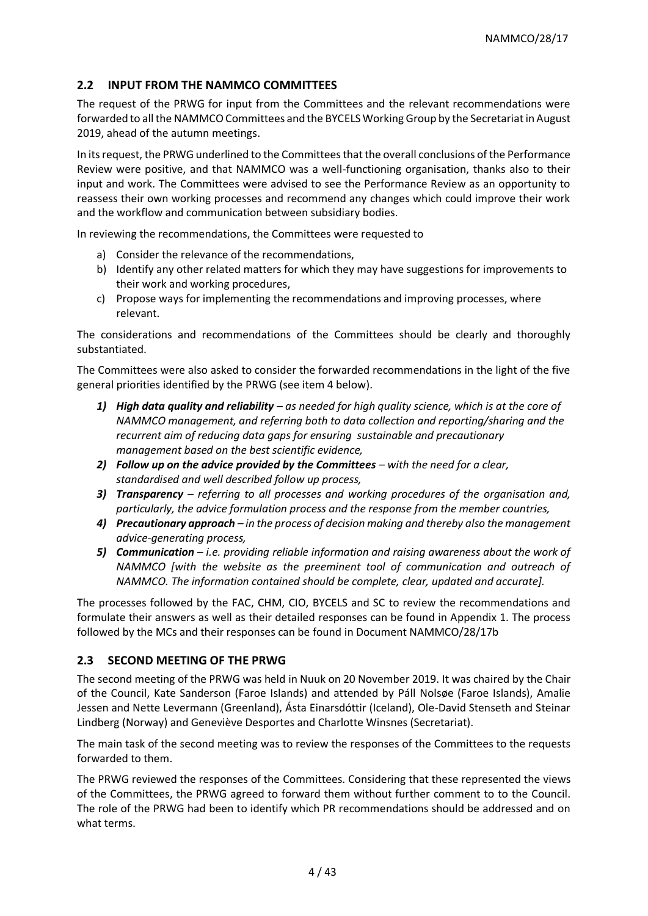### **2.2 INPUT FROM THE NAMMCO COMMITTEES**

The request of the PRWG for input from the Committees and the relevant recommendations were forwarded to all the NAMMCO Committees and the BYCELS Working Group by the Secretariat in August 2019, ahead of the autumn meetings.

In its request, the PRWG underlined to the Committees that the overall conclusions of the Performance Review were positive, and that NAMMCO was a well-functioning organisation, thanks also to their input and work. The Committees were advised to see the Performance Review as an opportunity to reassess their own working processes and recommend any changes which could improve their work and the workflow and communication between subsidiary bodies.

In reviewing the recommendations, the Committees were requested to

- a) Consider the relevance of the recommendations,
- b) Identify any other related matters for which they may have suggestions for improvements to their work and working procedures,
- c) Propose ways for implementing the recommendations and improving processes, where relevant.

The considerations and recommendations of the Committees should be clearly and thoroughly substantiated.

The Committees were also asked to consider the forwarded recommendations in the light of the five general priorities identified by the PRWG (see item 4 below).

- *1) High data quality and reliability – as needed for high quality science, which is at the core of NAMMCO management, and referring both to data collection and reporting/sharing and the recurrent aim of reducing data gaps for ensuring sustainable and precautionary management based on the best scientific evidence,*
- *2) Follow up on the advice provided by the Committees – with the need for a clear, standardised and well described follow up process,*
- *3) Transparency – referring to all processes and working procedures of the organisation and, particularly, the advice formulation process and the response from the member countries,*
- *4) Precautionary approach – in the process of decision making and thereby also the management advice-generating process,*
- *5) Communication – i.e. providing reliable information and raising awareness about the work of NAMMCO [with the website as the preeminent tool of communication and outreach of NAMMCO. The information contained should be complete, clear, updated and accurate].*

The processes followed by the FAC, CHM, CIO, BYCELS and SC to review the recommendations and formulate their answers as well as their detailed responses can be found in Appendix 1. The process followed by the MCs and their responses can be found in Document NAMMCO/28/17b

### **2.3 SECOND MEETING OF THE PRWG**

The second meeting of the PRWG was held in Nuuk on 20 November 2019. It was chaired by the Chair of the Council, Kate Sanderson (Faroe Islands) and attended by Páll Nolsøe (Faroe Islands), Amalie Jessen and Nette Levermann (Greenland), Ásta Einarsdóttir (Iceland), Ole-David Stenseth and Steinar Lindberg (Norway) and Geneviève Desportes and Charlotte Winsnes (Secretariat).

The main task of the second meeting was to review the responses of the Committees to the requests forwarded to them.

The PRWG reviewed the responses of the Committees. Considering that these represented the views of the Committees, the PRWG agreed to forward them without further comment to to the Council. The role of the PRWG had been to identify which PR recommendations should be addressed and on what terms.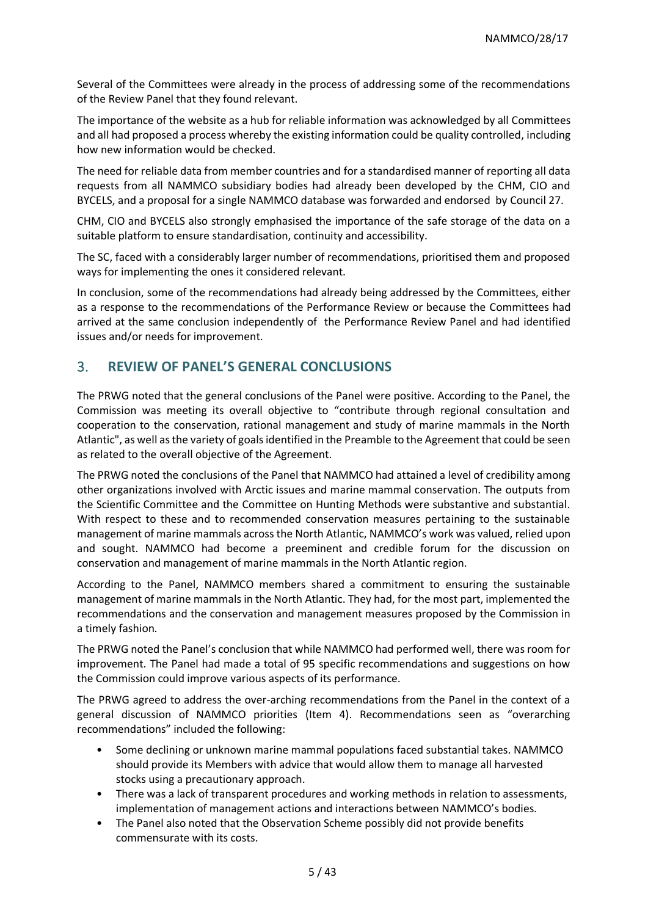Several of the Committees were already in the process of addressing some of the recommendations of the Review Panel that they found relevant.

The importance of the website as a hub for reliable information was acknowledged by all Committees and all had proposed a process whereby the existing information could be quality controlled, including how new information would be checked.

The need for reliable data from member countries and for a standardised manner of reporting all data requests from all NAMMCO subsidiary bodies had already been developed by the CHM, CIO and BYCELS, and a proposal for a single NAMMCO database was forwarded and endorsed by Council 27.

CHM, CIO and BYCELS also strongly emphasised the importance of the safe storage of the data on a suitable platform to ensure standardisation, continuity and accessibility.

The SC, faced with a considerably larger number of recommendations, prioritised them and proposed ways for implementing the ones it considered relevant.

In conclusion, some of the recommendations had already being addressed by the Committees, either as a response to the recommendations of the Performance Review or because the Committees had arrived at the same conclusion independently of the Performance Review Panel and had identified issues and/or needs for improvement.

## 3. **REVIEW OF PANEL'S GENERAL CONCLUSIONS**

The PRWG noted that the general conclusions of the Panel were positive. According to the Panel, the Commission was meeting its overall objective to "contribute through regional consultation and cooperation to the conservation, rational management and study of marine mammals in the North Atlantic", as well as the variety of goals identified in the Preamble to the Agreement that could be seen as related to the overall objective of the Agreement.

The PRWG noted the conclusions of the Panel that NAMMCO had attained a level of credibility among other organizations involved with Arctic issues and marine mammal conservation. The outputs from the Scientific Committee and the Committee on Hunting Methods were substantive and substantial. With respect to these and to recommended conservation measures pertaining to the sustainable management of marine mammals across the North Atlantic, NAMMCO's work was valued, relied upon and sought. NAMMCO had become a preeminent and credible forum for the discussion on conservation and management of marine mammals in the North Atlantic region.

According to the Panel, NAMMCO members shared a commitment to ensuring the sustainable management of marine mammals in the North Atlantic. They had, for the most part, implemented the recommendations and the conservation and management measures proposed by the Commission in a timely fashion.

The PRWG noted the Panel's conclusion that while NAMMCO had performed well, there was room for improvement. The Panel had made a total of 95 specific recommendations and suggestions on how the Commission could improve various aspects of its performance.

The PRWG agreed to address the over-arching recommendations from the Panel in the context of a general discussion of NAMMCO priorities (Item 4). Recommendations seen as "overarching recommendations" included the following:

- Some declining or unknown marine mammal populations faced substantial takes. NAMMCO should provide its Members with advice that would allow them to manage all harvested stocks using a precautionary approach.
- There was a lack of transparent procedures and working methods in relation to assessments, implementation of management actions and interactions between NAMMCO's bodies.
- The Panel also noted that the Observation Scheme possibly did not provide benefits commensurate with its costs.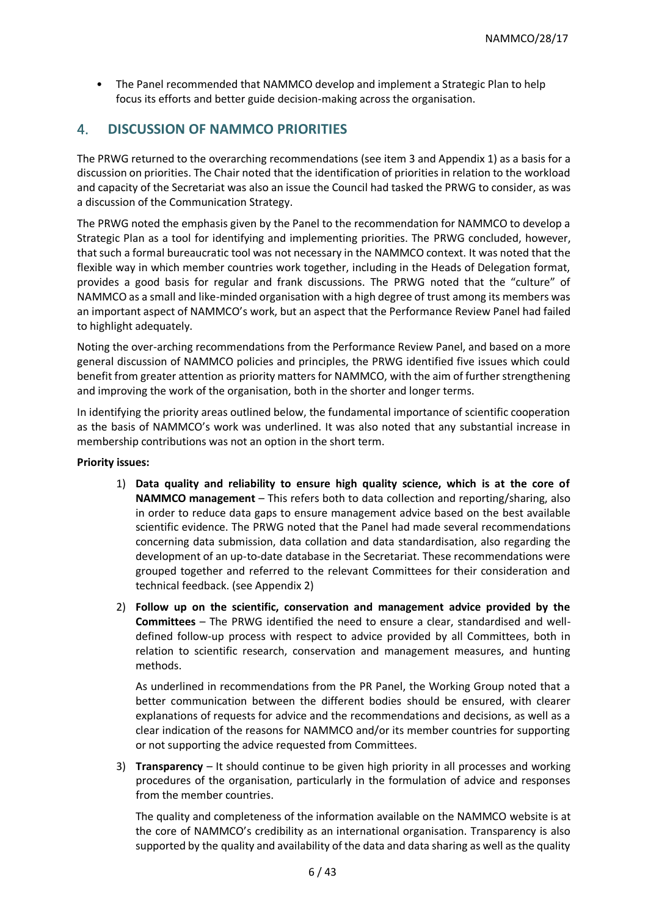• The Panel recommended that NAMMCO develop and implement a Strategic Plan to help focus its efforts and better guide decision-making across the organisation.

# 4. **DISCUSSION OF NAMMCO PRIORITIES**

The PRWG returned to the overarching recommendations (see item 3 and Appendix 1) as a basis for a discussion on priorities. The Chair noted that the identification of priorities in relation to the workload and capacity of the Secretariat was also an issue the Council had tasked the PRWG to consider, as was a discussion of the Communication Strategy.

The PRWG noted the emphasis given by the Panel to the recommendation for NAMMCO to develop a Strategic Plan as a tool for identifying and implementing priorities. The PRWG concluded, however, that such a formal bureaucratic tool was not necessary in the NAMMCO context. It was noted that the flexible way in which member countries work together, including in the Heads of Delegation format, provides a good basis for regular and frank discussions. The PRWG noted that the "culture" of NAMMCO as a small and like-minded organisation with a high degree of trust among its members was an important aspect of NAMMCO's work, but an aspect that the Performance Review Panel had failed to highlight adequately.

Noting the over-arching recommendations from the Performance Review Panel, and based on a more general discussion of NAMMCO policies and principles, the PRWG identified five issues which could benefit from greater attention as priority matters for NAMMCO, with the aim of further strengthening and improving the work of the organisation, both in the shorter and longer terms.

In identifying the priority areas outlined below, the fundamental importance of scientific cooperation as the basis of NAMMCO's work was underlined. It was also noted that any substantial increase in membership contributions was not an option in the short term.

#### **Priority issues:**

- 1) **Data quality and reliability to ensure high quality science, which is at the core of NAMMCO management** – This refers both to data collection and reporting/sharing, also in order to reduce data gaps to ensure management advice based on the best available scientific evidence. The PRWG noted that the Panel had made several recommendations concerning data submission, data collation and data standardisation, also regarding the development of an up-to-date database in the Secretariat. These recommendations were grouped together and referred to the relevant Committees for their consideration and technical feedback. (see Appendix 2)
- 2) **Follow up on the scientific, conservation and management advice provided by the Committees** – The PRWG identified the need to ensure a clear, standardised and welldefined follow-up process with respect to advice provided by all Committees, both in relation to scientific research, conservation and management measures, and hunting methods.

As underlined in recommendations from the PR Panel, the Working Group noted that a better communication between the different bodies should be ensured, with clearer explanations of requests for advice and the recommendations and decisions, as well as a clear indication of the reasons for NAMMCO and/or its member countries for supporting or not supporting the advice requested from Committees.

3) **Transparency** – It should continue to be given high priority in all processes and working procedures of the organisation, particularly in the formulation of advice and responses from the member countries.

The quality and completeness of the information available on the NAMMCO website is at the core of NAMMCO's credibility as an international organisation. Transparency is also supported by the quality and availability of the data and data sharing as well as the quality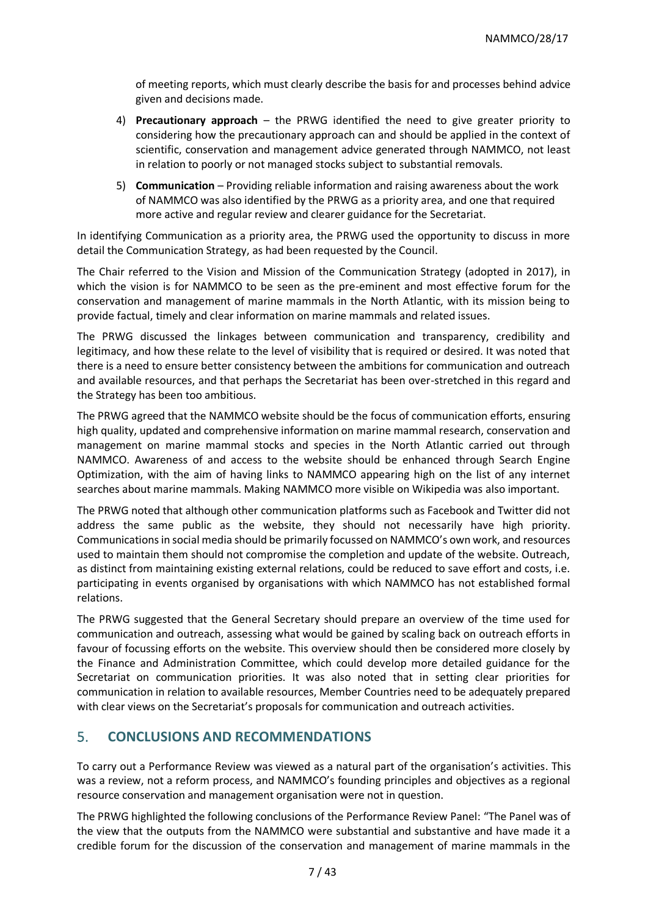of meeting reports, which must clearly describe the basis for and processes behind advice given and decisions made.

- 4) **Precautionary approach** the PRWG identified the need to give greater priority to considering how the precautionary approach can and should be applied in the context of scientific, conservation and management advice generated through NAMMCO, not least in relation to poorly or not managed stocks subject to substantial removals.
- 5) **Communication** Providing reliable information and raising awareness about the work of NAMMCO was also identified by the PRWG as a priority area, and one that required more active and regular review and clearer guidance for the Secretariat.

In identifying Communication as a priority area, the PRWG used the opportunity to discuss in more detail the Communication Strategy, as had been requested by the Council.

The Chair referred to the Vision and Mission of the Communication Strategy (adopted in 2017), in which the vision is for NAMMCO to be seen as the pre-eminent and most effective forum for the conservation and management of marine mammals in the North Atlantic, with its mission being to provide factual, timely and clear information on marine mammals and related issues.

The PRWG discussed the linkages between communication and transparency, credibility and legitimacy, and how these relate to the level of visibility that is required or desired. It was noted that there is a need to ensure better consistency between the ambitions for communication and outreach and available resources, and that perhaps the Secretariat has been over-stretched in this regard and the Strategy has been too ambitious.

The PRWG agreed that the NAMMCO website should be the focus of communication efforts, ensuring high quality, updated and comprehensive information on marine mammal research, conservation and management on marine mammal stocks and species in the North Atlantic carried out through NAMMCO. Awareness of and access to the website should be enhanced through Search Engine Optimization, with the aim of having links to NAMMCO appearing high on the list of any internet searches about marine mammals. Making NAMMCO more visible on Wikipedia was also important.

The PRWG noted that although other communication platforms such as Facebook and Twitter did not address the same public as the website, they should not necessarily have high priority. Communications in social media should be primarily focussed on NAMMCO's own work, and resources used to maintain them should not compromise the completion and update of the website. Outreach, as distinct from maintaining existing external relations, could be reduced to save effort and costs, i.e. participating in events organised by organisations with which NAMMCO has not established formal relations.

The PRWG suggested that the General Secretary should prepare an overview of the time used for communication and outreach, assessing what would be gained by scaling back on outreach efforts in favour of focussing efforts on the website. This overview should then be considered more closely by the Finance and Administration Committee, which could develop more detailed guidance for the Secretariat on communication priorities. It was also noted that in setting clear priorities for communication in relation to available resources, Member Countries need to be adequately prepared with clear views on the Secretariat's proposals for communication and outreach activities.

## 5. **CONCLUSIONS AND RECOMMENDATIONS**

To carry out a Performance Review was viewed as a natural part of the organisation's activities. This was a review, not a reform process, and NAMMCO's founding principles and objectives as a regional resource conservation and management organisation were not in question.

The PRWG highlighted the following conclusions of the Performance Review Panel: "The Panel was of the view that the outputs from the NAMMCO were substantial and substantive and have made it a credible forum for the discussion of the conservation and management of marine mammals in the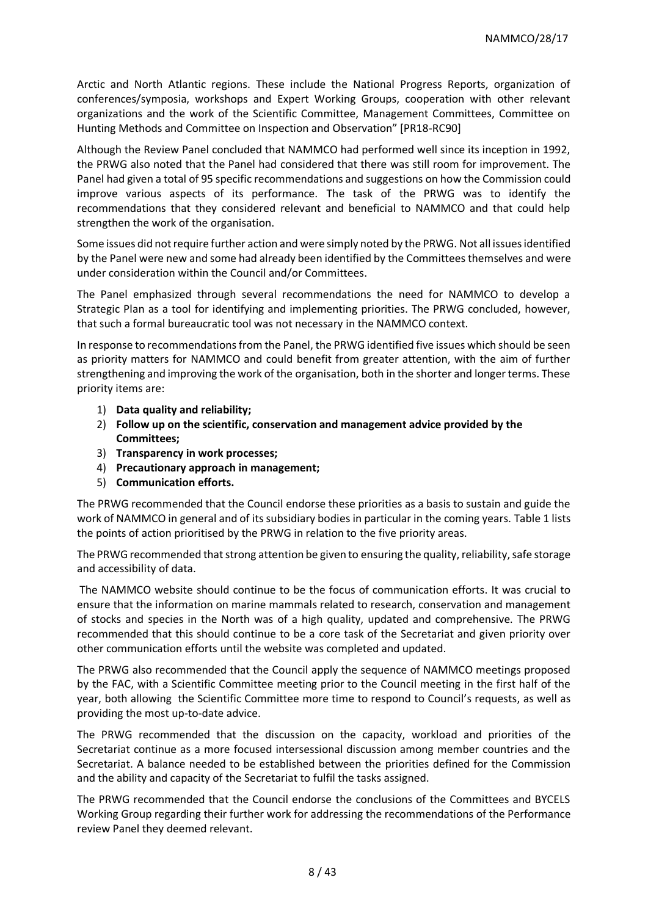Arctic and North Atlantic regions. These include the National Progress Reports, organization of conferences/symposia, workshops and Expert Working Groups, cooperation with other relevant organizations and the work of the Scientific Committee, Management Committees, Committee on Hunting Methods and Committee on Inspection and Observation" [PR18-RC90]

Although the Review Panel concluded that NAMMCO had performed well since its inception in 1992, the PRWG also noted that the Panel had considered that there was still room for improvement. The Panel had given a total of 95 specific recommendations and suggestions on how the Commission could improve various aspects of its performance. The task of the PRWG was to identify the recommendations that they considered relevant and beneficial to NAMMCO and that could help strengthen the work of the organisation.

Some issues did not require further action and were simply noted by the PRWG. Not all issues identified by the Panel were new and some had already been identified by the Committees themselves and were under consideration within the Council and/or Committees.

The Panel emphasized through several recommendations the need for NAMMCO to develop a Strategic Plan as a tool for identifying and implementing priorities. The PRWG concluded, however, that such a formal bureaucratic tool was not necessary in the NAMMCO context.

In response to recommendations from the Panel, the PRWG identified five issues which should be seen as priority matters for NAMMCO and could benefit from greater attention, with the aim of further strengthening and improving the work of the organisation, both in the shorter and longer terms. These priority items are:

- 1) **Data quality and reliability;**
- 2) **Follow up on the scientific, conservation and management advice provided by the Committees;**
- 3) **Transparency in work processes;**
- 4) **Precautionary approach in management;**
- 5) **Communication efforts.**

The PRWG recommended that the Council endorse these priorities as a basis to sustain and guide the work of NAMMCO in general and of its subsidiary bodies in particular in the coming years. Table 1 lists the points of action prioritised by the PRWG in relation to the five priority areas.

The PRWG recommended that strong attention be given to ensuring the quality, reliability, safe storage and accessibility of data.

The NAMMCO website should continue to be the focus of communication efforts. It was crucial to ensure that the information on marine mammals related to research, conservation and management of stocks and species in the North was of a high quality, updated and comprehensive. The PRWG recommended that this should continue to be a core task of the Secretariat and given priority over other communication efforts until the website was completed and updated.

The PRWG also recommended that the Council apply the sequence of NAMMCO meetings proposed by the FAC, with a Scientific Committee meeting prior to the Council meeting in the first half of the year, both allowing the Scientific Committee more time to respond to Council's requests, as well as providing the most up-to-date advice.

The PRWG recommended that the discussion on the capacity, workload and priorities of the Secretariat continue as a more focused intersessional discussion among member countries and the Secretariat. A balance needed to be established between the priorities defined for the Commission and the ability and capacity of the Secretariat to fulfil the tasks assigned.

The PRWG recommended that the Council endorse the conclusions of the Committees and BYCELS Working Group regarding their further work for addressing the recommendations of the Performance review Panel they deemed relevant.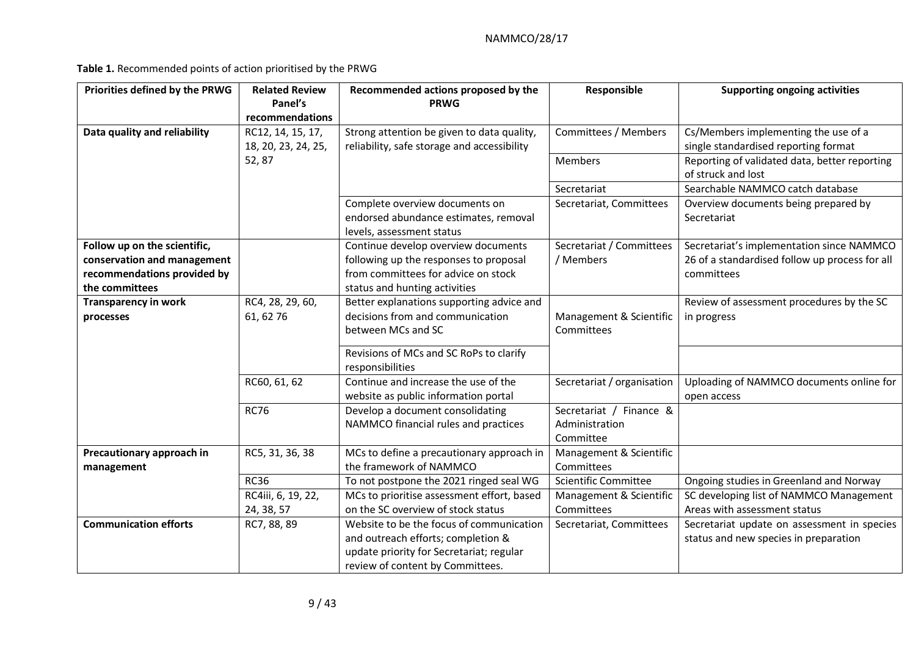**Table 1.** Recommended points of action prioritised by the PRWG

| Priorities defined by the PRWG | <b>Related Review</b> | Recommended actions proposed by the         | Responsible                | <b>Supporting ongoing activities</b>           |
|--------------------------------|-----------------------|---------------------------------------------|----------------------------|------------------------------------------------|
|                                | Panel's               | <b>PRWG</b>                                 |                            |                                                |
|                                | recommendations       |                                             |                            |                                                |
| Data quality and reliability   | RC12, 14, 15, 17,     | Strong attention be given to data quality,  | Committees / Members       | Cs/Members implementing the use of a           |
|                                | 18, 20, 23, 24, 25,   | reliability, safe storage and accessibility |                            | single standardised reporting format           |
|                                | 52,87                 |                                             | <b>Members</b>             | Reporting of validated data, better reporting  |
|                                |                       |                                             |                            | of struck and lost                             |
|                                |                       |                                             | Secretariat                | Searchable NAMMCO catch database               |
|                                |                       | Complete overview documents on              | Secretariat, Committees    | Overview documents being prepared by           |
|                                |                       | endorsed abundance estimates, removal       |                            | Secretariat                                    |
|                                |                       | levels, assessment status                   |                            |                                                |
| Follow up on the scientific,   |                       | Continue develop overview documents         | Secretariat / Committees   | Secretariat's implementation since NAMMCO      |
| conservation and management    |                       | following up the responses to proposal      | / Members                  | 26 of a standardised follow up process for all |
| recommendations provided by    |                       | from committees for advice on stock         |                            | committees                                     |
| the committees                 |                       | status and hunting activities               |                            |                                                |
| <b>Transparency in work</b>    | RC4, 28, 29, 60,      | Better explanations supporting advice and   |                            | Review of assessment procedures by the SC      |
| processes                      | 61, 62 76             | decisions from and communication            | Management & Scientific    | in progress                                    |
|                                |                       | between MCs and SC                          | Committees                 |                                                |
|                                |                       | Revisions of MCs and SC RoPs to clarify     |                            |                                                |
|                                |                       | responsibilities                            |                            |                                                |
|                                | RC60, 61, 62          | Continue and increase the use of the        | Secretariat / organisation | Uploading of NAMMCO documents online for       |
|                                |                       | website as public information portal        |                            | open access                                    |
|                                | <b>RC76</b>           | Develop a document consolidating            | Secretariat / Finance &    |                                                |
|                                |                       | NAMMCO financial rules and practices        | Administration             |                                                |
|                                |                       |                                             | Committee                  |                                                |
| Precautionary approach in      | RC5, 31, 36, 38       | MCs to define a precautionary approach in   | Management & Scientific    |                                                |
| management                     |                       | the framework of NAMMCO                     | Committees                 |                                                |
|                                | <b>RC36</b>           | To not postpone the 2021 ringed seal WG     | Scientific Committee       | Ongoing studies in Greenland and Norway        |
|                                | RC4iii, 6, 19, 22,    | MCs to prioritise assessment effort, based  | Management & Scientific    | SC developing list of NAMMCO Management        |
|                                | 24, 38, 57            | on the SC overview of stock status          | Committees                 | Areas with assessment status                   |
| <b>Communication efforts</b>   | RC7, 88, 89           | Website to be the focus of communication    | Secretariat, Committees    | Secretariat update on assessment in species    |
|                                |                       | and outreach efforts; completion &          |                            | status and new species in preparation          |
|                                |                       | update priority for Secretariat; regular    |                            |                                                |
|                                |                       | review of content by Committees.            |                            |                                                |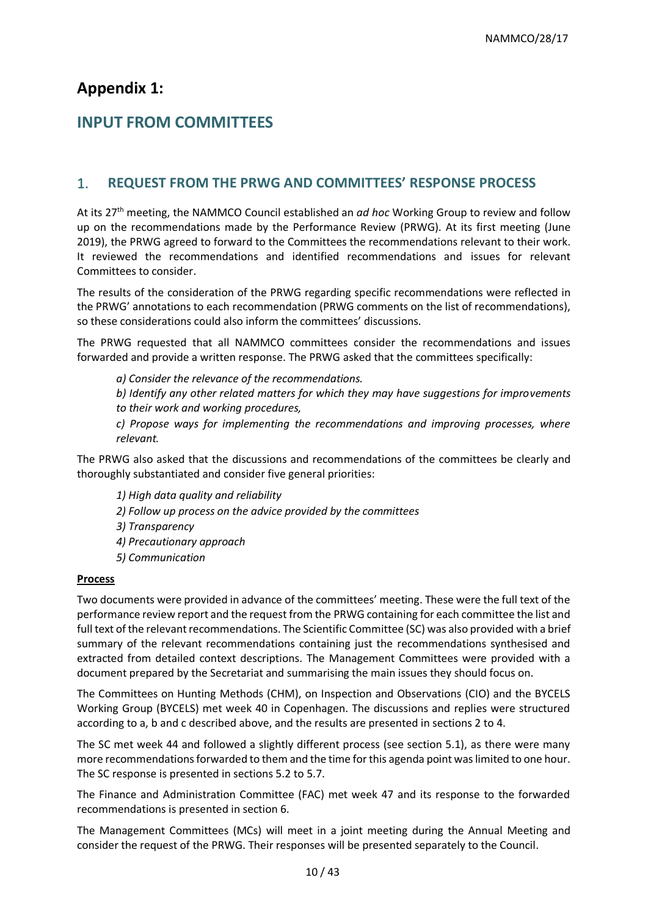# **Appendix 1:**

# **INPUT FROM COMMITTEES**

# 1. **REQUEST FROM THE PRWG AND COMMITTEES' RESPONSE PROCESS**

At its 27th meeting, the NAMMCO Council established an *ad hoc* Working Group to review and follow up on the recommendations made by the Performance Review (PRWG). At its first meeting (June 2019), the PRWG agreed to forward to the Committees the recommendations relevant to their work. It reviewed the recommendations and identified recommendations and issues for relevant Committees to consider.

The results of the consideration of the PRWG regarding specific recommendations were reflected in the PRWG' annotations to each recommendation (PRWG comments on the list of recommendations), so these considerations could also inform the committees' discussions.

The PRWG requested that all NAMMCO committees consider the recommendations and issues forwarded and provide a written response. The PRWG asked that the committees specifically:

*a) Consider the relevance of the recommendations.* 

*b) Identify any other related matters for which they may have suggestions for improvements to their work and working procedures,* 

*c) Propose ways for implementing the recommendations and improving processes, where relevant.* 

The PRWG also asked that the discussions and recommendations of the committees be clearly and thoroughly substantiated and consider five general priorities:

*1) High data quality and reliability 2) Follow up process on the advice provided by the committees 3) Transparency 4) Precautionary approach 5) Communication*

#### **Process**

Two documents were provided in advance of the committees' meeting. These were the full text of the performance review report and the request from the PRWG containing for each committee the list and full text of the relevant recommendations. The Scientific Committee (SC) was also provided with a brief summary of the relevant recommendations containing just the recommendations synthesised and extracted from detailed context descriptions. The Management Committees were provided with a document prepared by the Secretariat and summarising the main issues they should focus on.

The Committees on Hunting Methods (CHM), on Inspection and Observations (CIO) and the BYCELS Working Group (BYCELS) met week 40 in Copenhagen. The discussions and replies were structured according to a, b and c described above, and the results are presented in sections 2 to 4.

The SC met week 44 and followed a slightly different process (see section 5.1), as there were many more recommendations forwarded to them and the time for this agenda point was limited to one hour. The SC response is presented in sections 5.2 to 5.7.

The Finance and Administration Committee (FAC) met week 47 and its response to the forwarded recommendations is presented in section 6.

The Management Committees (MCs) will meet in a joint meeting during the Annual Meeting and consider the request of the PRWG. Their responses will be presented separately to the Council.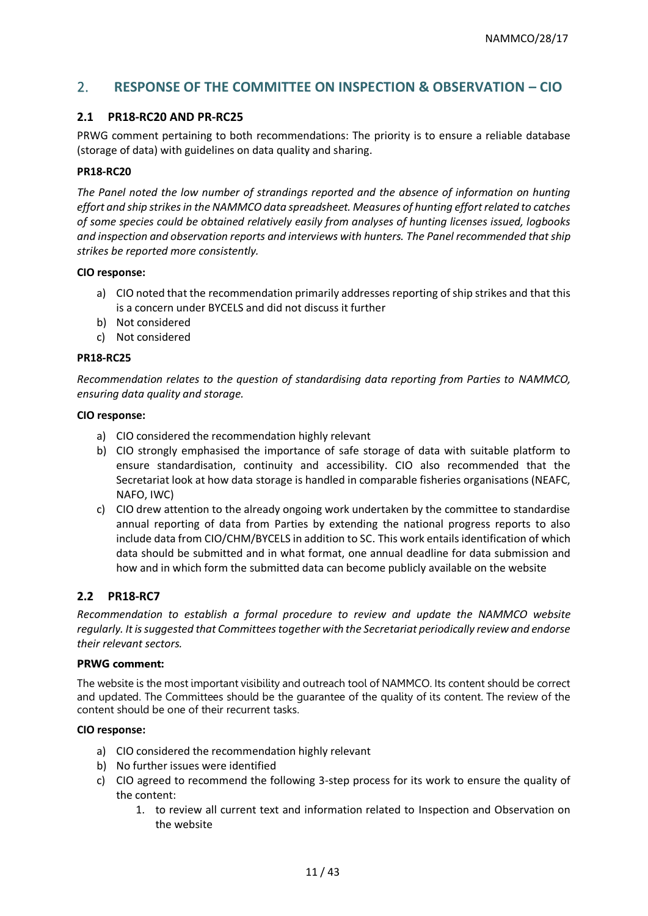# 2. **RESPONSE OF THE COMMITTEE ON INSPECTION & OBSERVATION – CIO**

#### **2.1 PR18-RC20 AND PR-RC25**

PRWG comment pertaining to both recommendations: The priority is to ensure a reliable database (storage of data) with guidelines on data quality and sharing.

#### **PR18-RC20**

*The Panel noted the low number of strandings reported and the absence of information on hunting effort and ship strikes in the NAMMCO data spreadsheet. Measures of hunting effort related to catches of some species could be obtained relatively easily from analyses of hunting licenses issued, logbooks and inspection and observation reports and interviews with hunters. The Panel recommended that ship strikes be reported more consistently.*

#### **CIO response:**

- a) CIO noted that the recommendation primarily addresses reporting of ship strikes and that this is a concern under BYCELS and did not discuss it further
- b) Not considered
- c) Not considered

#### **PR18-RC25**

*Recommendation relates to the question of standardising data reporting from Parties to NAMMCO, ensuring data quality and storage.* 

#### **CIO response:**

- a) CIO considered the recommendation highly relevant
- b) CIO strongly emphasised the importance of safe storage of data with suitable platform to ensure standardisation, continuity and accessibility. CIO also recommended that the Secretariat look at how data storage is handled in comparable fisheries organisations (NEAFC, NAFO, IWC)
- c) CIO drew attention to the already ongoing work undertaken by the committee to standardise annual reporting of data from Parties by extending the national progress reports to also include data from CIO/CHM/BYCELS in addition to SC. This work entails identification of which data should be submitted and in what format, one annual deadline for data submission and how and in which form the submitted data can become publicly available on the website

### **2.2 PR18-RC7**

*Recommendation to establish a formal procedure to review and update the NAMMCO website regularly. It is suggested that Committees together with the Secretariat periodically review and endorse their relevant sectors.* 

#### **PRWG comment:**

The website is the most important visibility and outreach tool of NAMMCO. Its content should be correct and updated. The Committees should be the guarantee of the quality of its content. The review of the content should be one of their recurrent tasks.

#### **CIO response:**

- a) CIO considered the recommendation highly relevant
- b) No further issues were identified
- c) CIO agreed to recommend the following 3-step process for its work to ensure the quality of the content:
	- 1. to review all current text and information related to Inspection and Observation on the website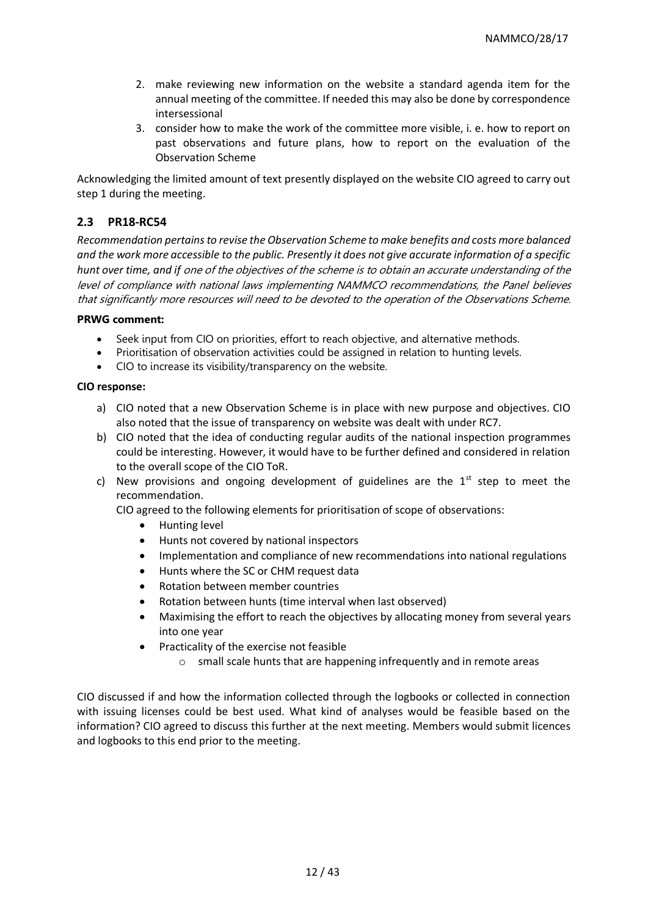- 2. make reviewing new information on the website a standard agenda item for the annual meeting of the committee. If needed this may also be done by correspondence intersessional
- 3. consider how to make the work of the committee more visible, i. e. how to report on past observations and future plans, how to report on the evaluation of the Observation Scheme

Acknowledging the limited amount of text presently displayed on the website CIO agreed to carry out step 1 during the meeting.

### **2.3 PR18-RC54**

*Recommendation pertains to revise the Observation Scheme to make benefits and costs more balanced and the work more accessible to the public. Presently it does not give accurate information of a specific hunt over time, and if* one of the objectives of the scheme is to obtain an accurate understanding of the level of compliance with national laws implementing NAMMCO recommendations, the Panel believes that significantly more resources will need to be devoted to the operation of the Observations Scheme.

#### **PRWG comment:**

- Seek input from CIO on priorities, effort to reach objective, and alternative methods.
- Prioritisation of observation activities could be assigned in relation to hunting levels.
- CIO to increase its visibility/transparency on the website.

#### **CIO response:**

- a) CIO noted that a new Observation Scheme is in place with new purpose and objectives. CIO also noted that the issue of transparency on website was dealt with under RC7.
- b) CIO noted that the idea of conducting regular audits of the national inspection programmes could be interesting. However, it would have to be further defined and considered in relation to the overall scope of the CIO ToR.
- c) New provisions and ongoing development of guidelines are the  $1<sup>st</sup>$  step to meet the recommendation.

CIO agreed to the following elements for prioritisation of scope of observations:

- Hunting level
- Hunts not covered by national inspectors
- Implementation and compliance of new recommendations into national regulations
- Hunts where the SC or CHM request data
- Rotation between member countries
- Rotation between hunts (time interval when last observed)
- Maximising the effort to reach the objectives by allocating money from several years into one year
- Practicality of the exercise not feasible
	- o small scale hunts that are happening infrequently and in remote areas

CIO discussed if and how the information collected through the logbooks or collected in connection with issuing licenses could be best used. What kind of analyses would be feasible based on the information? CIO agreed to discuss this further at the next meeting. Members would submit licences and logbooks to this end prior to the meeting.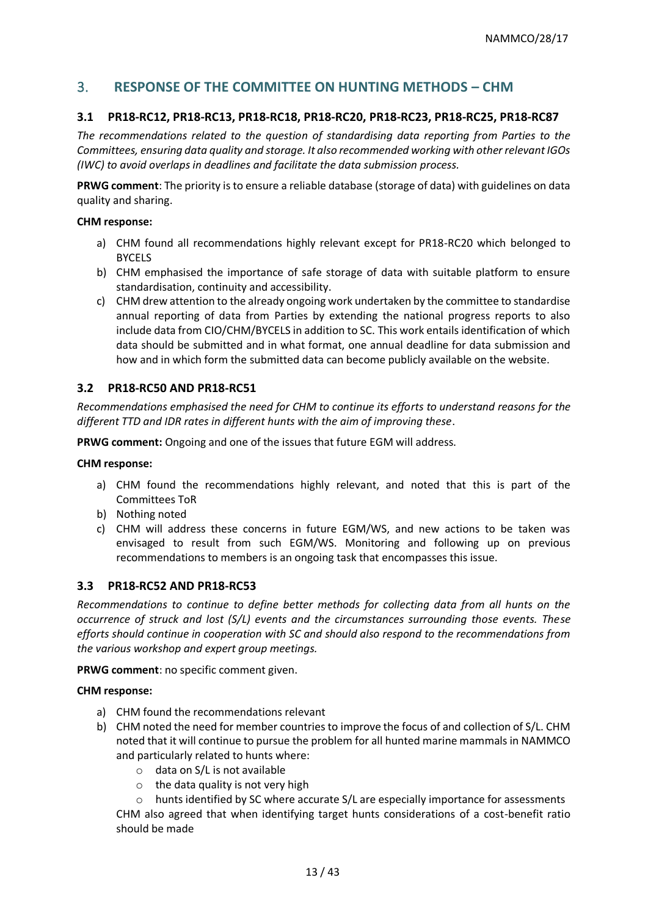# 3. **RESPONSE OF THE COMMITTEE ON HUNTING METHODS – CHM**

#### **3.1 PR18-RC12, PR18-RC13, PR18-RC18, PR18-RC20, PR18-RC23, PR18-RC25, PR18-RC87**

*The recommendations related to the question of standardising data reporting from Parties to the Committees, ensuring data quality and storage. It also recommended working with other relevant IGOs (IWC) to avoid overlaps in deadlines and facilitate the data submission process.* 

**PRWG comment**: The priority is to ensure a reliable database (storage of data) with guidelines on data quality and sharing.

#### **CHM response:**

- a) CHM found all recommendations highly relevant except for PR18-RC20 which belonged to BYCELS
- b) CHM emphasised the importance of safe storage of data with suitable platform to ensure standardisation, continuity and accessibility.
- c) CHM drew attention to the already ongoing work undertaken by the committee to standardise annual reporting of data from Parties by extending the national progress reports to also include data from CIO/CHM/BYCELS in addition to SC. This work entails identification of which data should be submitted and in what format, one annual deadline for data submission and how and in which form the submitted data can become publicly available on the website.

#### **3.2 PR18-RC50 AND PR18-RC51**

*Recommendations emphasised the need for CHM to continue its efforts to understand reasons for the different TTD and IDR rates in different hunts with the aim of improving these*.

**PRWG comment:** Ongoing and one of the issues that future EGM will address.

#### **CHM response:**

- a) CHM found the recommendations highly relevant, and noted that this is part of the Committees ToR
- b) Nothing noted
- c) CHM will address these concerns in future EGM/WS, and new actions to be taken was envisaged to result from such EGM/WS. Monitoring and following up on previous recommendations to members is an ongoing task that encompasses this issue.

#### **3.3 PR18-RC52 AND PR18-RC53**

*Recommendations to continue to define better methods for collecting data from all hunts on the occurrence of struck and lost (S/L) events and the circumstances surrounding those events. These efforts should continue in cooperation with SC and should also respond to the recommendations from the various workshop and expert group meetings.* 

**PRWG comment**: no specific comment given.

#### **CHM response:**

- a) CHM found the recommendations relevant
- b) CHM noted the need for member countries to improve the focus of and collection of S/L. CHM noted that it will continue to pursue the problem for all hunted marine mammals in NAMMCO and particularly related to hunts where:
	- o data on S/L is not available
	- $\circ$  the data quality is not very high
	- $\circ$  hunts identified by SC where accurate S/L are especially importance for assessments

CHM also agreed that when identifying target hunts considerations of a cost-benefit ratio should be made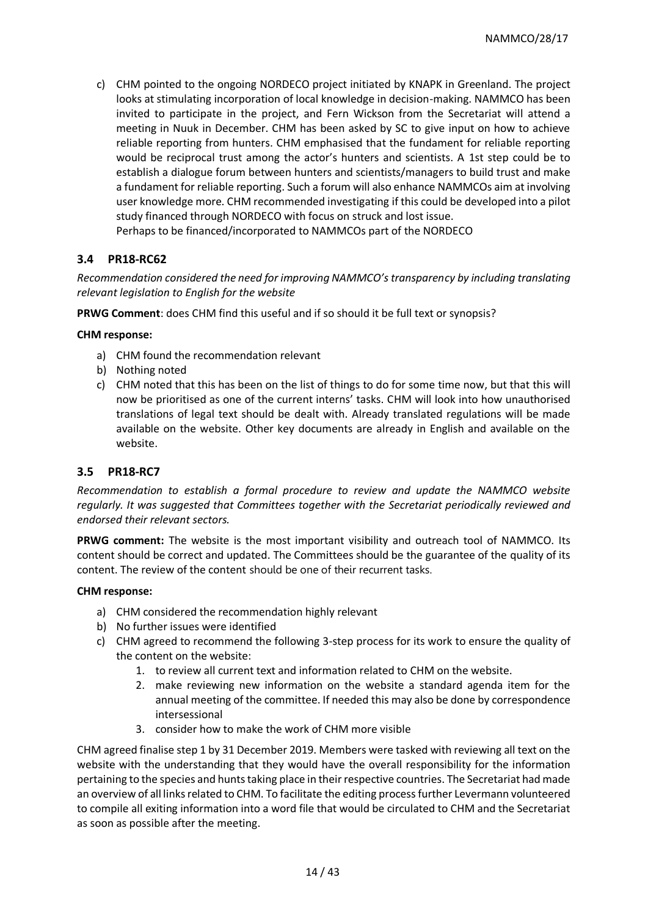c) CHM pointed to the ongoing NORDECO project initiated by KNAPK in Greenland. The project looks at stimulating incorporation of local knowledge in decision-making. NAMMCO has been invited to participate in the project, and Fern Wickson from the Secretariat will attend a meeting in Nuuk in December. CHM has been asked by SC to give input on how to achieve reliable reporting from hunters. CHM emphasised that the fundament for reliable reporting would be reciprocal trust among the actor's hunters and scientists. A 1st step could be to establish a dialogue forum between hunters and scientists/managers to build trust and make a fundament for reliable reporting. Such a forum will also enhance NAMMCOs aim at involving user knowledge more. CHM recommended investigating if this could be developed into a pilot study financed through NORDECO with focus on struck and lost issue. Perhaps to be financed/incorporated to NAMMCOs part of the NORDECO

### **3.4 PR18-RC62**

*Recommendation considered the need for improving NAMMCO's transparency by including translating relevant legislation to English for the website*

**PRWG Comment**: does CHM find this useful and if so should it be full text or synopsis?

#### **CHM response:**

- a) CHM found the recommendation relevant
- b) Nothing noted
- c) CHM noted that this has been on the list of things to do for some time now, but that this will now be prioritised as one of the current interns' tasks. CHM will look into how unauthorised translations of legal text should be dealt with. Already translated regulations will be made available on the website. Other key documents are already in English and available on the website.

#### **3.5 PR18-RC7**

*Recommendation to establish a formal procedure to review and update the NAMMCO website regularly. It was suggested that Committees together with the Secretariat periodically reviewed and endorsed their relevant sectors.* 

**PRWG comment:** The website is the most important visibility and outreach tool of NAMMCO. Its content should be correct and updated. The Committees should be the guarantee of the quality of its content. The review of the content should be one of their recurrent tasks.

#### **CHM response:**

- a) CHM considered the recommendation highly relevant
- b) No further issues were identified
- c) CHM agreed to recommend the following 3-step process for its work to ensure the quality of the content on the website:
	- 1. to review all current text and information related to CHM on the website.
	- 2. make reviewing new information on the website a standard agenda item for the annual meeting of the committee. If needed this may also be done by correspondence intersessional
	- 3. consider how to make the work of CHM more visible

CHM agreed finalise step 1 by 31 December 2019. Members were tasked with reviewing all text on the website with the understanding that they would have the overall responsibility for the information pertaining to the species and hunts taking place in their respective countries. The Secretariat had made an overview of all links related to CHM. To facilitate the editing process further Levermann volunteered to compile all exiting information into a word file that would be circulated to CHM and the Secretariat as soon as possible after the meeting.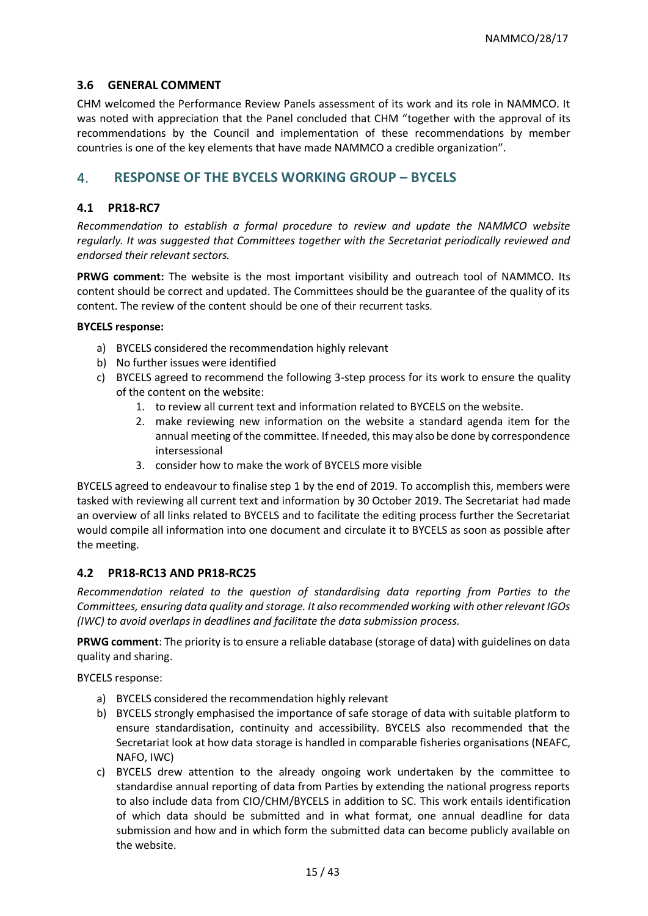#### **3.6 GENERAL COMMENT**

CHM welcomed the Performance Review Panels assessment of its work and its role in NAMMCO. It was noted with appreciation that the Panel concluded that CHM "together with the approval of its recommendations by the Council and implementation of these recommendations by member countries is one of the key elements that have made NAMMCO a credible organization".

## 4. **RESPONSE OF THE BYCELS WORKING GROUP – BYCELS**

#### **4.1 PR18-RC7**

*Recommendation to establish a formal procedure to review and update the NAMMCO website regularly. It was suggested that Committees together with the Secretariat periodically reviewed and endorsed their relevant sectors.* 

**PRWG comment:** The website is the most important visibility and outreach tool of NAMMCO. Its content should be correct and updated. The Committees should be the guarantee of the quality of its content. The review of the content should be one of their recurrent tasks.

#### **BYCELS response:**

- a) BYCELS considered the recommendation highly relevant
- b) No further issues were identified
- c) BYCELS agreed to recommend the following 3-step process for its work to ensure the quality of the content on the website:
	- 1. to review all current text and information related to BYCELS on the website.
	- 2. make reviewing new information on the website a standard agenda item for the annual meeting of the committee. If needed, this may also be done by correspondence intersessional
	- 3. consider how to make the work of BYCELS more visible

BYCELS agreed to endeavour to finalise step 1 by the end of 2019. To accomplish this, members were tasked with reviewing all current text and information by 30 October 2019. The Secretariat had made an overview of all links related to BYCELS and to facilitate the editing process further the Secretariat would compile all information into one document and circulate it to BYCELS as soon as possible after the meeting.

### **4.2 PR18-RC13 AND PR18-RC25**

*Recommendation related to the question of standardising data reporting from Parties to the Committees, ensuring data quality and storage. It also recommended working with other relevant IGOs (IWC) to avoid overlaps in deadlines and facilitate the data submission process.* 

**PRWG comment**: The priority is to ensure a reliable database (storage of data) with guidelines on data quality and sharing.

BYCELS response:

- a) BYCELS considered the recommendation highly relevant
- b) BYCELS strongly emphasised the importance of safe storage of data with suitable platform to ensure standardisation, continuity and accessibility. BYCELS also recommended that the Secretariat look at how data storage is handled in comparable fisheries organisations (NEAFC, NAFO, IWC)
- c) BYCELS drew attention to the already ongoing work undertaken by the committee to standardise annual reporting of data from Parties by extending the national progress reports to also include data from CIO/CHM/BYCELS in addition to SC. This work entails identification of which data should be submitted and in what format, one annual deadline for data submission and how and in which form the submitted data can become publicly available on the website.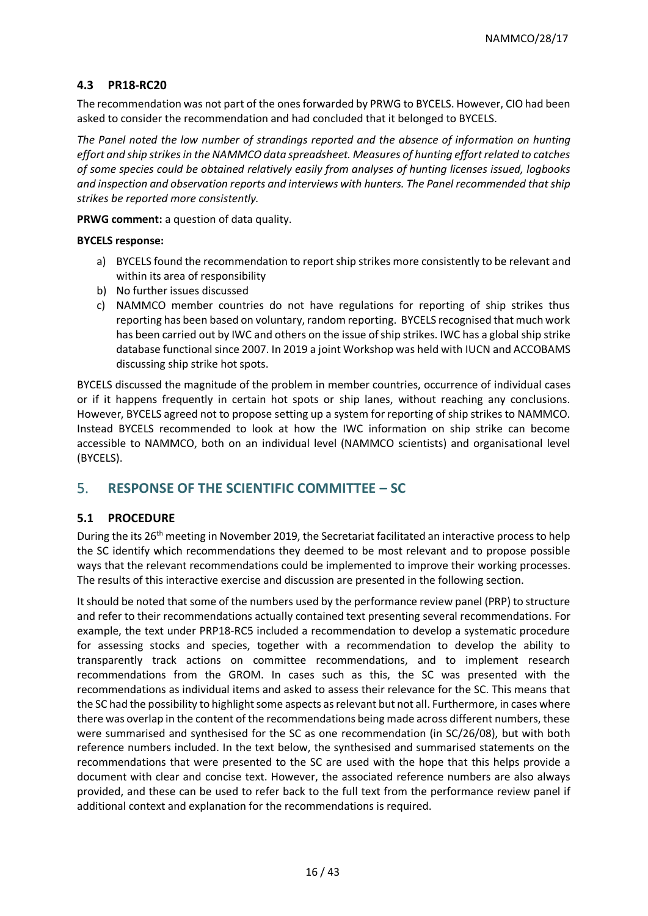### **4.3 PR18-RC20**

The recommendation was not part of the ones forwarded by PRWG to BYCELS. However, CIO had been asked to consider the recommendation and had concluded that it belonged to BYCELS.

*The Panel noted the low number of strandings reported and the absence of information on hunting effort and ship strikes in the NAMMCO data spreadsheet. Measures of hunting effort related to catches of some species could be obtained relatively easily from analyses of hunting licenses issued, logbooks and inspection and observation reports and interviews with hunters. The Panel recommended that ship strikes be reported more consistently.*

**PRWG comment:** a question of data quality.

#### **BYCELS response:**

- a) BYCELS found the recommendation to report ship strikes more consistently to be relevant and within its area of responsibility
- b) No further issues discussed
- c) NAMMCO member countries do not have regulations for reporting of ship strikes thus reporting has been based on voluntary, random reporting. BYCELS recognised that much work has been carried out by IWC and others on the issue of ship strikes. IWC has a global ship strike database functional since 2007. In 2019 a joint Workshop was held with IUCN and ACCOBAMS discussing ship strike hot spots.

BYCELS discussed the magnitude of the problem in member countries, occurrence of individual cases or if it happens frequently in certain hot spots or ship lanes, without reaching any conclusions. However, BYCELS agreed not to propose setting up a system for reporting of ship strikes to NAMMCO. Instead BYCELS recommended to look at how the IWC information on ship strike can become accessible to NAMMCO, both on an individual level (NAMMCO scientists) and organisational level (BYCELS).

# 5. **RESPONSE OF THE SCIENTIFIC COMMITTEE – SC**

### **5.1 PROCEDURE**

During the its 26<sup>th</sup> meeting in November 2019, the Secretariat facilitated an interactive process to help the SC identify which recommendations they deemed to be most relevant and to propose possible ways that the relevant recommendations could be implemented to improve their working processes. The results of this interactive exercise and discussion are presented in the following section.

It should be noted that some of the numbers used by the performance review panel (PRP) to structure and refer to their recommendations actually contained text presenting several recommendations. For example, the text under PRP18-RC5 included a recommendation to develop a systematic procedure for assessing stocks and species, together with a recommendation to develop the ability to transparently track actions on committee recommendations, and to implement research recommendations from the GROM. In cases such as this, the SC was presented with the recommendations as individual items and asked to assess their relevance for the SC. This means that the SC had the possibility to highlight some aspects as relevant but not all. Furthermore, in cases where there was overlap in the content of the recommendations being made across different numbers, these were summarised and synthesised for the SC as one recommendation (in SC/26/08), but with both reference numbers included. In the text below, the synthesised and summarised statements on the recommendations that were presented to the SC are used with the hope that this helps provide a document with clear and concise text. However, the associated reference numbers are also always provided, and these can be used to refer back to the full text from the performance review panel if additional context and explanation for the recommendations is required.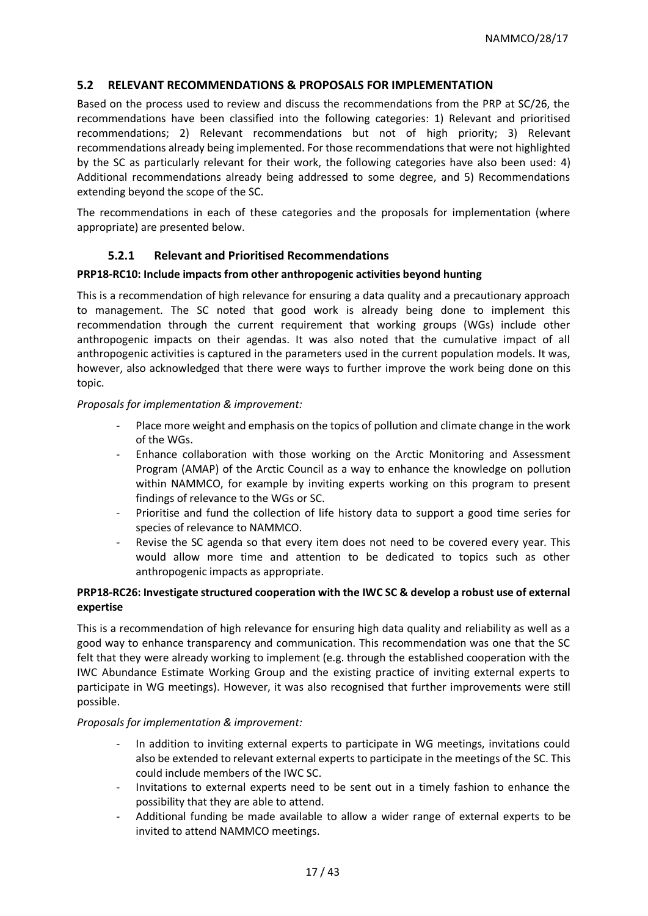#### **5.2 RELEVANT RECOMMENDATIONS & PROPOSALS FOR IMPLEMENTATION**

Based on the process used to review and discuss the recommendations from the PRP at SC/26, the recommendations have been classified into the following categories: 1) Relevant and prioritised recommendations; 2) Relevant recommendations but not of high priority; 3) Relevant recommendations already being implemented. For those recommendations that were not highlighted by the SC as particularly relevant for their work, the following categories have also been used: 4) Additional recommendations already being addressed to some degree, and 5) Recommendations extending beyond the scope of the SC.

The recommendations in each of these categories and the proposals for implementation (where appropriate) are presented below.

#### **5.2.1 Relevant and Prioritised Recommendations**

#### **PRP18-RC10: Include impacts from other anthropogenic activities beyond hunting**

This is a recommendation of high relevance for ensuring a data quality and a precautionary approach to management. The SC noted that good work is already being done to implement this recommendation through the current requirement that working groups (WGs) include other anthropogenic impacts on their agendas. It was also noted that the cumulative impact of all anthropogenic activities is captured in the parameters used in the current population models. It was, however, also acknowledged that there were ways to further improve the work being done on this topic.

#### *Proposals for implementation & improvement:*

- Place more weight and emphasis on the topics of pollution and climate change in the work of the WGs.
- Enhance collaboration with those working on the Arctic Monitoring and Assessment Program (AMAP) of the Arctic Council as a way to enhance the knowledge on pollution within NAMMCO, for example by inviting experts working on this program to present findings of relevance to the WGs or SC.
- Prioritise and fund the collection of life history data to support a good time series for species of relevance to NAMMCO.
- Revise the SC agenda so that every item does not need to be covered every year. This would allow more time and attention to be dedicated to topics such as other anthropogenic impacts as appropriate.

#### **PRP18-RC26: Investigate structured cooperation with the IWC SC & develop a robust use of external expertise**

This is a recommendation of high relevance for ensuring high data quality and reliability as well as a good way to enhance transparency and communication. This recommendation was one that the SC felt that they were already working to implement (e.g. through the established cooperation with the IWC Abundance Estimate Working Group and the existing practice of inviting external experts to participate in WG meetings). However, it was also recognised that further improvements were still possible.

#### *Proposals for implementation & improvement:*

- In addition to inviting external experts to participate in WG meetings, invitations could also be extended to relevant external experts to participate in the meetings of the SC. This could include members of the IWC SC.
- Invitations to external experts need to be sent out in a timely fashion to enhance the possibility that they are able to attend.
- Additional funding be made available to allow a wider range of external experts to be invited to attend NAMMCO meetings.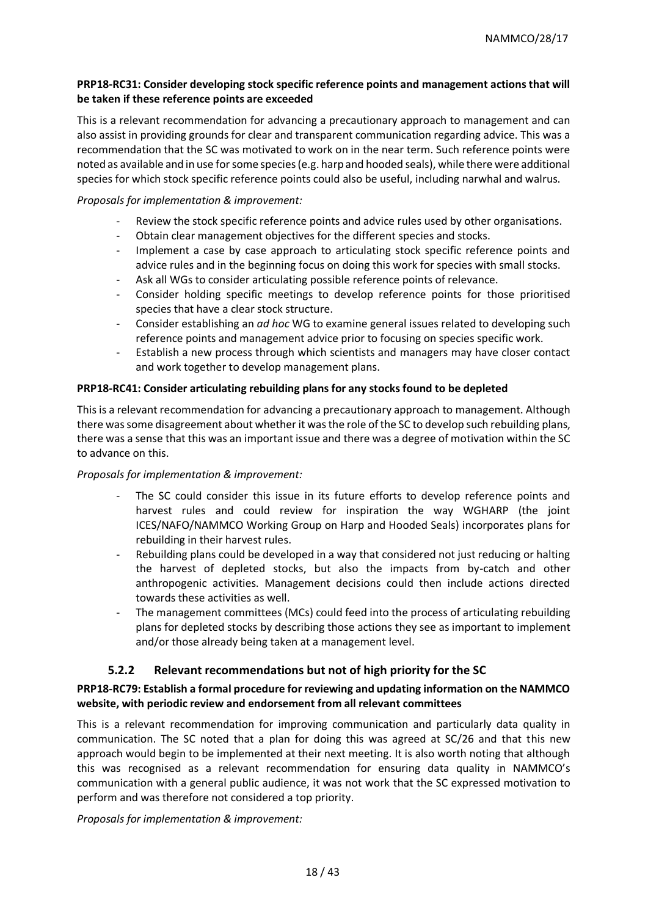#### **PRP18-RC31: Consider developing stock specific reference points and management actions that will be taken if these reference points are exceeded**

This is a relevant recommendation for advancing a precautionary approach to management and can also assist in providing grounds for clear and transparent communication regarding advice. This was a recommendation that the SC was motivated to work on in the near term. Such reference points were noted as available and in use for some species (e.g. harp and hooded seals), while there were additional species for which stock specific reference points could also be useful, including narwhal and walrus.

#### *Proposals for implementation & improvement:*

- Review the stock specific reference points and advice rules used by other organisations.
- Obtain clear management objectives for the different species and stocks.
- Implement a case by case approach to articulating stock specific reference points and advice rules and in the beginning focus on doing this work for species with small stocks.
- Ask all WGs to consider articulating possible reference points of relevance.
- Consider holding specific meetings to develop reference points for those prioritised species that have a clear stock structure.
- Consider establishing an *ad hoc* WG to examine general issues related to developing such reference points and management advice prior to focusing on species specific work.
- Establish a new process through which scientists and managers may have closer contact and work together to develop management plans.

#### **PRP18-RC41: Consider articulating rebuilding plans for any stocks found to be depleted**

This is a relevant recommendation for advancing a precautionary approach to management. Although there was some disagreement about whether it was the role of the SC to develop such rebuilding plans, there was a sense that this was an important issue and there was a degree of motivation within the SC to advance on this.

#### *Proposals for implementation & improvement:*

- The SC could consider this issue in its future efforts to develop reference points and harvest rules and could review for inspiration the way WGHARP (the joint ICES/NAFO/NAMMCO Working Group on Harp and Hooded Seals) incorporates plans for rebuilding in their harvest rules.
- Rebuilding plans could be developed in a way that considered not just reducing or halting the harvest of depleted stocks, but also the impacts from by-catch and other anthropogenic activities. Management decisions could then include actions directed towards these activities as well.
- The management committees (MCs) could feed into the process of articulating rebuilding plans for depleted stocks by describing those actions they see as important to implement and/or those already being taken at a management level.

#### **5.2.2 Relevant recommendations but not of high priority for the SC**

### **PRP18-RC79: Establish a formal procedure for reviewing and updating information on the NAMMCO website, with periodic review and endorsement from all relevant committees**

This is a relevant recommendation for improving communication and particularly data quality in communication. The SC noted that a plan for doing this was agreed at SC/26 and that this new approach would begin to be implemented at their next meeting. It is also worth noting that although this was recognised as a relevant recommendation for ensuring data quality in NAMMCO's communication with a general public audience, it was not work that the SC expressed motivation to perform and was therefore not considered a top priority.

*Proposals for implementation & improvement:*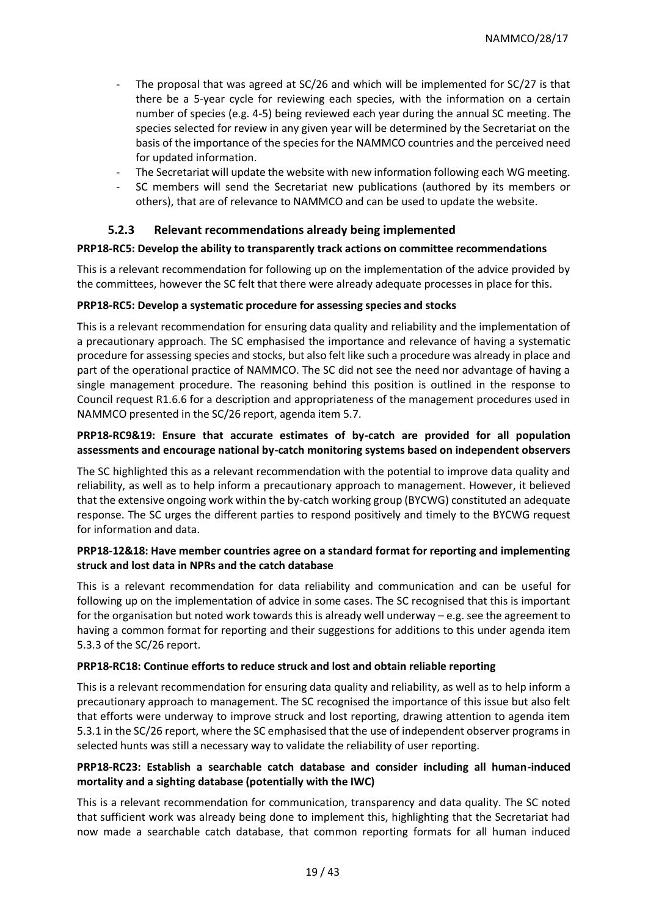- The proposal that was agreed at  $SC/26$  and which will be implemented for  $SC/27$  is that there be a 5-year cycle for reviewing each species, with the information on a certain number of species (e.g. 4-5) being reviewed each year during the annual SC meeting. The species selected for review in any given year will be determined by the Secretariat on the basis of the importance of the species for the NAMMCO countries and the perceived need for updated information.
- The Secretariat will update the website with new information following each WG meeting.
- SC members will send the Secretariat new publications (authored by its members or others), that are of relevance to NAMMCO and can be used to update the website.

#### **5.2.3 Relevant recommendations already being implemented**

#### **PRP18-RC5: Develop the ability to transparently track actions on committee recommendations**

This is a relevant recommendation for following up on the implementation of the advice provided by the committees, however the SC felt that there were already adequate processes in place for this.

#### **PRP18-RC5: Develop a systematic procedure for assessing species and stocks**

This is a relevant recommendation for ensuring data quality and reliability and the implementation of a precautionary approach. The SC emphasised the importance and relevance of having a systematic procedure for assessing species and stocks, but also felt like such a procedure was already in place and part of the operational practice of NAMMCO. The SC did not see the need nor advantage of having a single management procedure. The reasoning behind this position is outlined in the response to Council request R1.6.6 for a description and appropriateness of the management procedures used in NAMMCO presented in the SC/26 report, agenda item 5.7.

#### **PRP18-RC9&19: Ensure that accurate estimates of by-catch are provided for all population assessments and encourage national by-catch monitoring systems based on independent observers**

The SC highlighted this as a relevant recommendation with the potential to improve data quality and reliability, as well as to help inform a precautionary approach to management. However, it believed that the extensive ongoing work within the by-catch working group (BYCWG) constituted an adequate response. The SC urges the different parties to respond positively and timely to the BYCWG request for information and data.

#### **PRP18-12&18: Have member countries agree on a standard format for reporting and implementing struck and lost data in NPRs and the catch database**

This is a relevant recommendation for data reliability and communication and can be useful for following up on the implementation of advice in some cases. The SC recognised that this is important for the organisation but noted work towards this is already well underway – e.g. see the agreement to having a common format for reporting and their suggestions for additions to this under agenda item 5.3.3 of the SC/26 report.

#### **PRP18-RC18: Continue efforts to reduce struck and lost and obtain reliable reporting**

This is a relevant recommendation for ensuring data quality and reliability, as well as to help inform a precautionary approach to management. The SC recognised the importance of this issue but also felt that efforts were underway to improve struck and lost reporting, drawing attention to agenda item 5.3.1 in the SC/26 report, where the SC emphasised that the use of independent observer programs in selected hunts was still a necessary way to validate the reliability of user reporting.

#### **PRP18-RC23: Establish a searchable catch database and consider including all human-induced mortality and a sighting database (potentially with the IWC)**

This is a relevant recommendation for communication, transparency and data quality. The SC noted that sufficient work was already being done to implement this, highlighting that the Secretariat had now made a searchable catch database, that common reporting formats for all human induced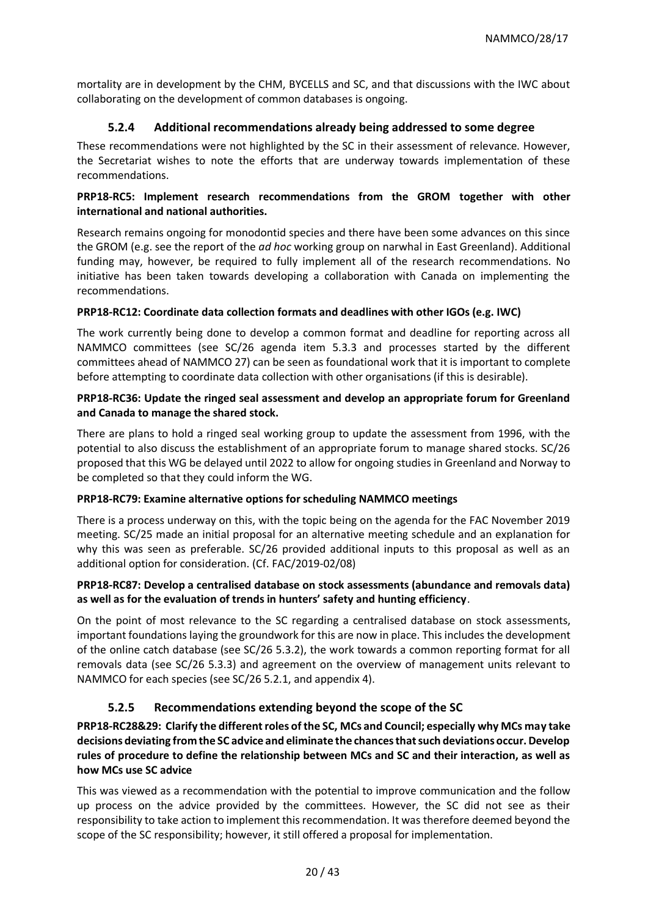mortality are in development by the CHM, BYCELLS and SC, and that discussions with the IWC about collaborating on the development of common databases is ongoing.

### **5.2.4 Additional recommendations already being addressed to some degree**

These recommendations were not highlighted by the SC in their assessment of relevance. However, the Secretariat wishes to note the efforts that are underway towards implementation of these recommendations.

#### **PRP18-RC5: Implement research recommendations from the GROM together with other international and national authorities.**

Research remains ongoing for monodontid species and there have been some advances on this since the GROM (e.g. see the report of the *ad hoc* working group on narwhal in East Greenland). Additional funding may, however, be required to fully implement all of the research recommendations. No initiative has been taken towards developing a collaboration with Canada on implementing the recommendations.

#### **PRP18-RC12: Coordinate data collection formats and deadlines with other IGOs (e.g. IWC)**

The work currently being done to develop a common format and deadline for reporting across all NAMMCO committees (see SC/26 agenda item 5.3.3 and processes started by the different committees ahead of NAMMCO 27) can be seen as foundational work that it is important to complete before attempting to coordinate data collection with other organisations (if this is desirable).

#### **PRP18-RC36: Update the ringed seal assessment and develop an appropriate forum for Greenland and Canada to manage the shared stock.**

There are plans to hold a ringed seal working group to update the assessment from 1996, with the potential to also discuss the establishment of an appropriate forum to manage shared stocks. SC/26 proposed that this WG be delayed until 2022 to allow for ongoing studies in Greenland and Norway to be completed so that they could inform the WG.

#### **PRP18-RC79: Examine alternative options for scheduling NAMMCO meetings**

There is a process underway on this, with the topic being on the agenda for the FAC November 2019 meeting. SC/25 made an initial proposal for an alternative meeting schedule and an explanation for why this was seen as preferable. SC/26 provided additional inputs to this proposal as well as an additional option for consideration. (Cf. FAC/2019-02/08)

#### **PRP18-RC87: Develop a centralised database on stock assessments (abundance and removals data) as well as for the evaluation of trends in hunters' safety and hunting efficiency**.

On the point of most relevance to the SC regarding a centralised database on stock assessments, important foundations laying the groundwork for this are now in place. This includes the development of the online catch database (see SC/26 5.3.2), the work towards a common reporting format for all removals data (see SC/26 5.3.3) and agreement on the overview of management units relevant to NAMMCO for each species (see SC/26 5.2.1, and appendix 4).

### **5.2.5 Recommendations extending beyond the scope of the SC**

**PRP18-RC28&29: Clarify the different roles of the SC, MCs and Council; especially why MCs may take decisions deviating from the SC advice and eliminate the chances that such deviations occur. Develop rules of procedure to define the relationship between MCs and SC and their interaction, as well as how MCs use SC advice**

This was viewed as a recommendation with the potential to improve communication and the follow up process on the advice provided by the committees. However, the SC did not see as their responsibility to take action to implement this recommendation. It was therefore deemed beyond the scope of the SC responsibility; however, it still offered a proposal for implementation.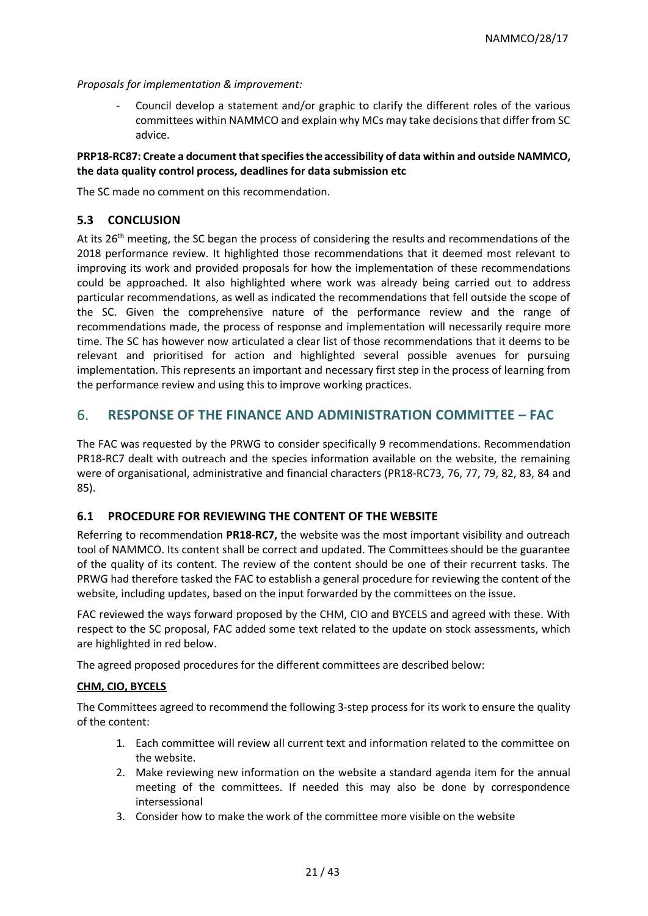*Proposals for implementation & improvement:*

- Council develop a statement and/or graphic to clarify the different roles of the various committees within NAMMCO and explain why MCs may take decisions that differ from SC advice.

#### **PRP18-RC87: Create a document that specifies the accessibility of data within and outside NAMMCO, the data quality control process, deadlines for data submission etc**

The SC made no comment on this recommendation.

### **5.3 CONCLUSION**

At its 26<sup>th</sup> meeting, the SC began the process of considering the results and recommendations of the 2018 performance review. It highlighted those recommendations that it deemed most relevant to improving its work and provided proposals for how the implementation of these recommendations could be approached. It also highlighted where work was already being carried out to address particular recommendations, as well as indicated the recommendations that fell outside the scope of the SC. Given the comprehensive nature of the performance review and the range of recommendations made, the process of response and implementation will necessarily require more time. The SC has however now articulated a clear list of those recommendations that it deems to be relevant and prioritised for action and highlighted several possible avenues for pursuing implementation. This represents an important and necessary first step in the process of learning from the performance review and using this to improve working practices.

## 6. **RESPONSE OF THE FINANCE AND ADMINISTRATION COMMITTEE – FAC**

The FAC was requested by the PRWG to consider specifically 9 recommendations. Recommendation PR18-RC7 dealt with outreach and the species information available on the website, the remaining were of organisational, administrative and financial characters (PR18-RC73, 76, 77, 79, 82, 83, 84 and 85).

#### **6.1 PROCEDURE FOR REVIEWING THE CONTENT OF THE WEBSITE**

Referring to recommendation **PR18-RC7,** the website was the most important visibility and outreach tool of NAMMCO. Its content shall be correct and updated. The Committees should be the guarantee of the quality of its content. The review of the content should be one of their recurrent tasks. The PRWG had therefore tasked the FAC to establish a general procedure for reviewing the content of the website, including updates, based on the input forwarded by the committees on the issue.

FAC reviewed the ways forward proposed by the CHM, CIO and BYCELS and agreed with these. With respect to the SC proposal, FAC added some text related to the update on stock assessments, which are highlighted in red below.

The agreed proposed procedures for the different committees are described below:

#### **CHM, CIO, BYCELS**

The Committees agreed to recommend the following 3-step process for its work to ensure the quality of the content:

- 1. Each committee will review all current text and information related to the committee on the website.
- 2. Make reviewing new information on the website a standard agenda item for the annual meeting of the committees. If needed this may also be done by correspondence intersessional
- 3. Consider how to make the work of the committee more visible on the website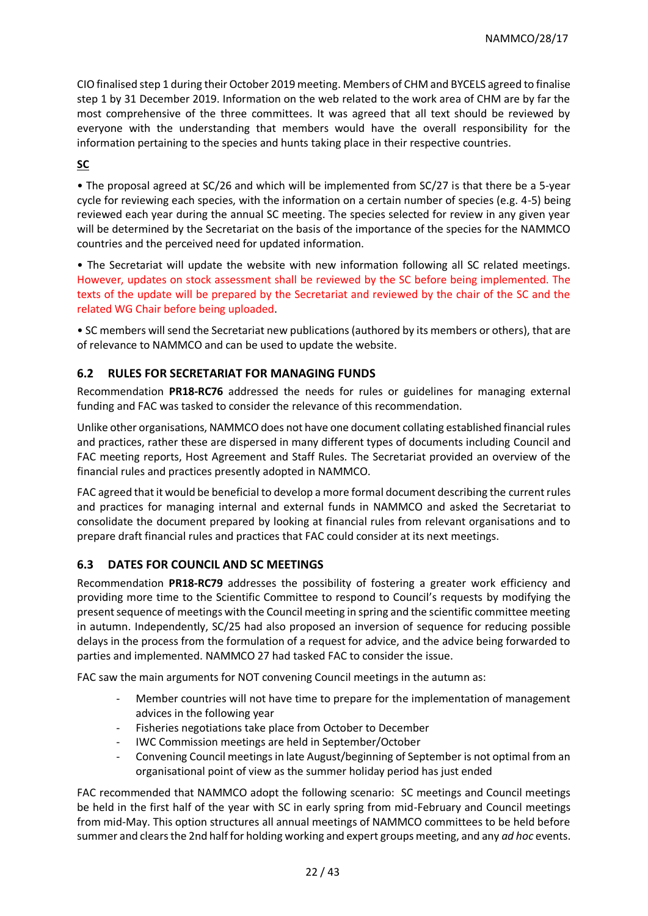CIO finalised step 1 during their October 2019 meeting. Members of CHM and BYCELS agreed to finalise step 1 by 31 December 2019. Information on the web related to the work area of CHM are by far the most comprehensive of the three committees. It was agreed that all text should be reviewed by everyone with the understanding that members would have the overall responsibility for the information pertaining to the species and hunts taking place in their respective countries.

#### **SC**

• The proposal agreed at SC/26 and which will be implemented from SC/27 is that there be a 5-year cycle for reviewing each species, with the information on a certain number of species (e.g. 4-5) being reviewed each year during the annual SC meeting. The species selected for review in any given year will be determined by the Secretariat on the basis of the importance of the species for the NAMMCO countries and the perceived need for updated information.

• The Secretariat will update the website with new information following all SC related meetings. However, updates on stock assessment shall be reviewed by the SC before being implemented. The texts of the update will be prepared by the Secretariat and reviewed by the chair of the SC and the related WG Chair before being uploaded.

• SC members will send the Secretariat new publications (authored by its members or others), that are of relevance to NAMMCO and can be used to update the website.

### **6.2 RULES FOR SECRETARIAT FOR MANAGING FUNDS**

Recommendation **PR18-RC76** addressed the needs for rules or guidelines for managing external funding and FAC was tasked to consider the relevance of this recommendation.

Unlike other organisations, NAMMCO does not have one document collating established financial rules and practices, rather these are dispersed in many different types of documents including Council and FAC meeting reports, Host Agreement and Staff Rules. The Secretariat provided an overview of the financial rules and practices presently adopted in NAMMCO.

FAC agreed that it would be beneficial to develop a more formal document describing the current rules and practices for managing internal and external funds in NAMMCO and asked the Secretariat to consolidate the document prepared by looking at financial rules from relevant organisations and to prepare draft financial rules and practices that FAC could consider at its next meetings.

### **6.3 DATES FOR COUNCIL AND SC MEETINGS**

Recommendation **PR18-RC79** addresses the possibility of fostering a greater work efficiency and providing more time to the Scientific Committee to respond to Council's requests by modifying the present sequence of meetings with the Council meeting in spring and the scientific committee meeting in autumn. Independently, SC/25 had also proposed an inversion of sequence for reducing possible delays in the process from the formulation of a request for advice, and the advice being forwarded to parties and implemented. NAMMCO 27 had tasked FAC to consider the issue.

FAC saw the main arguments for NOT convening Council meetings in the autumn as:

- Member countries will not have time to prepare for the implementation of management advices in the following year
- Fisheries negotiations take place from October to December
- IWC Commission meetings are held in September/October
- Convening Council meetings in late August/beginning of September is not optimal from an organisational point of view as the summer holiday period has just ended

FAC recommended that NAMMCO adopt the following scenario: SC meetings and Council meetings be held in the first half of the year with SC in early spring from mid-February and Council meetings from mid-May. This option structures all annual meetings of NAMMCO committees to be held before summer and clears the 2nd half for holding working and expert groups meeting, and any *ad hoc* events.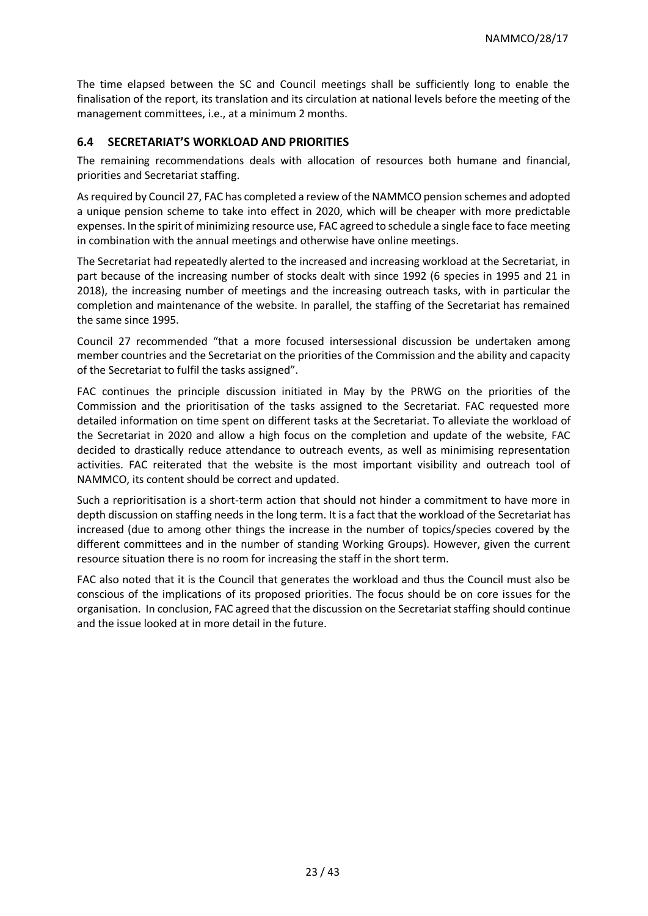The time elapsed between the SC and Council meetings shall be sufficiently long to enable the finalisation of the report, its translation and its circulation at national levels before the meeting of the management committees, i.e., at a minimum 2 months.

#### **6.4 SECRETARIAT'S WORKLOAD AND PRIORITIES**

The remaining recommendations deals with allocation of resources both humane and financial, priorities and Secretariat staffing.

As required by Council 27, FAC has completed a review of the NAMMCO pension schemes and adopted a unique pension scheme to take into effect in 2020, which will be cheaper with more predictable expenses. In the spirit of minimizing resource use, FAC agreed to schedule a single face to face meeting in combination with the annual meetings and otherwise have online meetings.

The Secretariat had repeatedly alerted to the increased and increasing workload at the Secretariat, in part because of the increasing number of stocks dealt with since 1992 (6 species in 1995 and 21 in 2018), the increasing number of meetings and the increasing outreach tasks, with in particular the completion and maintenance of the website. In parallel, the staffing of the Secretariat has remained the same since 1995.

Council 27 recommended "that a more focused intersessional discussion be undertaken among member countries and the Secretariat on the priorities of the Commission and the ability and capacity of the Secretariat to fulfil the tasks assigned".

FAC continues the principle discussion initiated in May by the PRWG on the priorities of the Commission and the prioritisation of the tasks assigned to the Secretariat. FAC requested more detailed information on time spent on different tasks at the Secretariat. To alleviate the workload of the Secretariat in 2020 and allow a high focus on the completion and update of the website, FAC decided to drastically reduce attendance to outreach events, as well as minimising representation activities. FAC reiterated that the website is the most important visibility and outreach tool of NAMMCO, its content should be correct and updated.

Such a reprioritisation is a short-term action that should not hinder a commitment to have more in depth discussion on staffing needs in the long term. It is a fact that the workload of the Secretariat has increased (due to among other things the increase in the number of topics/species covered by the different committees and in the number of standing Working Groups). However, given the current resource situation there is no room for increasing the staff in the short term.

FAC also noted that it is the Council that generates the workload and thus the Council must also be conscious of the implications of its proposed priorities. The focus should be on core issues for the organisation. In conclusion, FAC agreed that the discussion on the Secretariat staffing should continue and the issue looked at in more detail in the future.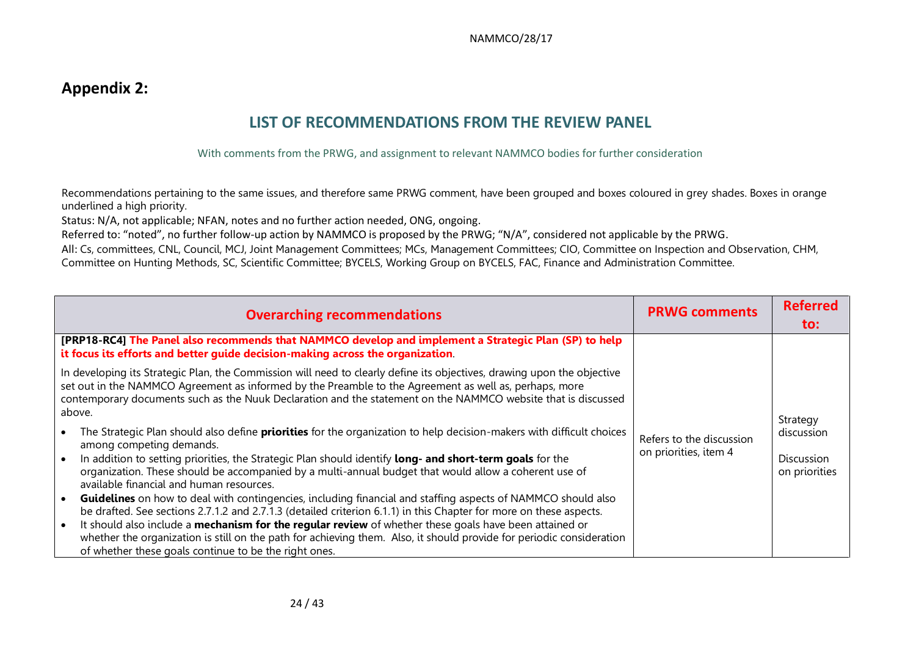# **Appendix 2:**

# **LIST OF RECOMMENDATIONS FROM THE REVIEW PANEL**

With comments from the PRWG, and assignment to relevant NAMMCO bodies for further consideration

Recommendations pertaining to the same issues, and therefore same PRWG comment, have been grouped and boxes coloured in grey shades. Boxes in orange underlined a high priority.

Status: N/A, not applicable; NFAN, notes and no further action needed, ONG, ongoing.

Referred to: "noted", no further follow-up action by NAMMCO is proposed by the PRWG; "N/A", considered not applicable by the PRWG.

All: Cs, committees, CNL, Council, MCJ, Joint Management Committees; MCs, Management Committees; CIO, Committee on Inspection and Observation, CHM, Committee on Hunting Methods, SC, Scientific Committee; BYCELS, Working Group on BYCELS, FAC, Finance and Administration Committee.

| <b>Overarching recommendations</b>                                                                                                                                                                                                                                                                                                                                                                                                                                                                                                                                                                                                                                    | <b>PRWG comments</b>                              | <b>Referred</b><br>to:                    |
|-----------------------------------------------------------------------------------------------------------------------------------------------------------------------------------------------------------------------------------------------------------------------------------------------------------------------------------------------------------------------------------------------------------------------------------------------------------------------------------------------------------------------------------------------------------------------------------------------------------------------------------------------------------------------|---------------------------------------------------|-------------------------------------------|
| [PRP18-RC4] The Panel also recommends that NAMMCO develop and implement a Strategic Plan (SP) to help<br>it focus its efforts and better guide decision-making across the organization.                                                                                                                                                                                                                                                                                                                                                                                                                                                                               |                                                   |                                           |
| In developing its Strategic Plan, the Commission will need to clearly define its objectives, drawing upon the objective<br>set out in the NAMMCO Agreement as informed by the Preamble to the Agreement as well as, perhaps, more<br>contemporary documents such as the Nuuk Declaration and the statement on the NAMMCO website that is discussed<br>above.                                                                                                                                                                                                                                                                                                          |                                                   | Strategy                                  |
| The Strategic Plan should also define <b>priorities</b> for the organization to help decision-makers with difficult choices<br>among competing demands.<br>In addition to setting priorities, the Strategic Plan should identify long- and short-term goals for the<br>organization. These should be accompanied by a multi-annual budget that would allow a coherent use of<br>available financial and human resources.<br><b>Guidelines</b> on how to deal with contingencies, including financial and staffing aspects of NAMMCO should also<br>be drafted. See sections 2.7.1.2 and 2.7.1.3 (detailed criterion 6.1.1) in this Chapter for more on these aspects. | Refers to the discussion<br>on priorities, item 4 | discussion<br>Discussion<br>on priorities |
| It should also include a mechanism for the regular review of whether these goals have been attained or<br>whether the organization is still on the path for achieving them. Also, it should provide for periodic consideration<br>of whether these goals continue to be the right ones.                                                                                                                                                                                                                                                                                                                                                                               |                                                   |                                           |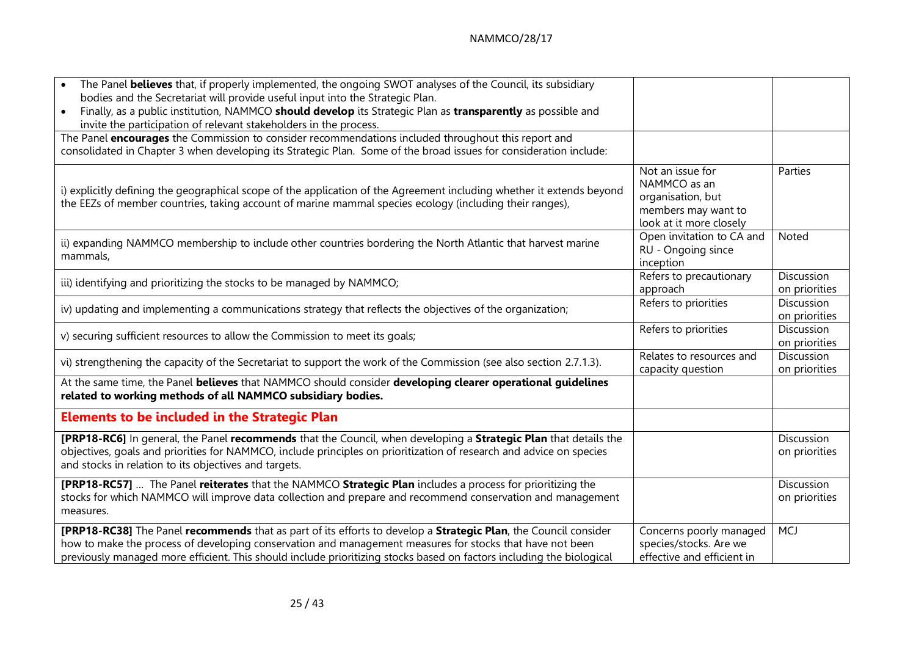| The Panel believes that, if properly implemented, the ongoing SWOT analyses of the Council, its subsidiary                                                                                                                                                                                                                                          |                                                                                                         |                                    |
|-----------------------------------------------------------------------------------------------------------------------------------------------------------------------------------------------------------------------------------------------------------------------------------------------------------------------------------------------------|---------------------------------------------------------------------------------------------------------|------------------------------------|
| bodies and the Secretariat will provide useful input into the Strategic Plan.<br>Finally, as a public institution, NAMMCO should develop its Strategic Plan as transparently as possible and<br>$\bullet$<br>invite the participation of relevant stakeholders in the process.                                                                      |                                                                                                         |                                    |
| The Panel encourages the Commission to consider recommendations included throughout this report and<br>consolidated in Chapter 3 when developing its Strategic Plan. Some of the broad issues for consideration include:                                                                                                                            |                                                                                                         |                                    |
| i) explicitly defining the geographical scope of the application of the Agreement including whether it extends beyond<br>the EEZs of member countries, taking account of marine mammal species ecology (including their ranges),                                                                                                                    | Not an issue for<br>NAMMCO as an<br>organisation, but<br>members may want to<br>look at it more closely | Parties                            |
| ii) expanding NAMMCO membership to include other countries bordering the North Atlantic that harvest marine<br>mammals,                                                                                                                                                                                                                             | Open invitation to CA and<br>RU - Ongoing since<br>inception                                            | Noted                              |
| iii) identifying and prioritizing the stocks to be managed by NAMMCO;                                                                                                                                                                                                                                                                               | Refers to precautionary<br>approach                                                                     | <b>Discussion</b><br>on priorities |
| iv) updating and implementing a communications strategy that reflects the objectives of the organization;                                                                                                                                                                                                                                           | Refers to priorities                                                                                    | Discussion<br>on priorities        |
| v) securing sufficient resources to allow the Commission to meet its goals;                                                                                                                                                                                                                                                                         | Refers to priorities                                                                                    | Discussion<br>on priorities        |
| vi) strengthening the capacity of the Secretariat to support the work of the Commission (see also section 2.7.1.3).                                                                                                                                                                                                                                 | Relates to resources and<br>capacity question                                                           | Discussion<br>on priorities        |
| At the same time, the Panel believes that NAMMCO should consider developing clearer operational guidelines<br>related to working methods of all NAMMCO subsidiary bodies.                                                                                                                                                                           |                                                                                                         |                                    |
| <b>Elements to be included in the Strategic Plan</b>                                                                                                                                                                                                                                                                                                |                                                                                                         |                                    |
| [PRP18-RC6] In general, the Panel recommends that the Council, when developing a Strategic Plan that details the<br>objectives, goals and priorities for NAMMCO, include principles on prioritization of research and advice on species<br>and stocks in relation to its objectives and targets.                                                    |                                                                                                         | Discussion<br>on priorities        |
| [PRP18-RC57]  The Panel reiterates that the NAMMCO Strategic Plan includes a process for prioritizing the<br>stocks for which NAMMCO will improve data collection and prepare and recommend conservation and management<br>measures.                                                                                                                |                                                                                                         | <b>Discussion</b><br>on priorities |
| [PRP18-RC38] The Panel recommends that as part of its efforts to develop a Strategic Plan, the Council consider<br>how to make the process of developing conservation and management measures for stocks that have not been<br>previously managed more efficient. This should include prioritizing stocks based on factors including the biological | Concerns poorly managed<br>species/stocks. Are we<br>effective and efficient in                         | <b>MCJ</b>                         |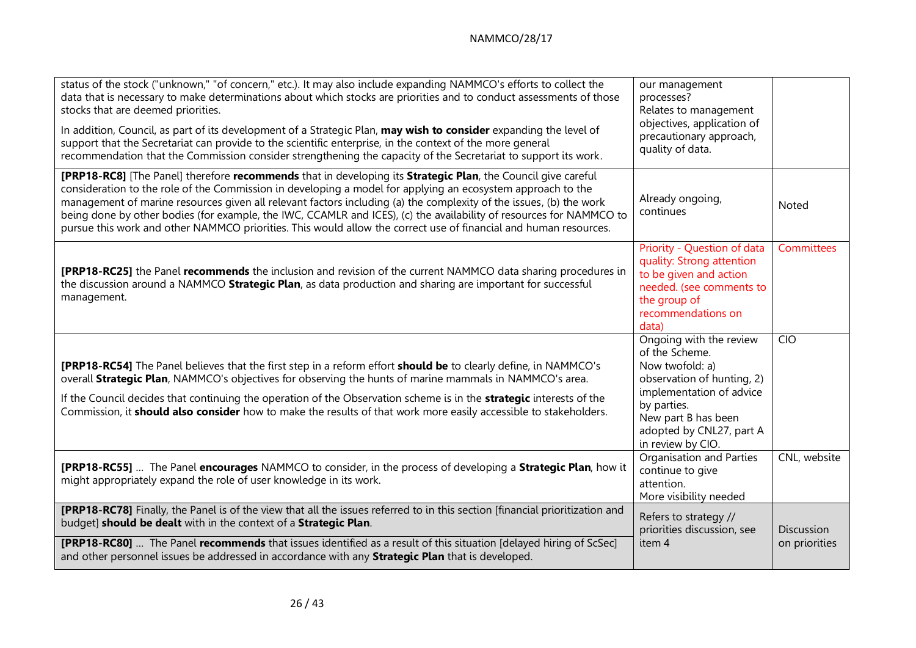| status of the stock ("unknown," "of concern," etc.). It may also include expanding NAMMCO's efforts to collect the<br>data that is necessary to make determinations about which stocks are priorities and to conduct assessments of those<br>stocks that are deemed priorities.<br>In addition, Council, as part of its development of a Strategic Plan, may wish to consider expanding the level of<br>support that the Secretariat can provide to the scientific enterprise, in the context of the more general<br>recommendation that the Commission consider strengthening the capacity of the Secretariat to support its work. | our management<br>processes?<br>Relates to management<br>objectives, application of<br>precautionary approach,<br>quality of data.                                                                            |                             |
|-------------------------------------------------------------------------------------------------------------------------------------------------------------------------------------------------------------------------------------------------------------------------------------------------------------------------------------------------------------------------------------------------------------------------------------------------------------------------------------------------------------------------------------------------------------------------------------------------------------------------------------|---------------------------------------------------------------------------------------------------------------------------------------------------------------------------------------------------------------|-----------------------------|
| [PRP18-RC8] [The Panel] therefore recommends that in developing its Strategic Plan, the Council give careful<br>consideration to the role of the Commission in developing a model for applying an ecosystem approach to the<br>management of marine resources given all relevant factors including (a) the complexity of the issues, (b) the work<br>being done by other bodies (for example, the IWC, CCAMLR and ICES), (c) the availability of resources for NAMMCO to<br>pursue this work and other NAMMCO priorities. This would allow the correct use of financial and human resources.                                        | Already ongoing,<br>continues                                                                                                                                                                                 | <b>Noted</b>                |
| [PRP18-RC25] the Panel recommends the inclusion and revision of the current NAMMCO data sharing procedures in<br>the discussion around a NAMMCO Strategic Plan, as data production and sharing are important for successful<br>management.                                                                                                                                                                                                                                                                                                                                                                                          | Priority - Question of data<br>quality: Strong attention<br>to be given and action<br>needed. (see comments to<br>the group of<br>recommendations on<br>data)                                                 | Committees                  |
| [PRP18-RC54] The Panel believes that the first step in a reform effort should be to clearly define, in NAMMCO's<br>overall Strategic Plan, NAMMCO's objectives for observing the hunts of marine mammals in NAMMCO's area.<br>If the Council decides that continuing the operation of the Observation scheme is in the <b>strategic</b> interests of the<br>Commission, it should also consider how to make the results of that work more easily accessible to stakeholders.                                                                                                                                                        | Ongoing with the review<br>of the Scheme.<br>Now twofold: a)<br>observation of hunting, 2)<br>implementation of advice<br>by parties.<br>New part B has been<br>adopted by CNL27, part A<br>in review by CIO. | <b>CIO</b>                  |
| [PRP18-RC55]  The Panel encourages NAMMCO to consider, in the process of developing a Strategic Plan, how it<br>might appropriately expand the role of user knowledge in its work.                                                                                                                                                                                                                                                                                                                                                                                                                                                  | Organisation and Parties<br>continue to give<br>attention.<br>More visibility needed                                                                                                                          | CNL, website                |
| [PRP18-RC78] Finally, the Panel is of the view that all the issues referred to in this section [financial prioritization and<br>budget] should be dealt with in the context of a Strategic Plan.<br>[PRP18-RC80]  The Panel recommends that issues identified as a result of this situation [delayed hiring of ScSec]<br>and other personnel issues be addressed in accordance with any Strategic Plan that is developed.                                                                                                                                                                                                           | Refers to strategy //<br>priorities discussion, see<br>item 4                                                                                                                                                 | Discussion<br>on priorities |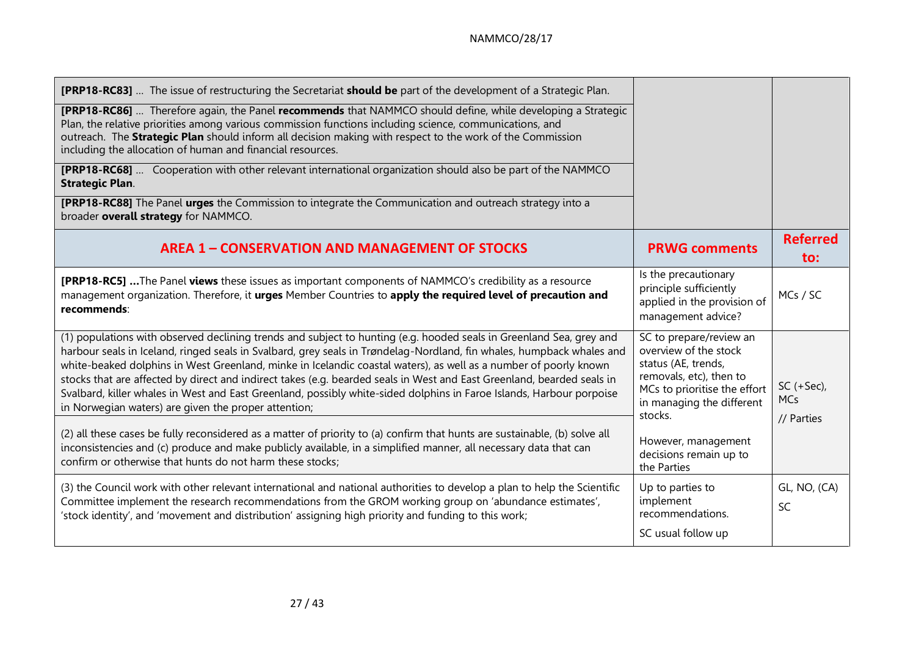| <b>[PRP18-RC83]</b> The issue of restructuring the Secretariat <b>should be</b> part of the development of a Strategic Plan.                                                                                                                                                                                                                                                                                                                                                                                                                                                                                                                                               |                                                                                                                                                                            |                                           |
|----------------------------------------------------------------------------------------------------------------------------------------------------------------------------------------------------------------------------------------------------------------------------------------------------------------------------------------------------------------------------------------------------------------------------------------------------------------------------------------------------------------------------------------------------------------------------------------------------------------------------------------------------------------------------|----------------------------------------------------------------------------------------------------------------------------------------------------------------------------|-------------------------------------------|
| <b>[PRP18-RC86]</b> Therefore again, the Panel recommends that NAMMCO should define, while developing a Strategic<br>Plan, the relative priorities among various commission functions including science, communications, and<br>outreach. The Strategic Plan should inform all decision making with respect to the work of the Commission<br>including the allocation of human and financial resources.                                                                                                                                                                                                                                                                    |                                                                                                                                                                            |                                           |
| [PRP18-RC68]  Cooperation with other relevant international organization should also be part of the NAMMCO<br><b>Strategic Plan.</b>                                                                                                                                                                                                                                                                                                                                                                                                                                                                                                                                       |                                                                                                                                                                            |                                           |
| <b>[PRP18-RC88]</b> The Panel urges the Commission to integrate the Communication and outreach strategy into a<br>broader overall strategy for NAMMCO.                                                                                                                                                                                                                                                                                                                                                                                                                                                                                                                     |                                                                                                                                                                            |                                           |
| <b>AREA 1 - CONSERVATION AND MANAGEMENT OF STOCKS</b>                                                                                                                                                                                                                                                                                                                                                                                                                                                                                                                                                                                                                      | <b>PRWG comments</b>                                                                                                                                                       | <b>Referred</b><br>to:                    |
| <b>[PRP18-RC5]</b> The Panel views these issues as important components of NAMMCO's credibility as a resource<br>management organization. Therefore, it urges Member Countries to apply the required level of precaution and<br>recommends:                                                                                                                                                                                                                                                                                                                                                                                                                                | Is the precautionary<br>principle sufficiently<br>applied in the provision of<br>management advice?                                                                        | MCs / SC                                  |
| (1) populations with observed declining trends and subject to hunting (e.g. hooded seals in Greenland Sea, grey and<br>harbour seals in Iceland, ringed seals in Svalbard, grey seals in Trøndelag-Nordland, fin whales, humpback whales and<br>white-beaked dolphins in West Greenland, minke in Icelandic coastal waters), as well as a number of poorly known<br>stocks that are affected by direct and indirect takes (e.g. bearded seals in West and East Greenland, bearded seals in<br>Svalbard, killer whales in West and East Greenland, possibly white-sided dolphins in Faroe Islands, Harbour porpoise<br>in Norwegian waters) are given the proper attention; | SC to prepare/review an<br>overview of the stock<br>status (AE, trends,<br>removals, etc), then to<br>MCs to prioritise the effort<br>in managing the different<br>stocks. | $SC (+ Sec),$<br><b>MCs</b><br>// Parties |
| (2) all these cases be fully reconsidered as a matter of priority to (a) confirm that hunts are sustainable, (b) solve all<br>inconsistencies and (c) produce and make publicly available, in a simplified manner, all necessary data that can<br>confirm or otherwise that hunts do not harm these stocks;                                                                                                                                                                                                                                                                                                                                                                | However, management<br>decisions remain up to<br>the Parties                                                                                                               |                                           |
| (3) the Council work with other relevant international and national authorities to develop a plan to help the Scientific<br>Committee implement the research recommendations from the GROM working group on 'abundance estimates',<br>'stock identity', and 'movement and distribution' assigning high priority and funding to this work;                                                                                                                                                                                                                                                                                                                                  | Up to parties to<br>implement<br>recommendations.                                                                                                                          | GL, NO, (CA)<br>SC                        |
|                                                                                                                                                                                                                                                                                                                                                                                                                                                                                                                                                                                                                                                                            | SC usual follow up                                                                                                                                                         |                                           |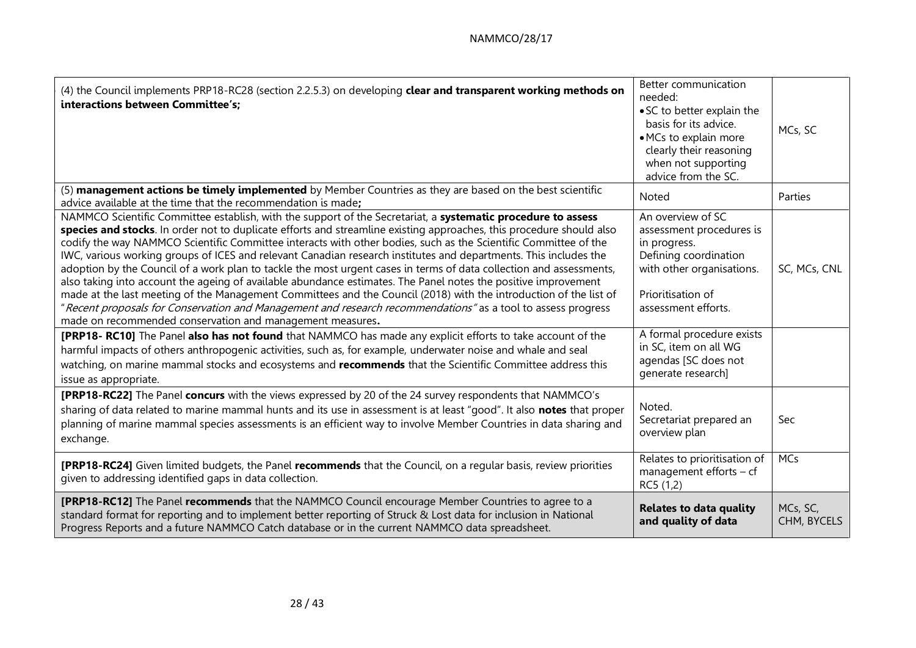| (4) the Council implements PRP18-RC28 (section 2.2.5.3) on developing clear and transparent working methods on<br>interactions between Committee's:                                                                                                                                                                                                                                                                                                                                                                                                                                                                                                                                                                                                                                                                                                                                                                                                                                                                    | Better communication<br>needed:<br>• SC to better explain the<br>basis for its advice.<br>• MCs to explain more<br>clearly their reasoning<br>when not supporting<br>advice from the SC. | MCs, SC                 |
|------------------------------------------------------------------------------------------------------------------------------------------------------------------------------------------------------------------------------------------------------------------------------------------------------------------------------------------------------------------------------------------------------------------------------------------------------------------------------------------------------------------------------------------------------------------------------------------------------------------------------------------------------------------------------------------------------------------------------------------------------------------------------------------------------------------------------------------------------------------------------------------------------------------------------------------------------------------------------------------------------------------------|------------------------------------------------------------------------------------------------------------------------------------------------------------------------------------------|-------------------------|
| (5) management actions be timely implemented by Member Countries as they are based on the best scientific<br>advice available at the time that the recommendation is made;                                                                                                                                                                                                                                                                                                                                                                                                                                                                                                                                                                                                                                                                                                                                                                                                                                             | Noted                                                                                                                                                                                    | Parties                 |
| NAMMCO Scientific Committee establish, with the support of the Secretariat, a systematic procedure to assess<br>species and stocks. In order not to duplicate efforts and streamline existing approaches, this procedure should also<br>codify the way NAMMCO Scientific Committee interacts with other bodies, such as the Scientific Committee of the<br>IWC, various working groups of ICES and relevant Canadian research institutes and departments. This includes the<br>adoption by the Council of a work plan to tackle the most urgent cases in terms of data collection and assessments,<br>also taking into account the ageing of available abundance estimates. The Panel notes the positive improvement<br>made at the last meeting of the Management Committees and the Council (2018) with the introduction of the list of<br>"Recent proposals for Conservation and Management and research recommendations" as a tool to assess progress<br>made on recommended conservation and management measures. | An overview of SC<br>assessment procedures is<br>in progress.<br>Defining coordination<br>with other organisations.<br>Prioritisation of<br>assessment efforts.                          | SC, MCs, CNL            |
| [PRP18- RC10] The Panel also has not found that NAMMCO has made any explicit efforts to take account of the<br>harmful impacts of others anthropogenic activities, such as, for example, underwater noise and whale and seal<br>watching, on marine mammal stocks and ecosystems and recommends that the Scientific Committee address this<br>issue as appropriate.                                                                                                                                                                                                                                                                                                                                                                                                                                                                                                                                                                                                                                                    | A formal procedure exists<br>in SC, item on all WG<br>agendas [SC does not<br>generate research]                                                                                         |                         |
| [PRP18-RC22] The Panel concurs with the views expressed by 20 of the 24 survey respondents that NAMMCO's<br>sharing of data related to marine mammal hunts and its use in assessment is at least "good". It also notes that proper<br>planning of marine mammal species assessments is an efficient way to involve Member Countries in data sharing and<br>exchange.                                                                                                                                                                                                                                                                                                                                                                                                                                                                                                                                                                                                                                                   | Noted.<br>Secretariat prepared an<br>overview plan                                                                                                                                       | Sec                     |
| <b>[PRP18-RC24]</b> Given limited budgets, the Panel recommends that the Council, on a regular basis, review priorities<br>given to addressing identified gaps in data collection.                                                                                                                                                                                                                                                                                                                                                                                                                                                                                                                                                                                                                                                                                                                                                                                                                                     | Relates to prioritisation of<br>management efforts $-$ cf<br>RC5 (1,2)                                                                                                                   | <b>MCs</b>              |
| [PRP18-RC12] The Panel recommends that the NAMMCO Council encourage Member Countries to agree to a<br>standard format for reporting and to implement better reporting of Struck & Lost data for inclusion in National<br>Progress Reports and a future NAMMCO Catch database or in the current NAMMCO data spreadsheet.                                                                                                                                                                                                                                                                                                                                                                                                                                                                                                                                                                                                                                                                                                | <b>Relates to data quality</b><br>and quality of data                                                                                                                                    | MCs, SC,<br>CHM, BYCELS |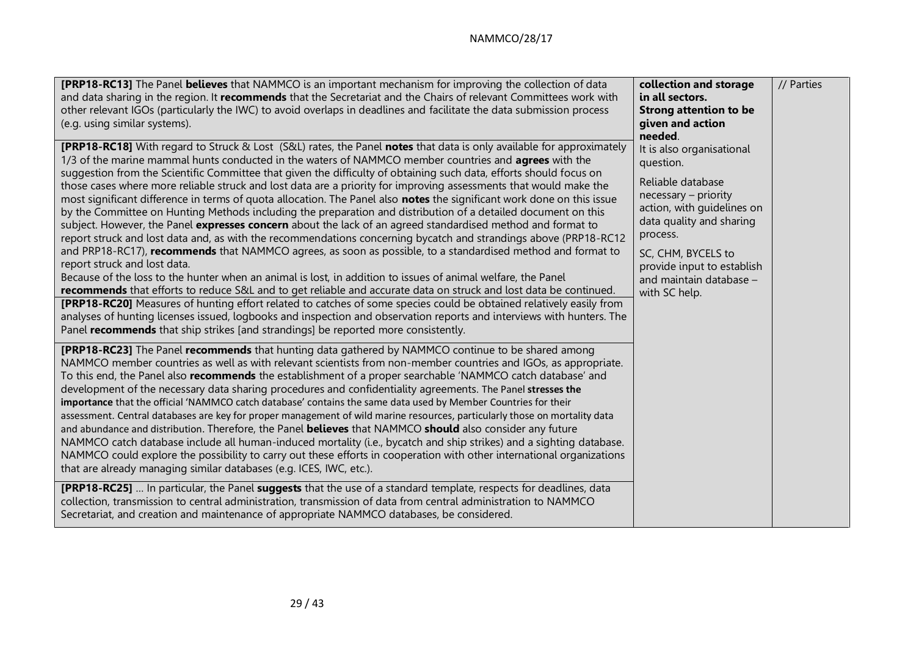## NAMMCO/28/17

| <b>[PRP18-RC13]</b> The Panel <b>believes</b> that NAMMCO is an important mechanism for improving the collection of data<br>and data sharing in the region. It recommends that the Secretariat and the Chairs of relevant Committees work with<br>other relevant IGOs (particularly the IWC) to avoid overlaps in deadlines and facilitate the data submission process<br>(e.g. using similar systems).                                                                                                                                                                                                                                                                                                                                                                                                                                                                                                                                                                                                                                                                                                                                                                                                                                                                                                                                                                                                                                                                                                                                                                                                                                                                                               | collection and storage<br>in all sectors.<br><b>Strong attention to be</b><br>given and action<br>needed.                                                                                                                                                 | // Parties |
|-------------------------------------------------------------------------------------------------------------------------------------------------------------------------------------------------------------------------------------------------------------------------------------------------------------------------------------------------------------------------------------------------------------------------------------------------------------------------------------------------------------------------------------------------------------------------------------------------------------------------------------------------------------------------------------------------------------------------------------------------------------------------------------------------------------------------------------------------------------------------------------------------------------------------------------------------------------------------------------------------------------------------------------------------------------------------------------------------------------------------------------------------------------------------------------------------------------------------------------------------------------------------------------------------------------------------------------------------------------------------------------------------------------------------------------------------------------------------------------------------------------------------------------------------------------------------------------------------------------------------------------------------------------------------------------------------------|-----------------------------------------------------------------------------------------------------------------------------------------------------------------------------------------------------------------------------------------------------------|------------|
| <b>[PRP18-RC18]</b> With regard to Struck & Lost (S&L) rates, the Panel <b>notes</b> that data is only available for approximately<br>1/3 of the marine mammal hunts conducted in the waters of NAMMCO member countries and <b>agrees</b> with the<br>suggestion from the Scientific Committee that given the difficulty of obtaining such data, efforts should focus on<br>those cases where more reliable struck and lost data are a priority for improving assessments that would make the<br>most significant difference in terms of quota allocation. The Panel also notes the significant work done on this issue<br>by the Committee on Hunting Methods including the preparation and distribution of a detailed document on this<br>subject. However, the Panel expresses concern about the lack of an agreed standardised method and format to<br>report struck and lost data and, as with the recommendations concerning bycatch and strandings above (PRP18-RC12<br>and PRP18-RC17), recommends that NAMMCO agrees, as soon as possible, to a standardised method and format to<br>report struck and lost data.<br>Because of the loss to the hunter when an animal is lost, in addition to issues of animal welfare, the Panel<br>recommends that efforts to reduce S&L and to get reliable and accurate data on struck and lost data be continued.<br>[PRP18-RC20] Measures of hunting effort related to catches of some species could be obtained relatively easily from<br>analyses of hunting licenses issued, logbooks and inspection and observation reports and interviews with hunters. The<br>Panel recommends that ship strikes [and strandings] be reported more consistently. | It is also organisational<br>question.<br>Reliable database<br>necessary - priority<br>action, with guidelines on<br>data quality and sharing<br>process.<br>SC, CHM, BYCELS to<br>provide input to establish<br>and maintain database -<br>with SC help. |            |
| <b>[PRP18-RC23]</b> The Panel recommends that hunting data gathered by NAMMCO continue to be shared among<br>NAMMCO member countries as well as with relevant scientists from non-member countries and IGOs, as appropriate.<br>To this end, the Panel also recommends the establishment of a proper searchable 'NAMMCO catch database' and<br>development of the necessary data sharing procedures and confidentiality agreements. The Panel stresses the<br>importance that the official 'NAMMCO catch database' contains the same data used by Member Countries for their<br>assessment. Central databases are key for proper management of wild marine resources, particularly those on mortality data<br>and abundance and distribution. Therefore, the Panel believes that NAMMCO should also consider any future<br>NAMMCO catch database include all human-induced mortality (i.e., bycatch and ship strikes) and a sighting database.<br>NAMMCO could explore the possibility to carry out these efforts in cooperation with other international organizations<br>that are already managing similar databases (e.g. ICES, IWC, etc.).<br><b>[PRP18-RC25]</b> In particular, the Panel <b>suggests</b> that the use of a standard template, respects for deadlines, data<br>collection, transmission to central administration, transmission of data from central administration to NAMMCO<br>Secretariat, and creation and maintenance of appropriate NAMMCO databases, be considered.                                                                                                                                                                                                       |                                                                                                                                                                                                                                                           |            |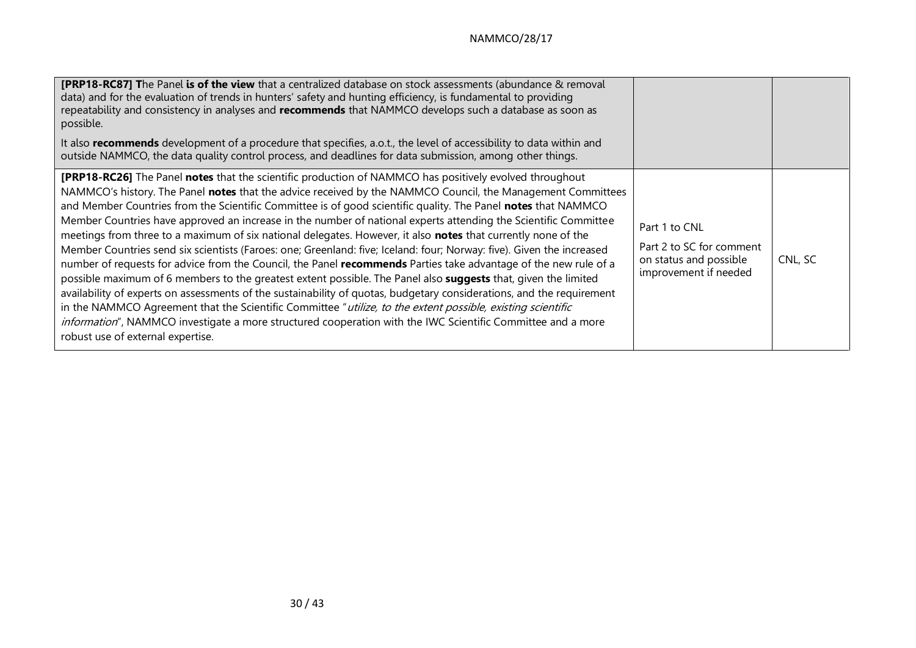| <b>[PRP18-RC87] The Panel is of the view</b> that a centralized database on stock assessments (abundance & removal<br>data) and for the evaluation of trends in hunters' safety and hunting efficiency, is fundamental to providing<br>repeatability and consistency in analyses and recommends that NAMMCO develops such a database as soon as<br>possible.<br>It also recommends development of a procedure that specifies, a.o.t., the level of accessibility to data within and<br>outside NAMMCO, the data quality control process, and deadlines for data submission, among other things.                                                                                                                                                                                                                                                                                                                                                                                                                                                                                                                                                                                                                                                                                                                                               |                                                                                              |         |
|-----------------------------------------------------------------------------------------------------------------------------------------------------------------------------------------------------------------------------------------------------------------------------------------------------------------------------------------------------------------------------------------------------------------------------------------------------------------------------------------------------------------------------------------------------------------------------------------------------------------------------------------------------------------------------------------------------------------------------------------------------------------------------------------------------------------------------------------------------------------------------------------------------------------------------------------------------------------------------------------------------------------------------------------------------------------------------------------------------------------------------------------------------------------------------------------------------------------------------------------------------------------------------------------------------------------------------------------------|----------------------------------------------------------------------------------------------|---------|
| <b>[PRP18-RC26]</b> The Panel notes that the scientific production of NAMMCO has positively evolved throughout<br>NAMMCO's history. The Panel notes that the advice received by the NAMMCO Council, the Management Committees<br>and Member Countries from the Scientific Committee is of good scientific quality. The Panel notes that NAMMCO<br>Member Countries have approved an increase in the number of national experts attending the Scientific Committee<br>meetings from three to a maximum of six national delegates. However, it also notes that currently none of the<br>Member Countries send six scientists (Faroes: one; Greenland: five; Iceland: four; Norway: five). Given the increased<br>number of requests for advice from the Council, the Panel recommends Parties take advantage of the new rule of a<br>possible maximum of 6 members to the greatest extent possible. The Panel also suggests that, given the limited<br>availability of experts on assessments of the sustainability of quotas, budgetary considerations, and the requirement<br>in the NAMMCO Agreement that the Scientific Committee "utilize, to the extent possible, existing scientific<br>information", NAMMCO investigate a more structured cooperation with the IWC Scientific Committee and a more<br>robust use of external expertise. | Part 1 to CNL<br>Part 2 to SC for comment<br>on status and possible<br>improvement if needed | CNL, SC |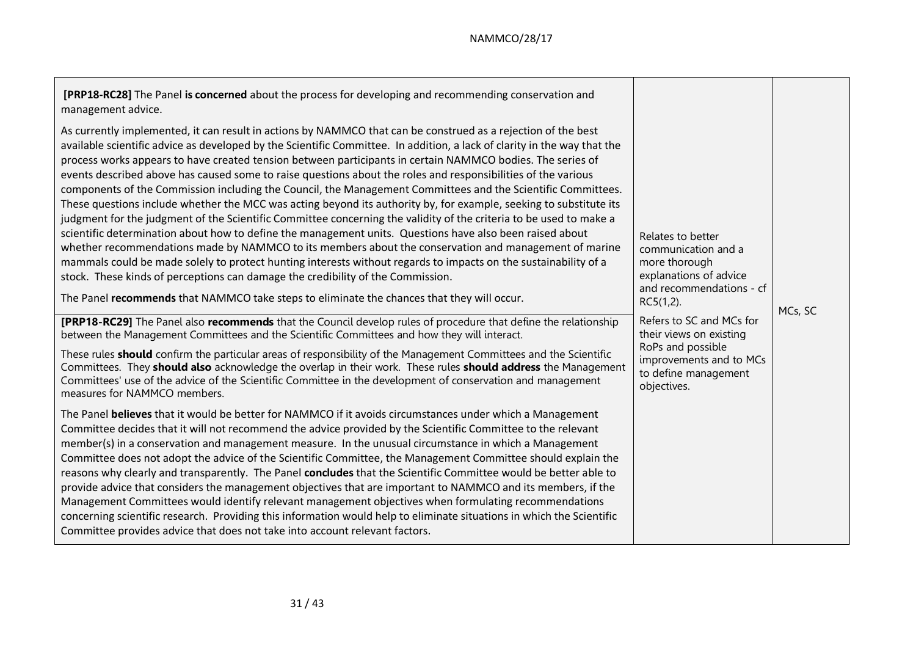| [PRP18-RC28] The Panel is concerned about the process for developing and recommending conservation and<br>management advice.<br>As currently implemented, it can result in actions by NAMMCO that can be construed as a rejection of the best<br>available scientific advice as developed by the Scientific Committee. In addition, a lack of clarity in the way that the<br>process works appears to have created tension between participants in certain NAMMCO bodies. The series of<br>events described above has caused some to raise questions about the roles and responsibilities of the various<br>components of the Commission including the Council, the Management Committees and the Scientific Committees.<br>These questions include whether the MCC was acting beyond its authority by, for example, seeking to substitute its<br>judgment for the judgment of the Scientific Committee concerning the validity of the criteria to be used to make a<br>scientific determination about how to define the management units. Questions have also been raised about<br>whether recommendations made by NAMMCO to its members about the conservation and management of marine<br>mammals could be made solely to protect hunting interests without regards to impacts on the sustainability of a<br>stock. These kinds of perceptions can damage the credibility of the Commission.<br>The Panel recommends that NAMMCO take steps to eliminate the chances that they will occur.<br>[PRP18-RC29] The Panel also recommends that the Council develop rules of procedure that define the relationship<br>between the Management Committees and the Scientific Committees and how they will interact.<br>These rules should confirm the particular areas of responsibility of the Management Committees and the Scientific | Relates to better<br>communication and a<br>more thorough<br>explanations of advice<br>and recommendations - cf<br>$RC5(1,2)$ .<br>Refers to SC and MCs for<br>their views on existing | MCs, SC |
|--------------------------------------------------------------------------------------------------------------------------------------------------------------------------------------------------------------------------------------------------------------------------------------------------------------------------------------------------------------------------------------------------------------------------------------------------------------------------------------------------------------------------------------------------------------------------------------------------------------------------------------------------------------------------------------------------------------------------------------------------------------------------------------------------------------------------------------------------------------------------------------------------------------------------------------------------------------------------------------------------------------------------------------------------------------------------------------------------------------------------------------------------------------------------------------------------------------------------------------------------------------------------------------------------------------------------------------------------------------------------------------------------------------------------------------------------------------------------------------------------------------------------------------------------------------------------------------------------------------------------------------------------------------------------------------------------------------------------------------------------------------------------------------------------------------------------------------|----------------------------------------------------------------------------------------------------------------------------------------------------------------------------------------|---------|
|                                                                                                                                                                                                                                                                                                                                                                                                                                                                                                                                                                                                                                                                                                                                                                                                                                                                                                                                                                                                                                                                                                                                                                                                                                                                                                                                                                                                                                                                                                                                                                                                                                                                                                                                                                                                                                      |                                                                                                                                                                                        |         |
|                                                                                                                                                                                                                                                                                                                                                                                                                                                                                                                                                                                                                                                                                                                                                                                                                                                                                                                                                                                                                                                                                                                                                                                                                                                                                                                                                                                                                                                                                                                                                                                                                                                                                                                                                                                                                                      | RoPs and possible                                                                                                                                                                      |         |
| Committees. They should also acknowledge the overlap in their work. These rules should address the Management<br>Committees' use of the advice of the Scientific Committee in the development of conservation and management<br>measures for NAMMCO members.                                                                                                                                                                                                                                                                                                                                                                                                                                                                                                                                                                                                                                                                                                                                                                                                                                                                                                                                                                                                                                                                                                                                                                                                                                                                                                                                                                                                                                                                                                                                                                         | improvements and to MCs<br>to define management<br>objectives.                                                                                                                         |         |
| The Panel believes that it would be better for NAMMCO if it avoids circumstances under which a Management<br>Committee decides that it will not recommend the advice provided by the Scientific Committee to the relevant<br>member(s) in a conservation and management measure. In the unusual circumstance in which a Management<br>Committee does not adopt the advice of the Scientific Committee, the Management Committee should explain the<br>reasons why clearly and transparently. The Panel concludes that the Scientific Committee would be better able to<br>provide advice that considers the management objectives that are important to NAMMCO and its members, if the<br>Management Committees would identify relevant management objectives when formulating recommendations<br>concerning scientific research. Providing this information would help to eliminate situations in which the Scientific<br>Committee provides advice that does not take into account relevant factors.                                                                                                                                                                                                                                                                                                                                                                                                                                                                                                                                                                                                                                                                                                                                                                                                                               |                                                                                                                                                                                        |         |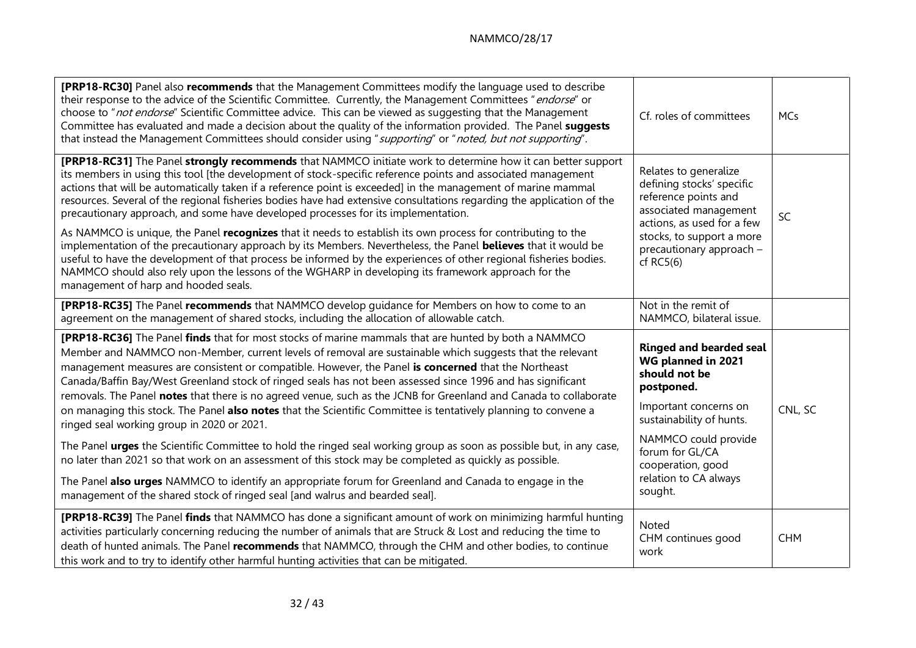## NAMMCO/28/17

| [PRP18-RC30] Panel also recommends that the Management Committees modify the language used to describe<br>their response to the advice of the Scientific Committee. Currently, the Management Committees "endorse" or<br>choose to "not endorse" Scientific Committee advice. This can be viewed as suggesting that the Management<br>Committee has evaluated and made a decision about the quality of the information provided. The Panel suggests<br>that instead the Management Committees should consider using "supporting" or "noted, but not supporting".                                                                                                                                                                                                                                                                                                                                                                                                                                                                                                        | Cf. roles of committees                                                                                                                                                                                      | <b>MCs</b> |
|-------------------------------------------------------------------------------------------------------------------------------------------------------------------------------------------------------------------------------------------------------------------------------------------------------------------------------------------------------------------------------------------------------------------------------------------------------------------------------------------------------------------------------------------------------------------------------------------------------------------------------------------------------------------------------------------------------------------------------------------------------------------------------------------------------------------------------------------------------------------------------------------------------------------------------------------------------------------------------------------------------------------------------------------------------------------------|--------------------------------------------------------------------------------------------------------------------------------------------------------------------------------------------------------------|------------|
| [PRP18-RC31] The Panel strongly recommends that NAMMCO initiate work to determine how it can better support<br>its members in using this tool [the development of stock-specific reference points and associated management<br>actions that will be automatically taken if a reference point is exceeded] in the management of marine mammal<br>resources. Several of the regional fisheries bodies have had extensive consultations regarding the application of the<br>precautionary approach, and some have developed processes for its implementation.<br>As NAMMCO is unique, the Panel recognizes that it needs to establish its own process for contributing to the<br>implementation of the precautionary approach by its Members. Nevertheless, the Panel <b>believes</b> that it would be<br>useful to have the development of that process be informed by the experiences of other regional fisheries bodies.<br>NAMMCO should also rely upon the lessons of the WGHARP in developing its framework approach for the<br>management of harp and hooded seals. | Relates to generalize<br>defining stocks' specific<br>reference points and<br>associated management<br>actions, as used for a few<br>stocks, to support a more<br>precautionary approach -<br>$cf$ RC5 $(6)$ | SC         |
| [PRP18-RC35] The Panel recommends that NAMMCO develop guidance for Members on how to come to an<br>agreement on the management of shared stocks, including the allocation of allowable catch.                                                                                                                                                                                                                                                                                                                                                                                                                                                                                                                                                                                                                                                                                                                                                                                                                                                                           | Not in the remit of<br>NAMMCO, bilateral issue.                                                                                                                                                              |            |
| [PRP18-RC36] The Panel finds that for most stocks of marine mammals that are hunted by both a NAMMCO<br>Member and NAMMCO non-Member, current levels of removal are sustainable which suggests that the relevant<br>management measures are consistent or compatible. However, the Panel is concerned that the Northeast<br>Canada/Baffin Bay/West Greenland stock of ringed seals has not been assessed since 1996 and has significant<br>removals. The Panel notes that there is no agreed venue, such as the JCNB for Greenland and Canada to collaborate<br>on managing this stock. The Panel also notes that the Scientific Committee is tentatively planning to convene a<br>ringed seal working group in 2020 or 2021.                                                                                                                                                                                                                                                                                                                                           | <b>Ringed and bearded seal</b><br>WG planned in 2021<br>should not be<br>postponed.<br>Important concerns on<br>sustainability of hunts.                                                                     | CNL, SC    |
| The Panel urges the Scientific Committee to hold the ringed seal working group as soon as possible but, in any case,<br>no later than 2021 so that work on an assessment of this stock may be completed as quickly as possible.                                                                                                                                                                                                                                                                                                                                                                                                                                                                                                                                                                                                                                                                                                                                                                                                                                         | NAMMCO could provide<br>forum for GL/CA<br>cooperation, good                                                                                                                                                 |            |
| The Panel also urges NAMMCO to identify an appropriate forum for Greenland and Canada to engage in the<br>management of the shared stock of ringed seal [and walrus and bearded seal].                                                                                                                                                                                                                                                                                                                                                                                                                                                                                                                                                                                                                                                                                                                                                                                                                                                                                  | relation to CA always<br>sought.                                                                                                                                                                             |            |
| [PRP18-RC39] The Panel finds that NAMMCO has done a significant amount of work on minimizing harmful hunting<br>activities particularly concerning reducing the number of animals that are Struck & Lost and reducing the time to<br>death of hunted animals. The Panel recommends that NAMMCO, through the CHM and other bodies, to continue<br>this work and to try to identify other harmful hunting activities that can be mitigated.                                                                                                                                                                                                                                                                                                                                                                                                                                                                                                                                                                                                                               | Noted<br>CHM continues good<br>work                                                                                                                                                                          | <b>CHM</b> |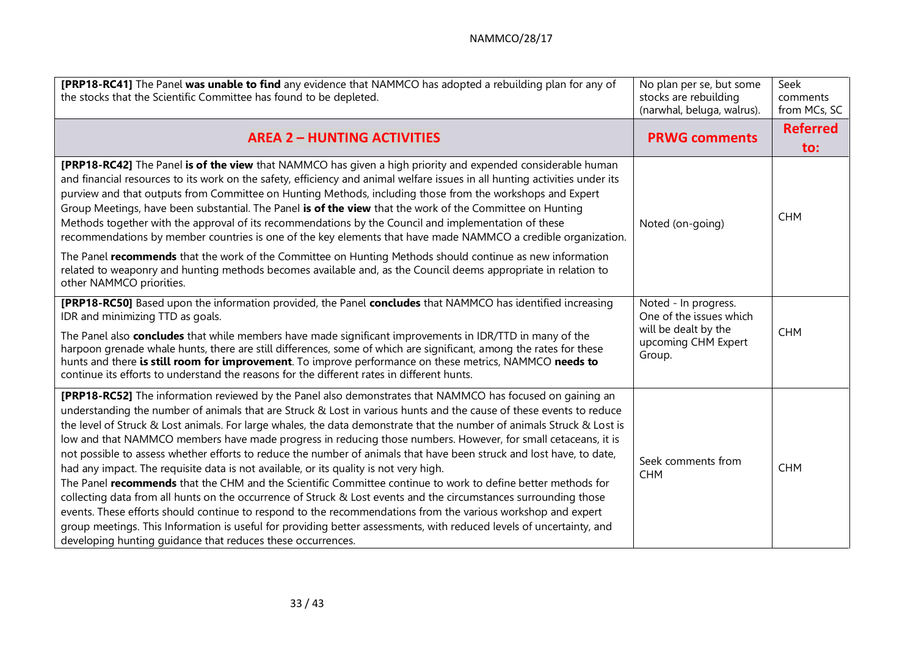| [PRP18-RC41] The Panel was unable to find any evidence that NAMMCO has adopted a rebuilding plan for any of<br>the stocks that the Scientific Committee has found to be depleted.                                                                                                                                                                                                                                                                                                                                                                                                                                                                                                                                                                                                                                                                                                                                                                                                                                                                                                                                                                                                                                                        | No plan per se, but some<br>stocks are rebuilding<br>(narwhal, beluga, walrus). | Seek<br>comments<br>from MCs, SC |
|------------------------------------------------------------------------------------------------------------------------------------------------------------------------------------------------------------------------------------------------------------------------------------------------------------------------------------------------------------------------------------------------------------------------------------------------------------------------------------------------------------------------------------------------------------------------------------------------------------------------------------------------------------------------------------------------------------------------------------------------------------------------------------------------------------------------------------------------------------------------------------------------------------------------------------------------------------------------------------------------------------------------------------------------------------------------------------------------------------------------------------------------------------------------------------------------------------------------------------------|---------------------------------------------------------------------------------|----------------------------------|
| <b>AREA 2 - HUNTING ACTIVITIES</b>                                                                                                                                                                                                                                                                                                                                                                                                                                                                                                                                                                                                                                                                                                                                                                                                                                                                                                                                                                                                                                                                                                                                                                                                       | <b>PRWG comments</b>                                                            | <b>Referred</b><br>to:           |
| <b>[PRP18-RC42]</b> The Panel is of the view that NAMMCO has given a high priority and expended considerable human<br>and financial resources to its work on the safety, efficiency and animal welfare issues in all hunting activities under its<br>purview and that outputs from Committee on Hunting Methods, including those from the workshops and Expert<br>Group Meetings, have been substantial. The Panel is of the view that the work of the Committee on Hunting<br>Methods together with the approval of its recommendations by the Council and implementation of these<br>recommendations by member countries is one of the key elements that have made NAMMCO a credible organization.<br>The Panel recommends that the work of the Committee on Hunting Methods should continue as new information<br>related to weaponry and hunting methods becomes available and, as the Council deems appropriate in relation to                                                                                                                                                                                                                                                                                                      | Noted (on-going)                                                                | <b>CHM</b>                       |
| other NAMMCO priorities.<br>[PRP18-RC50] Based upon the information provided, the Panel concludes that NAMMCO has identified increasing<br>IDR and minimizing TTD as goals.                                                                                                                                                                                                                                                                                                                                                                                                                                                                                                                                                                                                                                                                                                                                                                                                                                                                                                                                                                                                                                                              | Noted - In progress.<br>One of the issues which                                 |                                  |
| The Panel also concludes that while members have made significant improvements in IDR/TTD in many of the<br>harpoon grenade whale hunts, there are still differences, some of which are significant, among the rates for these<br>hunts and there is still room for improvement. To improve performance on these metrics, NAMMCO needs to<br>continue its efforts to understand the reasons for the different rates in different hunts.                                                                                                                                                                                                                                                                                                                                                                                                                                                                                                                                                                                                                                                                                                                                                                                                  | will be dealt by the<br>upcoming CHM Expert<br>Group.                           | <b>CHM</b>                       |
| [PRP18-RC52] The information reviewed by the Panel also demonstrates that NAMMCO has focused on gaining an<br>understanding the number of animals that are Struck & Lost in various hunts and the cause of these events to reduce<br>the level of Struck & Lost animals. For large whales, the data demonstrate that the number of animals Struck & Lost is<br>low and that NAMMCO members have made progress in reducing those numbers. However, for small cetaceans, it is<br>not possible to assess whether efforts to reduce the number of animals that have been struck and lost have, to date,<br>had any impact. The requisite data is not available, or its quality is not very high.<br>The Panel recommends that the CHM and the Scientific Committee continue to work to define better methods for<br>collecting data from all hunts on the occurrence of Struck & Lost events and the circumstances surrounding those<br>events. These efforts should continue to respond to the recommendations from the various workshop and expert<br>group meetings. This Information is useful for providing better assessments, with reduced levels of uncertainty, and<br>developing hunting quidance that reduces these occurrences. | Seek comments from<br><b>CHM</b>                                                | <b>CHM</b>                       |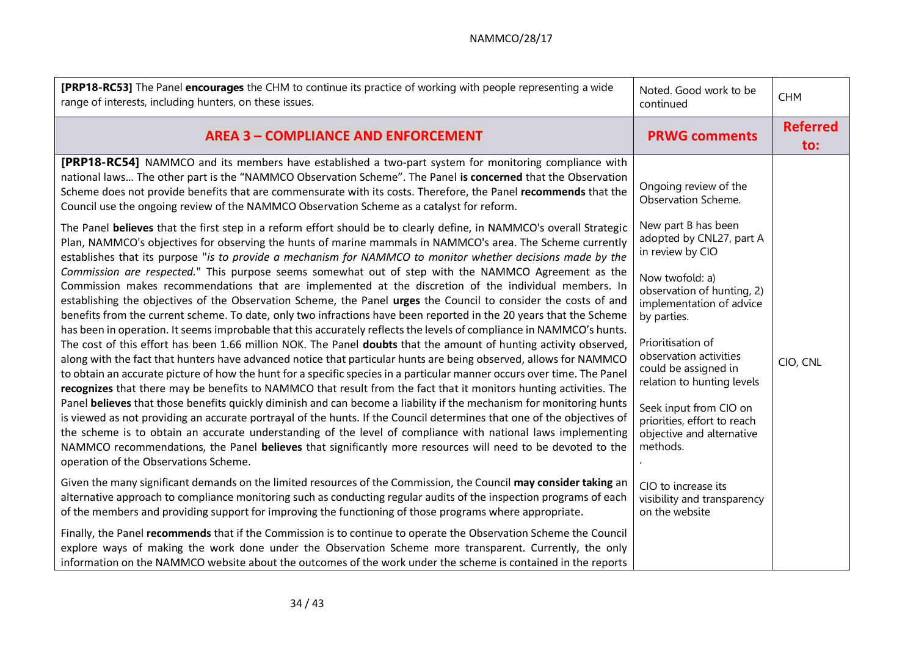| [PRP18-RC53] The Panel encourages the CHM to continue its practice of working with people representing a wide<br>range of interests, including hunters, on these issues.                                                                                                                                                                                                                                                                                                                                                                                                      | Noted. Good work to be<br>continued                                                               | <b>CHM</b>             |
|-------------------------------------------------------------------------------------------------------------------------------------------------------------------------------------------------------------------------------------------------------------------------------------------------------------------------------------------------------------------------------------------------------------------------------------------------------------------------------------------------------------------------------------------------------------------------------|---------------------------------------------------------------------------------------------------|------------------------|
| <b>AREA 3 - COMPLIANCE AND ENFORCEMENT</b>                                                                                                                                                                                                                                                                                                                                                                                                                                                                                                                                    | <b>PRWG comments</b>                                                                              | <b>Referred</b><br>to: |
| [PRP18-RC54] NAMMCO and its members have established a two-part system for monitoring compliance with<br>national laws The other part is the "NAMMCO Observation Scheme". The Panel is concerned that the Observation<br>Scheme does not provide benefits that are commensurate with its costs. Therefore, the Panel recommends that the<br>Council use the ongoing review of the NAMMCO Observation Scheme as a catalyst for reform.                                                                                                                                         | Ongoing review of the<br>Observation Scheme.                                                      |                        |
| The Panel believes that the first step in a reform effort should be to clearly define, in NAMMCO's overall Strategic<br>Plan, NAMMCO's objectives for observing the hunts of marine mammals in NAMMCO's area. The Scheme currently<br>establishes that its purpose "is to provide a mechanism for NAMMCO to monitor whether decisions made by the                                                                                                                                                                                                                             | New part B has been<br>adopted by CNL27, part A<br>in review by CIO                               |                        |
| Commission are respected." This purpose seems somewhat out of step with the NAMMCO Agreement as the<br>Commission makes recommendations that are implemented at the discretion of the individual members. In<br>establishing the objectives of the Observation Scheme, the Panel urges the Council to consider the costs of and<br>benefits from the current scheme. To date, only two infractions have been reported in the 20 years that the Scheme<br>has been in operation. It seems improbable that this accurately reflects the levels of compliance in NAMMCO's hunts. | Now twofold: a)<br>observation of hunting, 2)<br>implementation of advice<br>by parties.          |                        |
| The cost of this effort has been 1.66 million NOK. The Panel doubts that the amount of hunting activity observed,<br>along with the fact that hunters have advanced notice that particular hunts are being observed, allows for NAMMCO<br>to obtain an accurate picture of how the hunt for a specific species in a particular manner occurs over time. The Panel<br>recognizes that there may be benefits to NAMMCO that result from the fact that it monitors hunting activities. The                                                                                       | Prioritisation of<br>observation activities<br>could be assigned in<br>relation to hunting levels | CIO, CNL               |
| Panel believes that those benefits quickly diminish and can become a liability if the mechanism for monitoring hunts<br>is viewed as not providing an accurate portrayal of the hunts. If the Council determines that one of the objectives of<br>the scheme is to obtain an accurate understanding of the level of compliance with national laws implementing<br>NAMMCO recommendations, the Panel believes that significantly more resources will need to be devoted to the<br>operation of the Observations Scheme.                                                        | Seek input from CIO on<br>priorities, effort to reach<br>objective and alternative<br>methods.    |                        |
| Given the many significant demands on the limited resources of the Commission, the Council may consider taking an<br>alternative approach to compliance monitoring such as conducting regular audits of the inspection programs of each<br>of the members and providing support for improving the functioning of those programs where appropriate.                                                                                                                                                                                                                            | CIO to increase its<br>visibility and transparency<br>on the website                              |                        |
| Finally, the Panel recommends that if the Commission is to continue to operate the Observation Scheme the Council<br>explore ways of making the work done under the Observation Scheme more transparent. Currently, the only<br>information on the NAMMCO website about the outcomes of the work under the scheme is contained in the reports                                                                                                                                                                                                                                 |                                                                                                   |                        |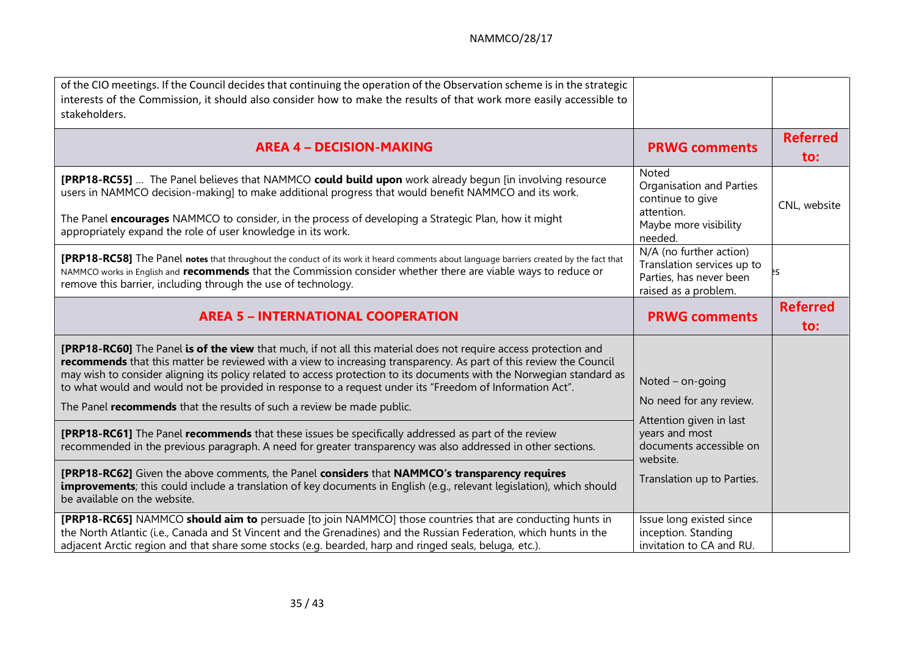| of the CIO meetings. If the Council decides that continuing the operation of the Observation scheme is in the strategic<br>interests of the Commission, it should also consider how to make the results of that work more easily accessible to<br>stakeholders.                                                                                                                                                                                                                                                                                       |                                                                                                          |                        |
|-------------------------------------------------------------------------------------------------------------------------------------------------------------------------------------------------------------------------------------------------------------------------------------------------------------------------------------------------------------------------------------------------------------------------------------------------------------------------------------------------------------------------------------------------------|----------------------------------------------------------------------------------------------------------|------------------------|
| <b>AREA 4 - DECISION-MAKING</b>                                                                                                                                                                                                                                                                                                                                                                                                                                                                                                                       | <b>PRWG comments</b>                                                                                     | <b>Referred</b><br>to: |
| [PRP18-RC55]  The Panel believes that NAMMCO could build upon work already begun [in involving resource<br>users in NAMMCO decision-making] to make additional progress that would benefit NAMMCO and its work.<br>The Panel encourages NAMMCO to consider, in the process of developing a Strategic Plan, how it might<br>appropriately expand the role of user knowledge in its work.                                                                                                                                                               | Noted<br>Organisation and Parties<br>continue to give<br>attention.<br>Maybe more visibility<br>needed.  | CNL, website           |
| <b>[PRP18-RC58]</b> The Panel notes that throughout the conduct of its work it heard comments about language barriers created by the fact that<br>NAMMCO works in English and recommends that the Commission consider whether there are viable ways to reduce or<br>remove this barrier, including through the use of technology.                                                                                                                                                                                                                     | N/A (no further action)<br>Translation services up to<br>Parties, has never been<br>raised as a problem. |                        |
| <b>AREA 5 - INTERNATIONAL COOPERATION</b>                                                                                                                                                                                                                                                                                                                                                                                                                                                                                                             | <b>PRWG comments</b>                                                                                     | <b>Referred</b><br>to: |
| [PRP18-RC60] The Panel is of the view that much, if not all this material does not require access protection and<br>recommends that this matter be reviewed with a view to increasing transparency. As part of this review the Council<br>may wish to consider aligning its policy related to access protection to its documents with the Norwegian standard as<br>to what would and would not be provided in response to a request under its "Freedom of Information Act".<br>The Panel recommends that the results of such a review be made public. | Noted $-$ on-going<br>No need for any review.<br>Attention given in last                                 |                        |
| [PRP18-RC61] The Panel recommends that these issues be specifically addressed as part of the review<br>recommended in the previous paragraph. A need for greater transparency was also addressed in other sections.                                                                                                                                                                                                                                                                                                                                   | years and most<br>documents accessible on<br>website.                                                    |                        |
| [PRP18-RC62] Given the above comments, the Panel considers that NAMMCO's transparency requires<br><b>improvements</b> ; this could include a translation of key documents in English (e.g., relevant legislation), which should<br>be available on the website.                                                                                                                                                                                                                                                                                       | Translation up to Parties.                                                                               |                        |
| [PRP18-RC65] NAMMCO should aim to persuade [to join NAMMCO] those countries that are conducting hunts in<br>the North Atlantic (i.e., Canada and St Vincent and the Grenadines) and the Russian Federation, which hunts in the                                                                                                                                                                                                                                                                                                                        | Issue long existed since                                                                                 |                        |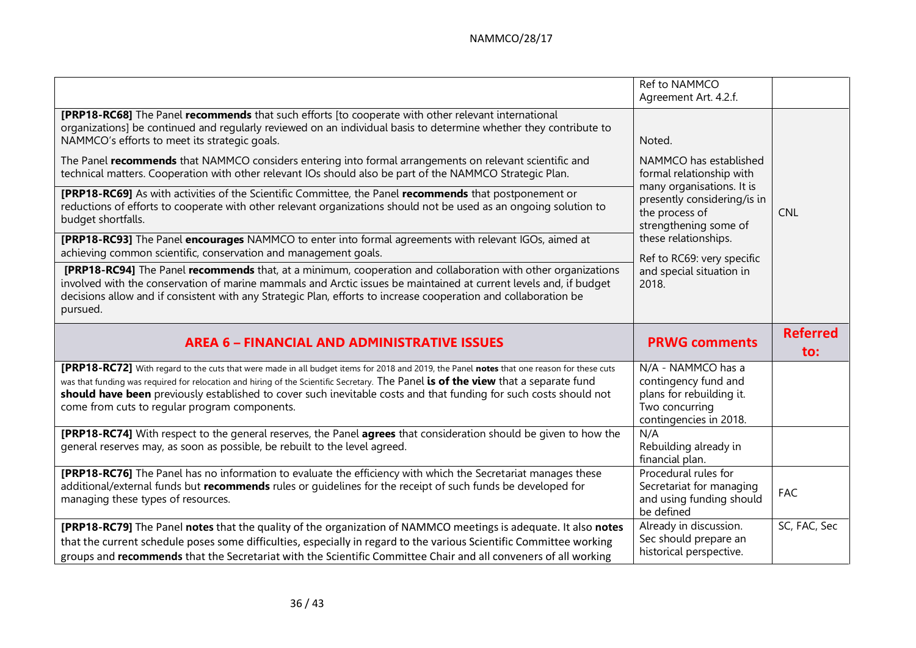|                                                                                                                                                                                                                                                                                                                                                                                                                                                                                                                                                                                                                                                                                                                                                                                                                                                                                                                                                                                                                                                                                                                                                                                                                                                                                                       | Ref to NAMMCO<br>Agreement Art. 4.2.f.                                                                                                                                                                                                                         |                            |
|-------------------------------------------------------------------------------------------------------------------------------------------------------------------------------------------------------------------------------------------------------------------------------------------------------------------------------------------------------------------------------------------------------------------------------------------------------------------------------------------------------------------------------------------------------------------------------------------------------------------------------------------------------------------------------------------------------------------------------------------------------------------------------------------------------------------------------------------------------------------------------------------------------------------------------------------------------------------------------------------------------------------------------------------------------------------------------------------------------------------------------------------------------------------------------------------------------------------------------------------------------------------------------------------------------|----------------------------------------------------------------------------------------------------------------------------------------------------------------------------------------------------------------------------------------------------------------|----------------------------|
| [PRP18-RC68] The Panel recommends that such efforts [to cooperate with other relevant international<br>organizations] be continued and regularly reviewed on an individual basis to determine whether they contribute to<br>NAMMCO's efforts to meet its strategic goals.<br>The Panel recommends that NAMMCO considers entering into formal arrangements on relevant scientific and<br>technical matters. Cooperation with other relevant IOs should also be part of the NAMMCO Strategic Plan.<br>[PRP18-RC69] As with activities of the Scientific Committee, the Panel recommends that postponement or<br>reductions of efforts to cooperate with other relevant organizations should not be used as an ongoing solution to<br>budget shortfalls.<br>[PRP18-RC93] The Panel encourages NAMMCO to enter into formal agreements with relevant IGOs, aimed at<br>achieving common scientific, conservation and management goals.<br>[PRP18-RC94] The Panel recommends that, at a minimum, cooperation and collaboration with other organizations<br>involved with the conservation of marine mammals and Arctic issues be maintained at current levels and, if budget<br>decisions allow and if consistent with any Strategic Plan, efforts to increase cooperation and collaboration be<br>pursued. | Noted.<br>NAMMCO has established<br>formal relationship with<br>many organisations. It is<br>presently considering/is in<br>the process of<br>strengthening some of<br>these relationships.<br>Ref to RC69: very specific<br>and special situation in<br>2018. | <b>CNL</b>                 |
|                                                                                                                                                                                                                                                                                                                                                                                                                                                                                                                                                                                                                                                                                                                                                                                                                                                                                                                                                                                                                                                                                                                                                                                                                                                                                                       |                                                                                                                                                                                                                                                                |                            |
| <b>AREA 6 - FINANCIAL AND ADMINISTRATIVE ISSUES</b>                                                                                                                                                                                                                                                                                                                                                                                                                                                                                                                                                                                                                                                                                                                                                                                                                                                                                                                                                                                                                                                                                                                                                                                                                                                   | <b>PRWG comments</b>                                                                                                                                                                                                                                           | <b>Referred</b><br>to:     |
| <b>[PRP18-RC72]</b> With regard to the cuts that were made in all budget items for 2018 and 2019, the Panel notes that one reason for these cuts<br>was that funding was required for relocation and hiring of the Scientific Secretary. The Panel is of the view that a separate fund<br>should have been previously established to cover such inevitable costs and that funding for such costs should not<br>come from cuts to regular program components.                                                                                                                                                                                                                                                                                                                                                                                                                                                                                                                                                                                                                                                                                                                                                                                                                                          | N/A - NAMMCO has a<br>contingency fund and<br>plans for rebuilding it.<br>Two concurring<br>contingencies in 2018.                                                                                                                                             |                            |
| [PRP18-RC74] With respect to the general reserves, the Panel agrees that consideration should be given to how the<br>general reserves may, as soon as possible, be rebuilt to the level agreed.                                                                                                                                                                                                                                                                                                                                                                                                                                                                                                                                                                                                                                                                                                                                                                                                                                                                                                                                                                                                                                                                                                       | N/A<br>Rebuilding already in<br>financial plan.                                                                                                                                                                                                                |                            |
| [PRP18-RC76] The Panel has no information to evaluate the efficiency with which the Secretariat manages these<br>additional/external funds but recommends rules or quidelines for the receipt of such funds be developed for<br>managing these types of resources.                                                                                                                                                                                                                                                                                                                                                                                                                                                                                                                                                                                                                                                                                                                                                                                                                                                                                                                                                                                                                                    | Procedural rules for<br>Secretariat for managing<br>and using funding should<br>be defined<br>Already in discussion.                                                                                                                                           | <b>FAC</b><br>SC, FAC, Sec |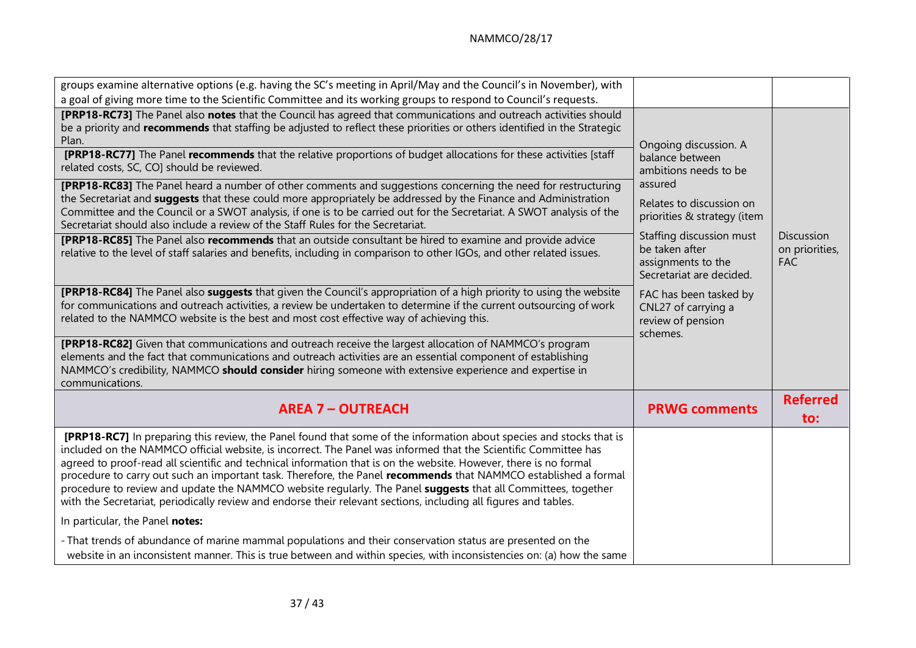| groups examine alternative options (e.g. having the SC's meeting in April/May and the Council's in November), with                                                                                                                                                                                                                                                                                                                                                                                                                                                                                                                                                                                                         |                                                                                              |                                                   |
|----------------------------------------------------------------------------------------------------------------------------------------------------------------------------------------------------------------------------------------------------------------------------------------------------------------------------------------------------------------------------------------------------------------------------------------------------------------------------------------------------------------------------------------------------------------------------------------------------------------------------------------------------------------------------------------------------------------------------|----------------------------------------------------------------------------------------------|---------------------------------------------------|
| a goal of giving more time to the Scientific Committee and its working groups to respond to Council's requests.                                                                                                                                                                                                                                                                                                                                                                                                                                                                                                                                                                                                            |                                                                                              |                                                   |
| [PRP18-RC73] The Panel also notes that the Council has agreed that communications and outreach activities should<br>be a priority and recommends that staffing be adjusted to reflect these priorities or others identified in the Strategic<br>Plan.                                                                                                                                                                                                                                                                                                                                                                                                                                                                      | Ongoing discussion. A                                                                        |                                                   |
| <b>[PRP18-RC77]</b> The Panel recommends that the relative proportions of budget allocations for these activities [staff<br>related costs, SC, CO] should be reviewed.                                                                                                                                                                                                                                                                                                                                                                                                                                                                                                                                                     | balance between<br>ambitions needs to be                                                     |                                                   |
| [PRP18-RC83] The Panel heard a number of other comments and suggestions concerning the need for restructuring<br>the Secretariat and <b>suggests</b> that these could more appropriately be addressed by the Finance and Administration<br>Committee and the Council or a SWOT analysis, if one is to be carried out for the Secretariat. A SWOT analysis of the<br>Secretariat should also include a review of the Staff Rules for the Secretariat.                                                                                                                                                                                                                                                                       | assured<br>Relates to discussion on<br>priorities & strategy (item                           |                                                   |
| [PRP18-RC85] The Panel also recommends that an outside consultant be hired to examine and provide advice<br>relative to the level of staff salaries and benefits, including in comparison to other IGOs, and other related issues.                                                                                                                                                                                                                                                                                                                                                                                                                                                                                         | Staffing discussion must<br>be taken after<br>assignments to the<br>Secretariat are decided. | <b>Discussion</b><br>on priorities,<br><b>FAC</b> |
| [PRP18-RC84] The Panel also suggests that given the Council's appropriation of a high priority to using the website<br>for communications and outreach activities, a review be undertaken to determine if the current outsourcing of work<br>related to the NAMMCO website is the best and most cost effective way of achieving this.                                                                                                                                                                                                                                                                                                                                                                                      | FAC has been tasked by<br>CNL27 of carrying a<br>review of pension<br>schemes.               |                                                   |
| [PRP18-RC82] Given that communications and outreach receive the largest allocation of NAMMCO's program<br>elements and the fact that communications and outreach activities are an essential component of establishing<br>NAMMCO's credibility, NAMMCO <b>should consider</b> hiring someone with extensive experience and expertise in<br>communications.                                                                                                                                                                                                                                                                                                                                                                 |                                                                                              |                                                   |
| <b>AREA 7 - OUTREACH</b>                                                                                                                                                                                                                                                                                                                                                                                                                                                                                                                                                                                                                                                                                                   | <b>PRWG</b> comments                                                                         | <b>Referred</b><br>to:                            |
| [PRP18-RC7] In preparing this review, the Panel found that some of the information about species and stocks that is<br>included on the NAMMCO official website, is incorrect. The Panel was informed that the Scientific Committee has<br>agreed to proof-read all scientific and technical information that is on the website. However, there is no formal<br>procedure to carry out such an important task. Therefore, the Panel recommends that NAMMCO established a formal<br>procedure to review and update the NAMMCO website regularly. The Panel <b>suggests</b> that all Committees, together<br>with the Secretariat, periodically review and endorse their relevant sections, including all figures and tables. |                                                                                              |                                                   |
| In particular, the Panel notes:                                                                                                                                                                                                                                                                                                                                                                                                                                                                                                                                                                                                                                                                                            |                                                                                              |                                                   |
| - That trends of abundance of marine mammal populations and their conservation status are presented on the<br>website in an inconsistent manner. This is true between and within species, with inconsistencies on: (a) how the same                                                                                                                                                                                                                                                                                                                                                                                                                                                                                        |                                                                                              |                                                   |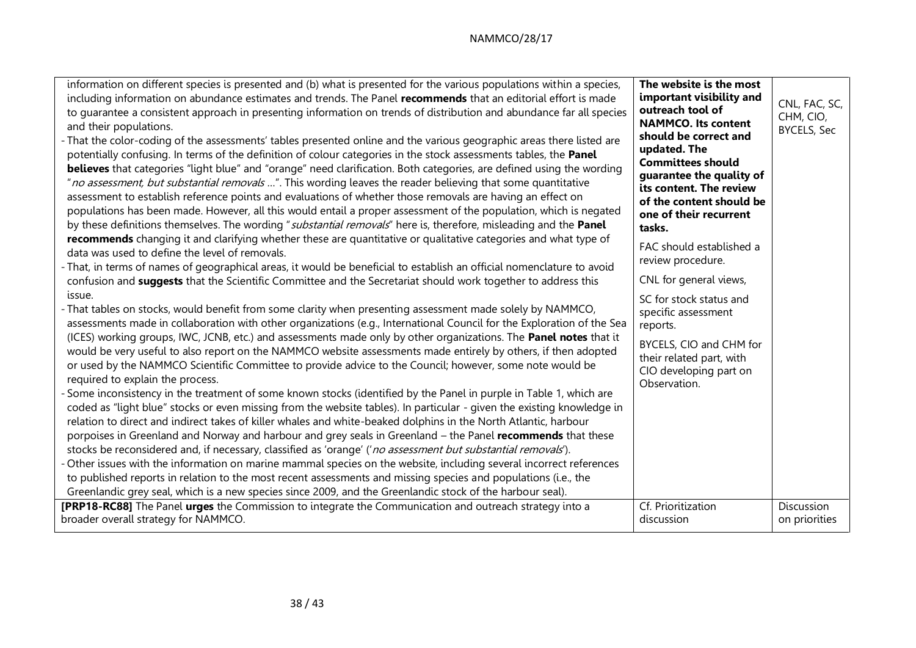| information on different species is presented and (b) what is presented for the various populations within a species,<br>including information on abundance estimates and trends. The Panel recommends that an editorial effort is made<br>to guarantee a consistent approach in presenting information on trends of distribution and abundance far all species<br>and their populations.<br>- That the color-coding of the assessments' tables presented online and the various geographic areas there listed are<br>potentially confusing. In terms of the definition of colour categories in the stock assessments tables, the Panel<br>believes that categories "light blue" and "orange" need clarification. Both categories, are defined using the wording<br>"no assessment, but substantial removals ". This wording leaves the reader believing that some quantitative<br>assessment to establish reference points and evaluations of whether those removals are having an effect on<br>populations has been made. However, all this would entail a proper assessment of the population, which is negated<br>by these definitions themselves. The wording "substantial removals" here is, therefore, misleading and the Panel<br>recommends changing it and clarifying whether these are quantitative or qualitative categories and what type of<br>data was used to define the level of removals.<br>- That, in terms of names of geographical areas, it would be beneficial to establish an official nomenclature to avoid<br>confusion and suggests that the Scientific Committee and the Secretariat should work together to address this<br>issue.<br>- That tables on stocks, would benefit from some clarity when presenting assessment made solely by NAMMCO,<br>assessments made in collaboration with other organizations (e.g., International Council for the Exploration of the Sea<br>(ICES) working groups, IWC, JCNB, etc.) and assessments made only by other organizations. The Panel notes that it<br>would be very useful to also report on the NAMMCO website assessments made entirely by others, if then adopted<br>or used by the NAMMCO Scientific Committee to provide advice to the Council; however, some note would be<br>required to explain the process.<br>- Some inconsistency in the treatment of some known stocks (identified by the Panel in purple in Table 1, which are<br>coded as "light blue" stocks or even missing from the website tables). In particular - given the existing knowledge in<br>relation to direct and indirect takes of killer whales and white-beaked dolphins in the North Atlantic, harbour<br>porpoises in Greenland and Norway and harbour and grey seals in Greenland - the Panel recommends that these<br>stocks be reconsidered and, if necessary, classified as 'orange' ('no assessment but substantial removals').<br>- Other issues with the information on marine mammal species on the website, including several incorrect references<br>to published reports in relation to the most recent assessments and missing species and populations (i.e., the<br>Greenlandic grey seal, which is a new species since 2009, and the Greenlandic stock of the harbour seal). | The website is the most<br>important visibility and<br>outreach tool of<br><b>NAMMCO.</b> Its content<br>should be correct and<br>updated. The<br><b>Committees should</b><br>guarantee the quality of<br>its content. The review<br>of the content should be<br>one of their recurrent<br>tasks.<br>FAC should established a<br>review procedure.<br>CNL for general views,<br>SC for stock status and<br>specific assessment<br>reports.<br>BYCELS, CIO and CHM for<br>their related part, with<br>CIO developing part on<br>Observation. | CNL, FAC, SC,<br>CHM, CIO,<br><b>BYCELS, Sec</b> |
|----------------------------------------------------------------------------------------------------------------------------------------------------------------------------------------------------------------------------------------------------------------------------------------------------------------------------------------------------------------------------------------------------------------------------------------------------------------------------------------------------------------------------------------------------------------------------------------------------------------------------------------------------------------------------------------------------------------------------------------------------------------------------------------------------------------------------------------------------------------------------------------------------------------------------------------------------------------------------------------------------------------------------------------------------------------------------------------------------------------------------------------------------------------------------------------------------------------------------------------------------------------------------------------------------------------------------------------------------------------------------------------------------------------------------------------------------------------------------------------------------------------------------------------------------------------------------------------------------------------------------------------------------------------------------------------------------------------------------------------------------------------------------------------------------------------------------------------------------------------------------------------------------------------------------------------------------------------------------------------------------------------------------------------------------------------------------------------------------------------------------------------------------------------------------------------------------------------------------------------------------------------------------------------------------------------------------------------------------------------------------------------------------------------------------------------------------------------------------------------------------------------------------------------------------------------------------------------------------------------------------------------------------------------------------------------------------------------------------------------------------------------------------------------------------------------------------------------------------------------------------------------------------------------------------------------------------------------------------------------------------------------------------------------------------------------------------------------------------------------------------------------------------------------------------------------------------------------------------------------------------------|---------------------------------------------------------------------------------------------------------------------------------------------------------------------------------------------------------------------------------------------------------------------------------------------------------------------------------------------------------------------------------------------------------------------------------------------------------------------------------------------------------------------------------------------|--------------------------------------------------|
| [PRP18-RC88] The Panel urges the Commission to integrate the Communication and outreach strategy into a                                                                                                                                                                                                                                                                                                                                                                                                                                                                                                                                                                                                                                                                                                                                                                                                                                                                                                                                                                                                                                                                                                                                                                                                                                                                                                                                                                                                                                                                                                                                                                                                                                                                                                                                                                                                                                                                                                                                                                                                                                                                                                                                                                                                                                                                                                                                                                                                                                                                                                                                                                                                                                                                                                                                                                                                                                                                                                                                                                                                                                                                                                                                                  | Cf. Prioritization                                                                                                                                                                                                                                                                                                                                                                                                                                                                                                                          | Discussion                                       |
| broader overall strategy for NAMMCO.                                                                                                                                                                                                                                                                                                                                                                                                                                                                                                                                                                                                                                                                                                                                                                                                                                                                                                                                                                                                                                                                                                                                                                                                                                                                                                                                                                                                                                                                                                                                                                                                                                                                                                                                                                                                                                                                                                                                                                                                                                                                                                                                                                                                                                                                                                                                                                                                                                                                                                                                                                                                                                                                                                                                                                                                                                                                                                                                                                                                                                                                                                                                                                                                                     | discussion                                                                                                                                                                                                                                                                                                                                                                                                                                                                                                                                  | on priorities                                    |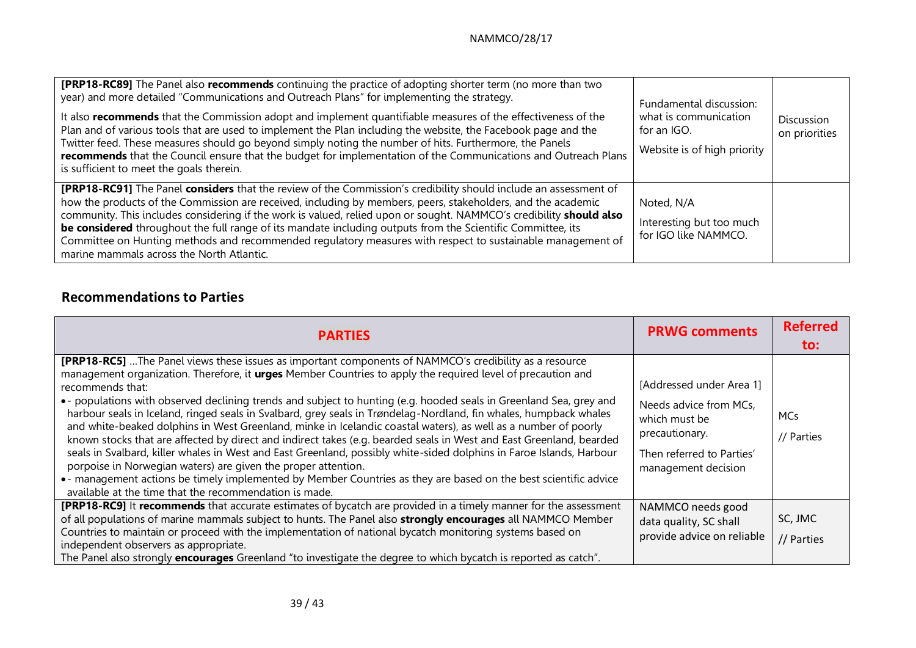| <b>[PRP18-RC89]</b> The Panel also recommends continuing the practice of adopting shorter term (no more than two<br>year) and more detailed "Communications and Outreach Plans" for implementing the strategy.<br>It also recommends that the Commission adopt and implement quantifiable measures of the effectiveness of the<br>Plan and of various tools that are used to implement the Plan including the website, the Facebook page and the<br>Twitter feed. These measures should go beyond simply noting the number of hits. Furthermore, the Panels<br>recommends that the Council ensure that the budget for implementation of the Communications and Outreach Plans<br>is sufficient to meet the goals therein. | Fundamental discussion:<br>what is communication<br>for an IGO.<br>Website is of high priority | Discussion<br>on priorities |
|---------------------------------------------------------------------------------------------------------------------------------------------------------------------------------------------------------------------------------------------------------------------------------------------------------------------------------------------------------------------------------------------------------------------------------------------------------------------------------------------------------------------------------------------------------------------------------------------------------------------------------------------------------------------------------------------------------------------------|------------------------------------------------------------------------------------------------|-----------------------------|
| <b>[PRP18-RC91]</b> The Panel considers that the review of the Commission's credibility should include an assessment of<br>how the products of the Commission are received, including by members, peers, stakeholders, and the academic<br>community. This includes considering if the work is valued, relied upon or sought. NAMMCO's credibility should also<br>be considered throughout the full range of its mandate including outputs from the Scientific Committee, its<br>Committee on Hunting methods and recommended regulatory measures with respect to sustainable management of<br>marine mammals across the North Atlantic.                                                                                  | Noted, N/A<br>Interesting but too much<br>for IGO like NAMMCO.                                 |                             |

# **Recommendations to Parties**

| <b>PARTIES</b>                                                                                                                                                                                                                                                                                                                                                                                                                                                                                                                                                                                                                                                                                                                                                                                                                                                                                                                                                                                                                                                                                              | <b>PRWG comments</b>                                                                                                                      | <b>Referred</b><br>to:   |
|-------------------------------------------------------------------------------------------------------------------------------------------------------------------------------------------------------------------------------------------------------------------------------------------------------------------------------------------------------------------------------------------------------------------------------------------------------------------------------------------------------------------------------------------------------------------------------------------------------------------------------------------------------------------------------------------------------------------------------------------------------------------------------------------------------------------------------------------------------------------------------------------------------------------------------------------------------------------------------------------------------------------------------------------------------------------------------------------------------------|-------------------------------------------------------------------------------------------------------------------------------------------|--------------------------|
| [PRP18-RC5]  The Panel views these issues as important components of NAMMCO's credibility as a resource<br>management organization. Therefore, it <b>urges</b> Member Countries to apply the required level of precaution and<br>recommends that:<br>• populations with observed declining trends and subject to hunting (e.g. hooded seals in Greenland Sea, grey and<br>harbour seals in Iceland, ringed seals in Svalbard, grey seals in Trøndelag-Nordland, fin whales, humpback whales<br>and white-beaked dolphins in West Greenland, minke in Icelandic coastal waters), as well as a number of poorly<br>known stocks that are affected by direct and indirect takes (e.g. bearded seals in West and East Greenland, bearded<br>seals in Svalbard, killer whales in West and East Greenland, possibly white-sided dolphins in Faroe Islands, Harbour<br>porpoise in Norwegian waters) are given the proper attention.<br>• - management actions be timely implemented by Member Countries as they are based on the best scientific advice<br>available at the time that the recommendation is made. | [Addressed under Area 1]<br>Needs advice from MCs,<br>which must be<br>precautionary.<br>Then referred to Parties'<br>management decision | <b>MCs</b><br>// Parties |
| [PRP18-RC9] It recommends that accurate estimates of bycatch are provided in a timely manner for the assessment<br>of all populations of marine mammals subject to hunts. The Panel also strongly encourages all NAMMCO Member<br>Countries to maintain or proceed with the implementation of national bycatch monitoring systems based on<br>independent observers as appropriate.<br>The Panel also strongly <b>encourages</b> Greenland "to investigate the degree to which bycatch is reported as catch".                                                                                                                                                                                                                                                                                                                                                                                                                                                                                                                                                                                               | NAMMCO needs good<br>data quality, SC shall<br>provide advice on reliable                                                                 | SC, JMC<br>// Parties    |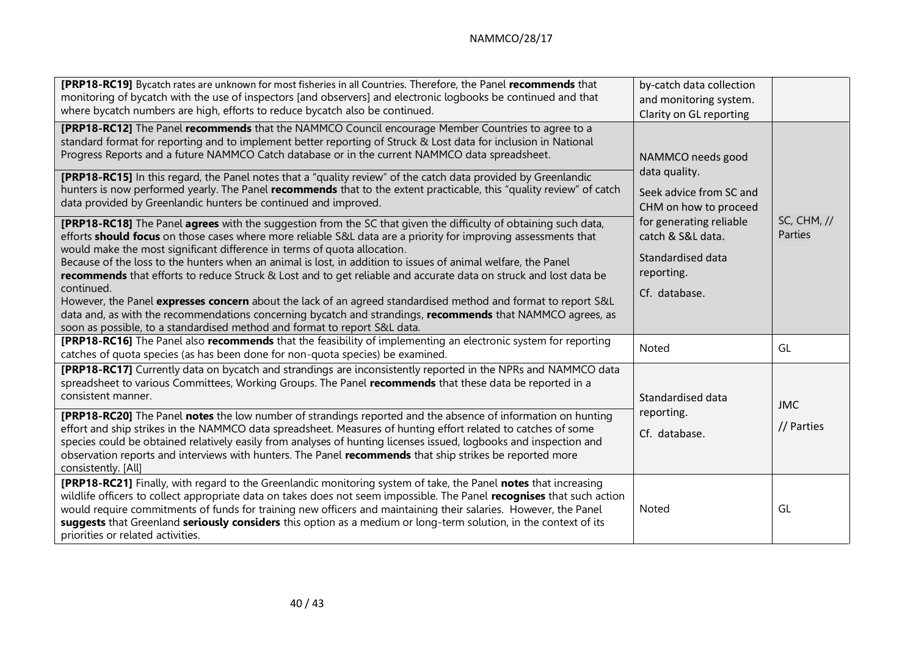| [PRP18-RC19] Bycatch rates are unknown for most fisheries in all Countries. Therefore, the Panel recommends that<br>monitoring of bycatch with the use of inspectors [and observers] and electronic logbooks be continued and that<br>where bycatch numbers are high, efforts to reduce bycatch also be continued.                                                                                                                                                                                                                                                                                                                                                                                                                                                                                                                                                                                                                                                                                                                                                                                                                                                                                                                                                                                                                                                                                                                                                                                                                        | by-catch data collection<br>and monitoring system.<br>Clarity on GL reporting                                                                                                              |                               |
|-------------------------------------------------------------------------------------------------------------------------------------------------------------------------------------------------------------------------------------------------------------------------------------------------------------------------------------------------------------------------------------------------------------------------------------------------------------------------------------------------------------------------------------------------------------------------------------------------------------------------------------------------------------------------------------------------------------------------------------------------------------------------------------------------------------------------------------------------------------------------------------------------------------------------------------------------------------------------------------------------------------------------------------------------------------------------------------------------------------------------------------------------------------------------------------------------------------------------------------------------------------------------------------------------------------------------------------------------------------------------------------------------------------------------------------------------------------------------------------------------------------------------------------------|--------------------------------------------------------------------------------------------------------------------------------------------------------------------------------------------|-------------------------------|
| [PRP18-RC12] The Panel recommends that the NAMMCO Council encourage Member Countries to agree to a<br>standard format for reporting and to implement better reporting of Struck & Lost data for inclusion in National<br>Progress Reports and a future NAMMCO Catch database or in the current NAMMCO data spreadsheet.<br>[PRP18-RC15] In this regard, the Panel notes that a "quality review" of the catch data provided by Greenlandic<br>hunters is now performed yearly. The Panel recommends that to the extent practicable, this "quality review" of catch<br>data provided by Greenlandic hunters be continued and improved.<br><b>[PRP18-RC18]</b> The Panel <b>agrees</b> with the suggestion from the SC that given the difficulty of obtaining such data,<br>efforts <b>should focus</b> on those cases where more reliable S&L data are a priority for improving assessments that<br>would make the most significant difference in terms of quota allocation.<br>Because of the loss to the hunters when an animal is lost, in addition to issues of animal welfare, the Panel<br>recommends that efforts to reduce Struck & Lost and to get reliable and accurate data on struck and lost data be<br>continued.<br>However, the Panel expresses concern about the lack of an agreed standardised method and format to report S&L<br>data and, as with the recommendations concerning bycatch and strandings, recommends that NAMMCO agrees, as<br>soon as possible, to a standardised method and format to report S&L data. | NAMMCO needs good<br>data quality.<br>Seek advice from SC and<br>CHM on how to proceed<br>for generating reliable<br>catch & S&L data.<br>Standardised data<br>reporting.<br>Cf. database. | <b>SC, CHM, //</b><br>Parties |
| <b>[PRP18-RC16]</b> The Panel also recommends that the feasibility of implementing an electronic system for reporting<br>catches of quota species (as has been done for non-quota species) be examined.                                                                                                                                                                                                                                                                                                                                                                                                                                                                                                                                                                                                                                                                                                                                                                                                                                                                                                                                                                                                                                                                                                                                                                                                                                                                                                                                   | Noted                                                                                                                                                                                      | GL                            |
| [PRP18-RC17] Currently data on bycatch and strandings are inconsistently reported in the NPRs and NAMMCO data<br>spreadsheet to various Committees, Working Groups. The Panel recommends that these data be reported in a<br>consistent manner.<br><b>[PRP18-RC20]</b> The Panel notes the low number of strandings reported and the absence of information on hunting<br>effort and ship strikes in the NAMMCO data spreadsheet. Measures of hunting effort related to catches of some<br>species could be obtained relatively easily from analyses of hunting licenses issued, logbooks and inspection and<br>observation reports and interviews with hunters. The Panel recommends that ship strikes be reported more<br>consistently. [All]                                                                                                                                                                                                                                                                                                                                                                                                                                                                                                                                                                                                                                                                                                                                                                                           | Standardised data<br>reporting.<br>Cf. database.                                                                                                                                           | <b>JMC</b><br>// Parties      |
| [PRP18-RC21] Finally, with regard to the Greenlandic monitoring system of take, the Panel notes that increasing<br>wildlife officers to collect appropriate data on takes does not seem impossible. The Panel recognises that such action<br>would require commitments of funds for training new officers and maintaining their salaries. However, the Panel<br>suggests that Greenland seriously considers this option as a medium or long-term solution, in the context of its<br>priorities or related activities.                                                                                                                                                                                                                                                                                                                                                                                                                                                                                                                                                                                                                                                                                                                                                                                                                                                                                                                                                                                                                     | Noted                                                                                                                                                                                      | GL                            |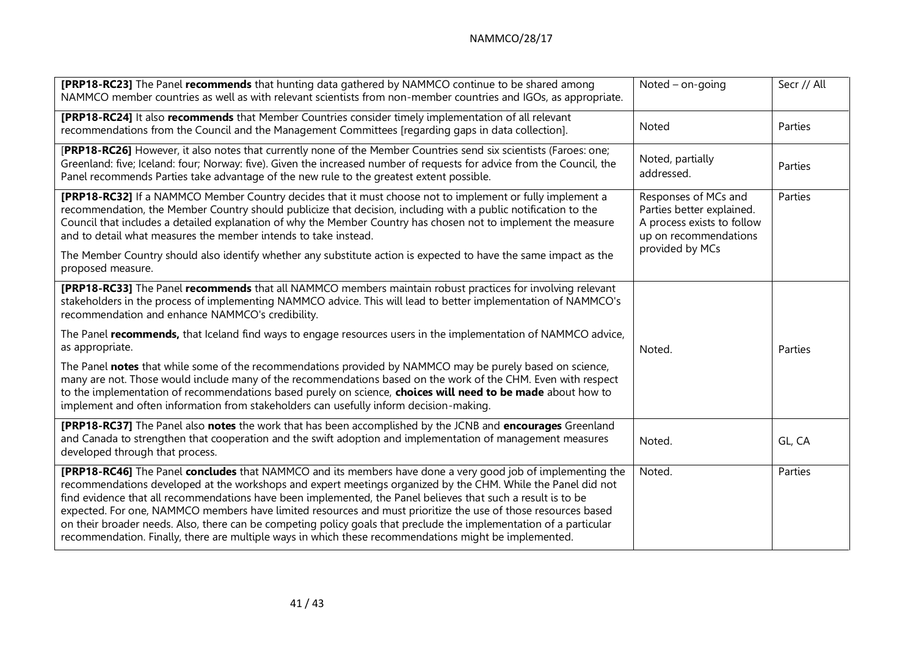## NAMMCO/28/17

| [PRP18-RC23] The Panel recommends that hunting data gathered by NAMMCO continue to be shared among<br>NAMMCO member countries as well as with relevant scientists from non-member countries and IGOs, as appropriate.                                                                                                                                                                                                                                                                                                                                                                                                                                                                      | Noted $-$ on-going                                                                                       | Secr // All |
|--------------------------------------------------------------------------------------------------------------------------------------------------------------------------------------------------------------------------------------------------------------------------------------------------------------------------------------------------------------------------------------------------------------------------------------------------------------------------------------------------------------------------------------------------------------------------------------------------------------------------------------------------------------------------------------------|----------------------------------------------------------------------------------------------------------|-------------|
| [PRP18-RC24] It also recommends that Member Countries consider timely implementation of all relevant<br>recommendations from the Council and the Management Committees [regarding gaps in data collection].                                                                                                                                                                                                                                                                                                                                                                                                                                                                                | <b>Noted</b>                                                                                             | Parties     |
| [PRP18-RC26] However, it also notes that currently none of the Member Countries send six scientists (Faroes: one;<br>Greenland: five; Iceland: four; Norway: five). Given the increased number of requests for advice from the Council, the<br>Panel recommends Parties take advantage of the new rule to the greatest extent possible.                                                                                                                                                                                                                                                                                                                                                    | Noted, partially<br>addressed.                                                                           | Parties     |
| [PRP18-RC32] If a NAMMCO Member Country decides that it must choose not to implement or fully implement a<br>recommendation, the Member Country should publicize that decision, including with a public notification to the<br>Council that includes a detailed explanation of why the Member Country has chosen not to implement the measure<br>and to detail what measures the member intends to take instead.                                                                                                                                                                                                                                                                           | Responses of MCs and<br>Parties better explained.<br>A process exists to follow<br>up on recommendations | Parties     |
| The Member Country should also identify whether any substitute action is expected to have the same impact as the<br>proposed measure.                                                                                                                                                                                                                                                                                                                                                                                                                                                                                                                                                      | provided by MCs                                                                                          |             |
| [PRP18-RC33] The Panel recommends that all NAMMCO members maintain robust practices for involving relevant<br>stakeholders in the process of implementing NAMMCO advice. This will lead to better implementation of NAMMCO's<br>recommendation and enhance NAMMCO's credibility.                                                                                                                                                                                                                                                                                                                                                                                                           |                                                                                                          |             |
| The Panel recommends, that Iceland find ways to engage resources users in the implementation of NAMMCO advice,<br>as appropriate.                                                                                                                                                                                                                                                                                                                                                                                                                                                                                                                                                          | Noted.                                                                                                   | Parties     |
| The Panel notes that while some of the recommendations provided by NAMMCO may be purely based on science,<br>many are not. Those would include many of the recommendations based on the work of the CHM. Even with respect<br>to the implementation of recommendations based purely on science, choices will need to be made about how to<br>implement and often information from stakeholders can usefully inform decision-making.                                                                                                                                                                                                                                                        |                                                                                                          |             |
| [PRP18-RC37] The Panel also notes the work that has been accomplished by the JCNB and encourages Greenland<br>and Canada to strengthen that cooperation and the swift adoption and implementation of management measures<br>developed through that process.                                                                                                                                                                                                                                                                                                                                                                                                                                | Noted.                                                                                                   | GL, CA      |
| [PRP18-RC46] The Panel concludes that NAMMCO and its members have done a very good job of implementing the<br>recommendations developed at the workshops and expert meetings organized by the CHM. While the Panel did not<br>find evidence that all recommendations have been implemented, the Panel believes that such a result is to be<br>expected. For one, NAMMCO members have limited resources and must prioritize the use of those resources based<br>on their broader needs. Also, there can be competing policy goals that preclude the implementation of a particular<br>recommendation. Finally, there are multiple ways in which these recommendations might be implemented. | Noted.                                                                                                   | Parties     |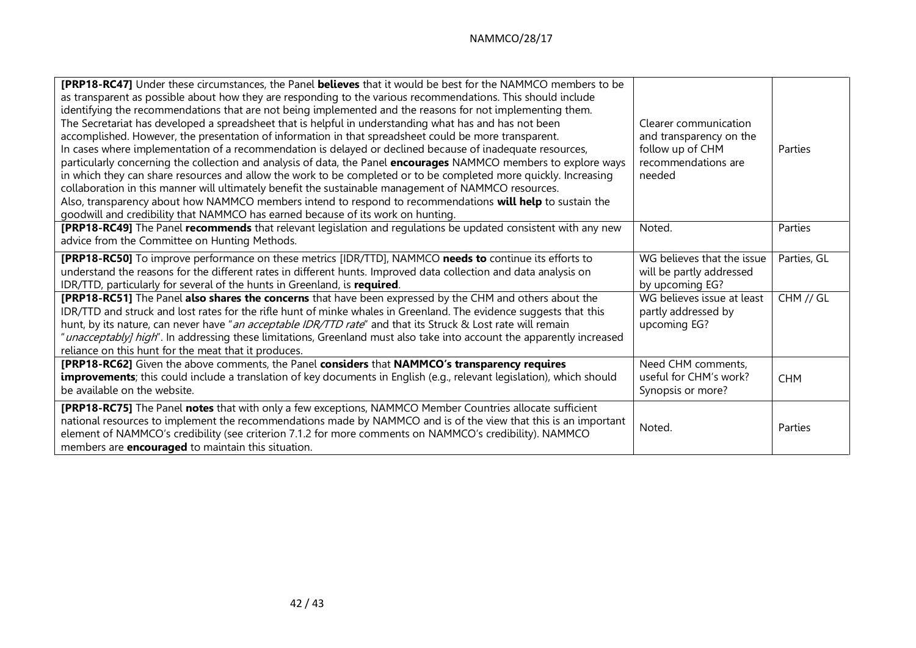| [PRP18-RC47] Under these circumstances, the Panel believes that it would be best for the NAMMCO members to be<br>as transparent as possible about how they are responding to the various recommendations. This should include<br>identifying the recommendations that are not being implemented and the reasons for not implementing them.<br>The Secretariat has developed a spreadsheet that is helpful in understanding what has and has not been<br>accomplished. However, the presentation of information in that spreadsheet could be more transparent.<br>In cases where implementation of a recommendation is delayed or declined because of inadequate resources,<br>particularly concerning the collection and analysis of data, the Panel encourages NAMMCO members to explore ways<br>in which they can share resources and allow the work to be completed or to be completed more quickly. Increasing<br>collaboration in this manner will ultimately benefit the sustainable management of NAMMCO resources.<br>Also, transparency about how NAMMCO members intend to respond to recommendations will help to sustain the<br>goodwill and credibility that NAMMCO has earned because of its work on hunting. | Clearer communication<br>and transparency on the<br>follow up of CHM<br>recommendations are<br>needed                                          | Parties                  |
|----------------------------------------------------------------------------------------------------------------------------------------------------------------------------------------------------------------------------------------------------------------------------------------------------------------------------------------------------------------------------------------------------------------------------------------------------------------------------------------------------------------------------------------------------------------------------------------------------------------------------------------------------------------------------------------------------------------------------------------------------------------------------------------------------------------------------------------------------------------------------------------------------------------------------------------------------------------------------------------------------------------------------------------------------------------------------------------------------------------------------------------------------------------------------------------------------------------------------|------------------------------------------------------------------------------------------------------------------------------------------------|--------------------------|
| [PRP18-RC49] The Panel recommends that relevant legislation and regulations be updated consistent with any new                                                                                                                                                                                                                                                                                                                                                                                                                                                                                                                                                                                                                                                                                                                                                                                                                                                                                                                                                                                                                                                                                                             | Noted.                                                                                                                                         | Parties                  |
| advice from the Committee on Hunting Methods.                                                                                                                                                                                                                                                                                                                                                                                                                                                                                                                                                                                                                                                                                                                                                                                                                                                                                                                                                                                                                                                                                                                                                                              |                                                                                                                                                |                          |
| [PRP18-RC50] To improve performance on these metrics [IDR/TTD], NAMMCO needs to continue its efforts to<br>understand the reasons for the different rates in different hunts. Improved data collection and data analysis on<br>IDR/TTD, particularly for several of the hunts in Greenland, is required.<br>[PRP18-RC51] The Panel also shares the concerns that have been expressed by the CHM and others about the<br>IDR/TTD and struck and lost rates for the rifle hunt of minke whales in Greenland. The evidence suggests that this<br>hunt, by its nature, can never have "an acceptable IDR/TTD rate" and that its Struck & Lost rate will remain<br>"unacceptably] high". In addressing these limitations, Greenland must also take into account the apparently increased                                                                                                                                                                                                                                                                                                                                                                                                                                        | WG believes that the issue<br>will be partly addressed<br>by upcoming EG?<br>WG believes issue at least<br>partly addressed by<br>upcoming EG? | Parties, GL<br>CHM // GL |
| reliance on this hunt for the meat that it produces.                                                                                                                                                                                                                                                                                                                                                                                                                                                                                                                                                                                                                                                                                                                                                                                                                                                                                                                                                                                                                                                                                                                                                                       |                                                                                                                                                |                          |
| [PRP18-RC62] Given the above comments, the Panel considers that NAMMCO's transparency requires<br><b>improvements</b> ; this could include a translation of key documents in English (e.g., relevant legislation), which should<br>be available on the website.                                                                                                                                                                                                                                                                                                                                                                                                                                                                                                                                                                                                                                                                                                                                                                                                                                                                                                                                                            | Need CHM comments,<br>useful for CHM's work?<br>Synopsis or more?                                                                              | <b>CHM</b>               |
| [PRP18-RC75] The Panel notes that with only a few exceptions, NAMMCO Member Countries allocate sufficient<br>national resources to implement the recommendations made by NAMMCO and is of the view that this is an important<br>element of NAMMCO's credibility (see criterion 7.1.2 for more comments on NAMMCO's credibility). NAMMCO<br>members are <b>encouraged</b> to maintain this situation.                                                                                                                                                                                                                                                                                                                                                                                                                                                                                                                                                                                                                                                                                                                                                                                                                       | Noted.                                                                                                                                         | Parties                  |